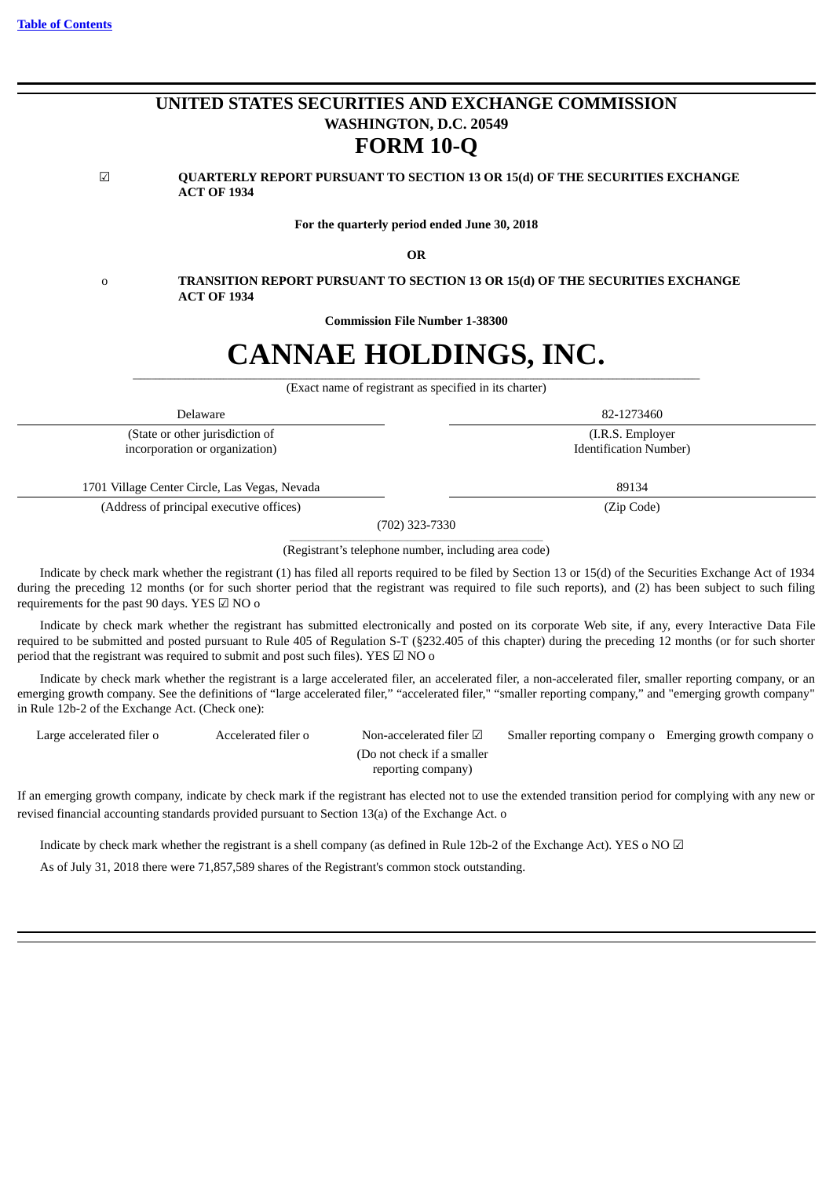# **UNITED STATES SECURITIES AND EXCHANGE COMMISSION WASHINGTON, D.C. 20549 FORM 10-Q** ☑ **QUARTERLY REPORT PURSUANT TO SECTION 13 OR 15(d) OF THE SECURITIES EXCHANGE ACT OF 1934 For the quarterly period ended June 30, 2018 OR** o **TRANSITION REPORT PURSUANT TO SECTION 13 OR 15(d) OF THE SECURITIES EXCHANGE ACT OF 1934 Commission File Number 1-38300 CANNAE HOLDINGS, INC. \_\_\_\_\_\_\_\_\_\_\_\_\_\_\_\_\_\_\_\_\_\_\_\_\_\_\_\_\_\_\_\_\_\_\_\_\_\_\_\_\_\_\_\_\_\_\_\_\_\_\_\_\_\_\_\_\_\_\_\_\_\_\_\_\_\_\_\_\_\_\_\_\_\_\_\_\_\_\_\_\_\_\_\_\_\_\_\_\_\_\_\_\_\_\_\_\_\_\_\_\_\_\_\_\_\_\_\_\_\_\_\_\_\_\_\_\_\_\_\_\_\_\_\_\_\_\_\_\_\_\_\_\_\_\_\_\_\_\_\_\_\_\_\_\_\_\_\_\_\_** (Exact name of registrant as specified in its charter) Delaware 82-1273460 (State or other jurisdiction of incorporation or organization) (I.R.S. Employer Identification Number) 1701 Village Center Circle, Las Vegas, Nevada 89134 (Address of principal executive offices) (Zip Code)

(702) 323-7330  $\mathcal{L}_\text{max} = \mathcal{L}_\text{max} = \mathcal{L}_\text{max} = \mathcal{L}_\text{max} = \mathcal{L}_\text{max} = \mathcal{L}_\text{max} = \mathcal{L}_\text{max} = \mathcal{L}_\text{max} = \mathcal{L}_\text{max} = \mathcal{L}_\text{max} = \mathcal{L}_\text{max} = \mathcal{L}_\text{max} = \mathcal{L}_\text{max} = \mathcal{L}_\text{max} = \mathcal{L}_\text{max} = \mathcal{L}_\text{max} = \mathcal{L}_\text{max} = \mathcal{L}_\text{max} = \mathcal{$ 

(Registrant's telephone number, including area code)

Indicate by check mark whether the registrant (1) has filed all reports required to be filed by Section 13 or 15(d) of the Securities Exchange Act of 1934 during the preceding 12 months (or for such shorter period that the registrant was required to file such reports), and (2) has been subject to such filing requirements for the past 90 days. YES  $\boxtimes$  NO o

Indicate by check mark whether the registrant has submitted electronically and posted on its corporate Web site, if any, every Interactive Data File required to be submitted and posted pursuant to Rule 405 of Regulation S-T (§232.405 of this chapter) during the preceding 12 months (or for such shorter period that the registrant was required to submit and post such files). YES  $\boxtimes$  NO o

Indicate by check mark whether the registrant is a large accelerated filer, an accelerated filer, a non-accelerated filer, smaller reporting company, or an emerging growth company. See the definitions of "large accelerated filer," "accelerated filer," "smaller reporting company," and "emerging growth company" in Rule 12b-2 of the Exchange Act. (Check one):

Large accelerated filer o Accelerated filer o Non-accelerated filer ⊠ Smaller reporting company o Emerging growth company o (Do not check if a smaller reporting company)

If an emerging growth company, indicate by check mark if the registrant has elected not to use the extended transition period for complying with any new or revised financial accounting standards provided pursuant to Section 13(a) of the Exchange Act. o

Indicate by check mark whether the registrant is a shell company (as defined in Rule 12b-2 of the Exchange Act). YES o NO ☑

As of July 31, 2018 there were 71,857,589 shares of the Registrant's common stock outstanding.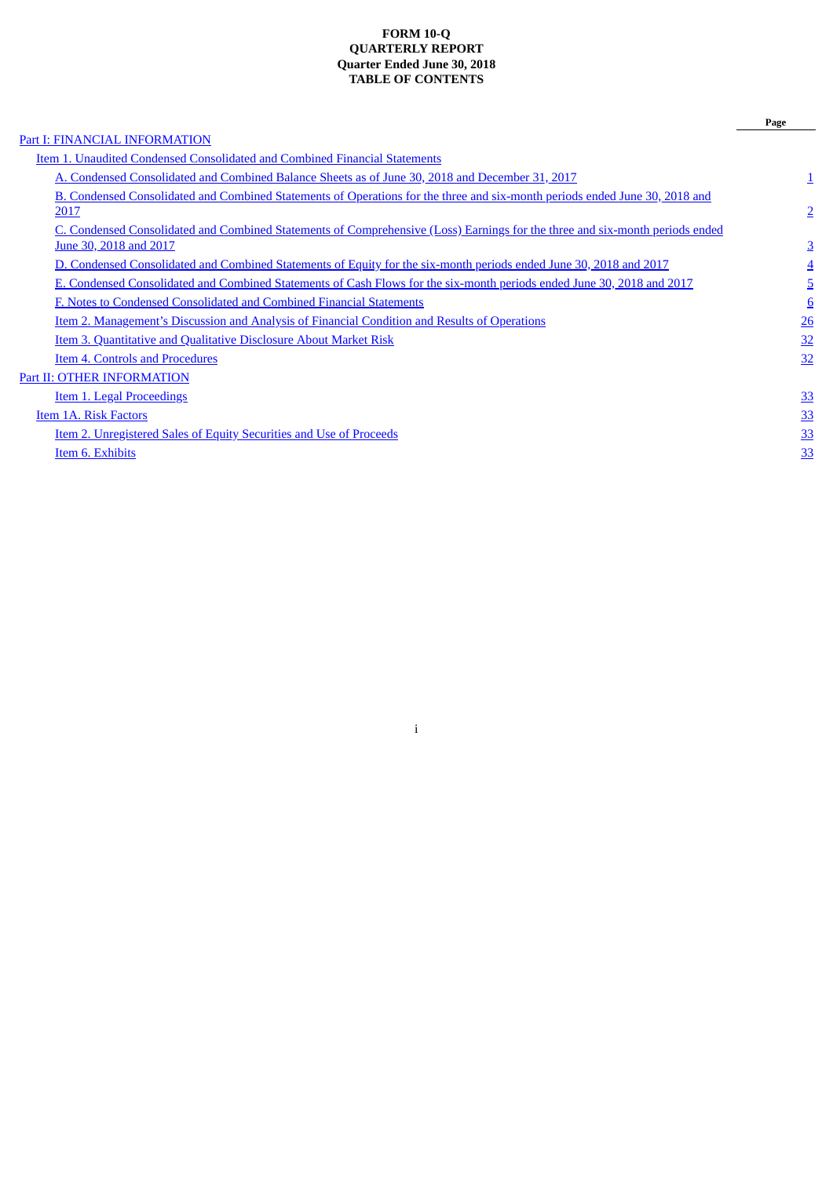## **FORM 10-Q QUARTERLY REPORT Quarter Ended June 30, 2018 TABLE OF CONTENTS**

<span id="page-1-0"></span>

|                                                                                                                              | Page                     |
|------------------------------------------------------------------------------------------------------------------------------|--------------------------|
| Part I: FINANCIAL INFORMATION                                                                                                |                          |
| <b>Item 1. Unaudited Condensed Consolidated and Combined Financial Statements</b>                                            |                          |
| A. Condensed Consolidated and Combined Balance Sheets as of June 30, 2018 and December 31, 2017                              | $\mathbf{\underline{1}}$ |
| B. Condensed Consolidated and Combined Statements of Operations for the three and six-month periods ended June 30, 2018 and  |                          |
| 2017                                                                                                                         | $\overline{2}$           |
| C. Condensed Consolidated and Combined Statements of Comprehensive (Loss) Earnings for the three and six-month periods ended |                          |
| June 30, 2018 and 2017                                                                                                       | <u>3</u>                 |
| D. Condensed Consolidated and Combined Statements of Equity for the six-month periods ended June 30, 2018 and 2017           | $\overline{4}$           |
| E. Condensed Consolidated and Combined Statements of Cash Flows for the six-month periods ended June 30, 2018 and 2017       | <u>5</u>                 |
| F. Notes to Condensed Consolidated and Combined Financial Statements                                                         | $6\overline{6}$          |
| <u>Item 2. Management's Discussion and Analysis of Financial Condition and Results of Operations</u>                         | 26                       |
| Item 3. Quantitative and Qualitative Disclosure About Market Risk                                                            | 32                       |
| <b>Item 4. Controls and Procedures</b>                                                                                       | 32                       |
| Part II: OTHER INFORMATION                                                                                                   |                          |
| <b>Item 1. Legal Proceedings</b>                                                                                             | <u>33</u>                |
| Item 1A. Risk Factors                                                                                                        | 33                       |
| Item 2. Unregistered Sales of Equity Securities and Use of Proceeds                                                          | 33                       |
| Item 6. Exhibits                                                                                                             | 33                       |
|                                                                                                                              |                          |
|                                                                                                                              |                          |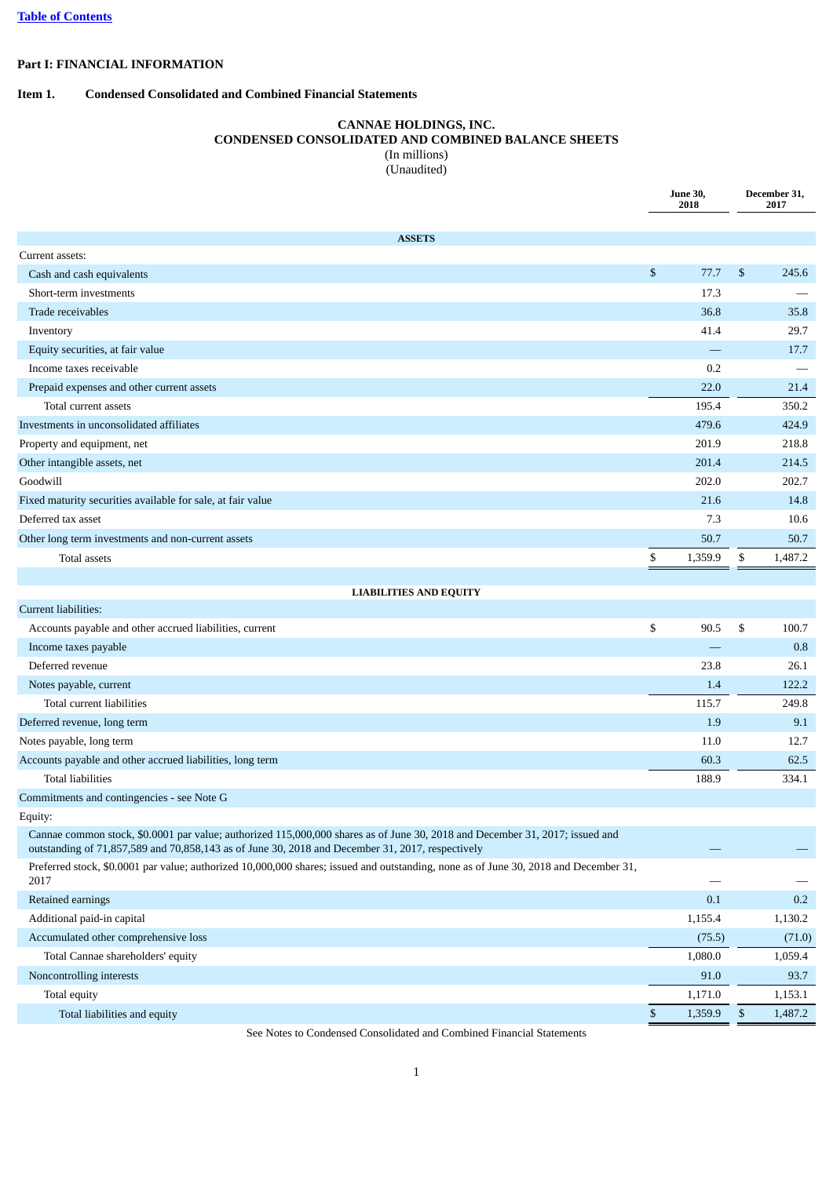# <span id="page-2-0"></span>**Part I: FINANCIAL INFORMATION**

<span id="page-2-2"></span><span id="page-2-1"></span>**Item 1. Condensed Consolidated and Combined Financial Statements**

## **CANNAE HOLDINGS, INC. CONDENSED CONSOLIDATED AND COMBINED BALANCE SHEETS** (In millions) (Unaudited)

|                                                                                                                                                                                                                                             | <b>June 30,</b><br>2018 | December 31,<br>2017 |
|---------------------------------------------------------------------------------------------------------------------------------------------------------------------------------------------------------------------------------------------|-------------------------|----------------------|
| <b>ASSETS</b>                                                                                                                                                                                                                               |                         |                      |
| Current assets:                                                                                                                                                                                                                             |                         |                      |
| Cash and cash equivalents                                                                                                                                                                                                                   | \$<br>77.7              | \$<br>245.6          |
| Short-term investments                                                                                                                                                                                                                      | 17.3                    |                      |
| Trade receivables                                                                                                                                                                                                                           | 36.8                    | 35.8                 |
| Inventory                                                                                                                                                                                                                                   | 41.4                    | 29.7                 |
| Equity securities, at fair value                                                                                                                                                                                                            |                         | 17.7                 |
| Income taxes receivable                                                                                                                                                                                                                     | 0.2                     |                      |
| Prepaid expenses and other current assets                                                                                                                                                                                                   | 22.0                    | 21.4                 |
| Total current assets                                                                                                                                                                                                                        | 195.4                   | 350.2                |
| Investments in unconsolidated affiliates                                                                                                                                                                                                    | 479.6                   | 424.9                |
| Property and equipment, net                                                                                                                                                                                                                 | 201.9                   | 218.8                |
| Other intangible assets, net                                                                                                                                                                                                                | 201.4                   | 214.5                |
| Goodwill                                                                                                                                                                                                                                    | 202.0                   | 202.7                |
| Fixed maturity securities available for sale, at fair value                                                                                                                                                                                 | 21.6                    | 14.8                 |
| Deferred tax asset                                                                                                                                                                                                                          | 7.3                     | 10.6                 |
| Other long term investments and non-current assets                                                                                                                                                                                          | 50.7                    | 50.7                 |
| <b>Total assets</b>                                                                                                                                                                                                                         | \$<br>1,359.9           | \$<br>1,487.2        |
|                                                                                                                                                                                                                                             |                         |                      |
| <b>LIABILITIES AND EQUITY</b>                                                                                                                                                                                                               |                         |                      |
| Current liabilities:                                                                                                                                                                                                                        |                         |                      |
| Accounts payable and other accrued liabilities, current                                                                                                                                                                                     | \$<br>90.5              | \$<br>100.7          |
| Income taxes payable                                                                                                                                                                                                                        |                         | 0.8                  |
| Deferred revenue                                                                                                                                                                                                                            | 23.8                    | 26.1                 |
| Notes payable, current                                                                                                                                                                                                                      | 1.4                     | 122.2                |
| Total current liabilities                                                                                                                                                                                                                   | 115.7                   | 249.8                |
| Deferred revenue, long term                                                                                                                                                                                                                 | 1.9                     | 9.1                  |
| Notes payable, long term                                                                                                                                                                                                                    | 11.0                    | 12.7                 |
| Accounts payable and other accrued liabilities, long term                                                                                                                                                                                   | 60.3                    | 62.5                 |
| <b>Total liabilities</b>                                                                                                                                                                                                                    | 188.9                   | 334.1                |
| Commitments and contingencies - see Note G                                                                                                                                                                                                  |                         |                      |
| Equity:<br>Cannae common stock, \$0.0001 par value; authorized 115,000,000 shares as of June 30, 2018 and December 31, 2017; issued and<br>outstanding of 71,857,589 and 70,858,143 as of June 30, 2018 and December 31, 2017, respectively |                         |                      |
| Preferred stock, \$0.0001 par value; authorized 10,000,000 shares; issued and outstanding, none as of June 30, 2018 and December 31,<br>2017                                                                                                |                         |                      |
| Retained earnings                                                                                                                                                                                                                           | 0.1                     | 0.2                  |
| Additional paid-in capital                                                                                                                                                                                                                  | 1,155.4                 | 1,130.2              |
| Accumulated other comprehensive loss                                                                                                                                                                                                        | (75.5)                  | (71.0)               |
| Total Cannae shareholders' equity                                                                                                                                                                                                           | 1,080.0                 | 1,059.4              |
| Noncontrolling interests                                                                                                                                                                                                                    | 91.0                    | 93.7                 |
| Total equity                                                                                                                                                                                                                                | 1,171.0                 | 1,153.1              |
| Total liabilities and equity                                                                                                                                                                                                                | \$<br>1,359.9           | \$<br>1,487.2        |
|                                                                                                                                                                                                                                             |                         |                      |

See Notes to Condensed Consolidated and Combined Financial Statements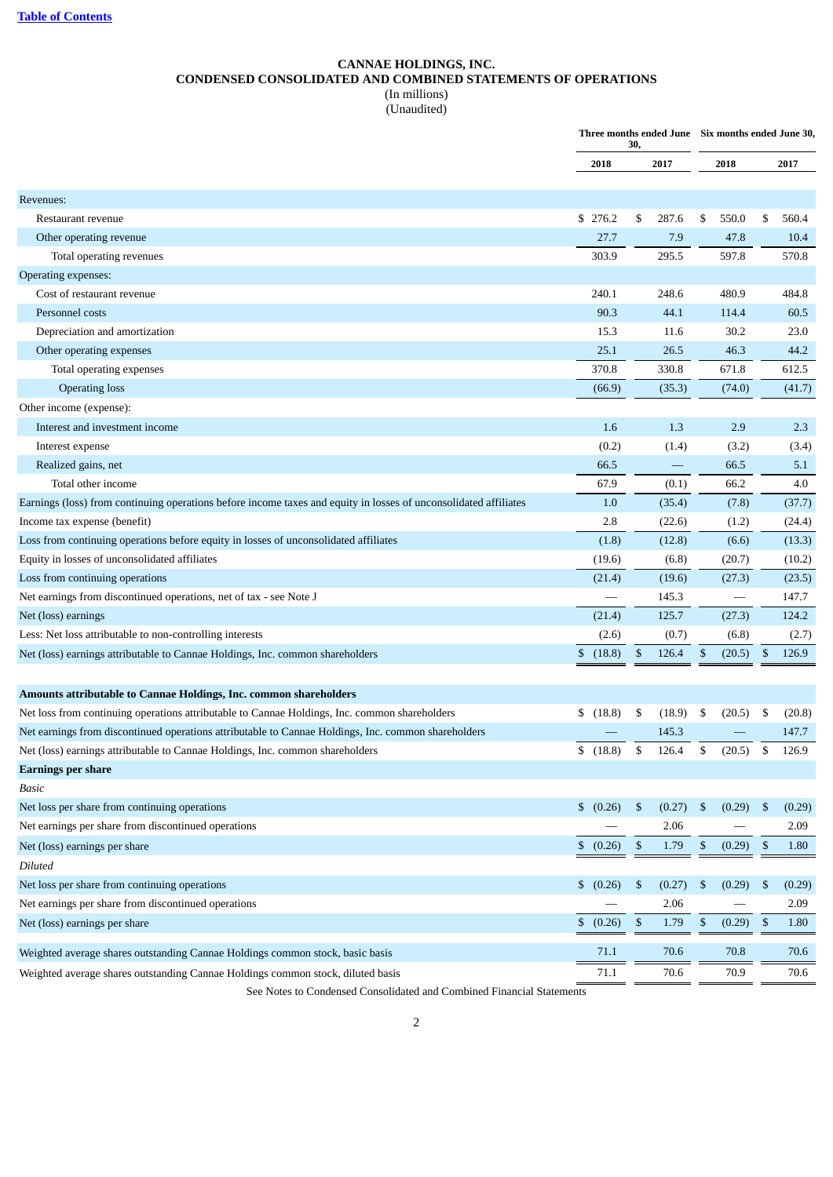## **CANNAE HOLDINGS, INC. CONDENSED CONSOLIDATED AND COMBINED STATEMENTS OF OPERATIONS** (In millions)

(Unaudited)

<span id="page-3-0"></span>

|                                                                                                                  | Three months ended June Six months ended June 30,<br>30, |                |        |               |        |                           |        |
|------------------------------------------------------------------------------------------------------------------|----------------------------------------------------------|----------------|--------|---------------|--------|---------------------------|--------|
|                                                                                                                  | 2018                                                     |                | 2017   | 2018          |        |                           | 2017   |
|                                                                                                                  |                                                          |                |        |               |        |                           |        |
| Revenues:                                                                                                        |                                                          |                |        |               |        |                           |        |
| Restaurant revenue                                                                                               | \$276.2                                                  | \$             | 287.6  | \$            | 550.0  | \$                        | 560.4  |
| Other operating revenue                                                                                          | 27.7                                                     |                | 7.9    |               | 47.8   |                           | 10.4   |
| Total operating revenues                                                                                         | 303.9                                                    |                | 295.5  |               | 597.8  |                           | 570.8  |
| Operating expenses:                                                                                              |                                                          |                |        |               |        |                           |        |
| Cost of restaurant revenue                                                                                       | 240.1                                                    |                | 248.6  |               | 480.9  |                           | 484.8  |
| Personnel costs                                                                                                  | 90.3                                                     |                | 44.1   |               | 114.4  |                           | 60.5   |
| Depreciation and amortization                                                                                    | 15.3                                                     |                | 11.6   |               | 30.2   |                           | 23.0   |
| Other operating expenses                                                                                         | 25.1                                                     |                | 26.5   |               | 46.3   |                           | 44.2   |
| Total operating expenses                                                                                         | 370.8                                                    |                | 330.8  |               | 671.8  |                           | 612.5  |
| <b>Operating loss</b>                                                                                            | (66.9)                                                   |                | (35.3) |               | (74.0) |                           | (41.7) |
| Other income (expense):                                                                                          |                                                          |                |        |               |        |                           |        |
| Interest and investment income                                                                                   | 1.6                                                      |                | 1.3    |               | 2.9    |                           | 2.3    |
| Interest expense                                                                                                 | (0.2)                                                    |                | (1.4)  |               | (3.2)  |                           | (3.4)  |
| Realized gains, net                                                                                              | 66.5                                                     |                |        |               | 66.5   |                           | 5.1    |
| Total other income                                                                                               | 67.9                                                     |                | (0.1)  |               | 66.2   |                           | 4.0    |
| Earnings (loss) from continuing operations before income taxes and equity in losses of unconsolidated affiliates | 1.0                                                      |                | (35.4) |               | (7.8)  |                           | (37.7) |
| Income tax expense (benefit)                                                                                     | 2.8                                                      |                | (22.6) |               | (1.2)  |                           | (24.4) |
| Loss from continuing operations before equity in losses of unconsolidated affiliates                             | (1.8)                                                    |                | (12.8) |               | (6.6)  |                           | (13.3) |
| Equity in losses of unconsolidated affiliates                                                                    | (19.6)                                                   |                | (6.8)  |               | (20.7) |                           | (10.2) |
| Loss from continuing operations                                                                                  | (21.4)                                                   |                | (19.6) |               | (27.3) |                           | (23.5) |
| Net earnings from discontinued operations, net of tax - see Note J                                               |                                                          |                | 145.3  |               |        |                           | 147.7  |
| Net (loss) earnings                                                                                              | (21.4)                                                   |                | 125.7  |               | (27.3) |                           | 124.2  |
| Less: Net loss attributable to non-controlling interests                                                         | (2.6)                                                    |                | (0.7)  |               | (6.8)  |                           | (2.7)  |
| Net (loss) earnings attributable to Cannae Holdings, Inc. common shareholders                                    | \$<br>(18.8)                                             | \$             | 126.4  | \$            | (20.5) | \$                        | 126.9  |
|                                                                                                                  |                                                          |                |        |               |        |                           |        |
| Amounts attributable to Cannae Holdings, Inc. common shareholders                                                |                                                          |                |        |               |        |                           |        |
| Net loss from continuing operations attributable to Cannae Holdings, Inc. common shareholders                    | \$(18.8)                                                 | \$             | (18.9) | \$            | (20.5) | - \$                      | (20.8) |
| Net earnings from discontinued operations attributable to Cannae Holdings, Inc. common shareholders              |                                                          |                | 145.3  |               |        |                           | 147.7  |
| Net (loss) earnings attributable to Cannae Holdings, Inc. common shareholders                                    | \$<br>(18.8)                                             | \$             | 126.4  | \$            | (20.5) | \$                        | 126.9  |
| <b>Earnings per share</b>                                                                                        |                                                          |                |        |               |        |                           |        |
| Basic                                                                                                            |                                                          |                |        |               |        |                           |        |
| Net loss per share from continuing operations                                                                    | \$ (0.26)                                                | \$             | (0.27) | \$            | (0.29) | \$                        | (0.29) |
| Net earnings per share from discontinued operations                                                              |                                                          |                | 2.06   |               |        |                           | 2.09   |
| Net (loss) earnings per share                                                                                    | \$<br>(0.26)                                             | ${\mathbb S}$  | 1.79   | ${\mathbb S}$ | (0.29) | $\$\,$                    | 1.80   |
| <b>Diluted</b>                                                                                                   |                                                          |                |        |               |        |                           |        |
| Net loss per share from continuing operations                                                                    | (0.26)                                                   | \$             | (0.27) | \$            | (0.29) | -\$                       | (0.29) |
| Net earnings per share from discontinued operations                                                              |                                                          |                | 2.06   |               |        |                           | 2.09   |
| Net (loss) earnings per share                                                                                    | \$<br>(0.26)                                             | $\mathfrak{s}$ | 1.79   | \$            | (0.29) | $\boldsymbol{\mathsf{S}}$ | 1.80   |
| Weighted average shares outstanding Cannae Holdings common stock, basic basis                                    | 71.1                                                     |                | 70.6   |               | 70.8   |                           | 70.6   |
| Weighted average shares outstanding Cannae Holdings common stock, diluted basis                                  | 71.1                                                     |                | 70.6   |               | 70.9   |                           | 70.6   |

See Notes to Condensed Consolidated and Combined Financial Statements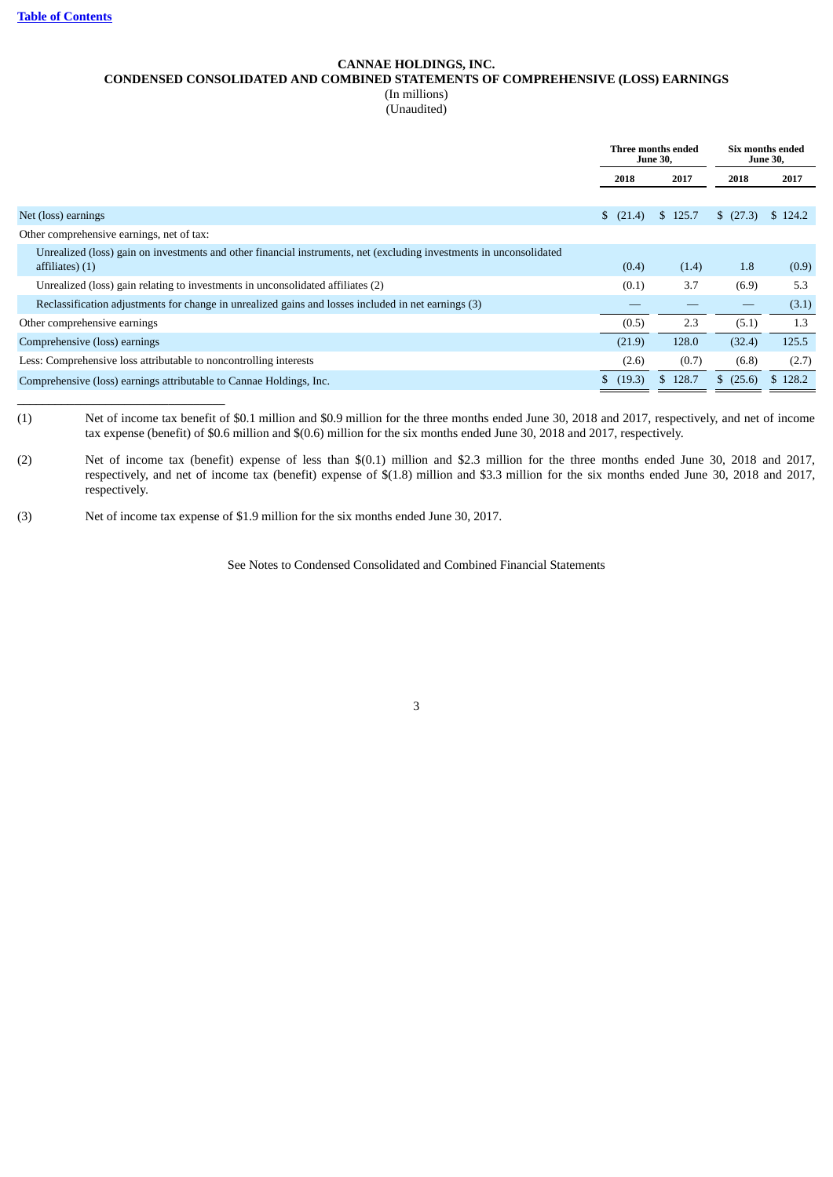\_\_\_\_\_\_\_\_\_\_\_\_\_\_\_\_\_\_\_\_\_\_\_\_\_\_\_\_\_\_\_\_\_

## <span id="page-4-0"></span>**CANNAE HOLDINGS, INC. CONDENSED CONSOLIDATED AND COMBINED STATEMENTS OF COMPREHENSIVE (LOSS) EARNINGS** (In millions)

# (Unaudited)

|                                                                                                                                          |              | Three months ended<br><b>June 30,</b> |           | <b>Six months ended</b><br><b>June 30,</b> |
|------------------------------------------------------------------------------------------------------------------------------------------|--------------|---------------------------------------|-----------|--------------------------------------------|
|                                                                                                                                          | 2018         | 2017                                  | 2018      | 2017                                       |
|                                                                                                                                          |              |                                       |           |                                            |
| Net (loss) earnings                                                                                                                      | \$ (21.4)    | \$125.7                               | \$ (27.3) | \$124.2                                    |
| Other comprehensive earnings, net of tax:                                                                                                |              |                                       |           |                                            |
| Unrealized (loss) gain on investments and other financial instruments, net (excluding investments in unconsolidated<br>$affiliates)$ (1) | (0.4)        | (1.4)                                 | 1.8       | (0.9)                                      |
| Unrealized (loss) gain relating to investments in unconsolidated affiliates (2)                                                          | (0.1)        | 3.7                                   | (6.9)     | 5.3                                        |
| Reclassification adjustments for change in unrealized gains and losses included in net earnings (3)                                      |              |                                       |           | (3.1)                                      |
| Other comprehensive earnings                                                                                                             | (0.5)        | 2.3                                   | (5.1)     | 1.3                                        |
| Comprehensive (loss) earnings                                                                                                            | (21.9)       | 128.0                                 | (32.4)    | 125.5                                      |
| Less: Comprehensive loss attributable to noncontrolling interests                                                                        | (2.6)        | (0.7)                                 | (6.8)     | (2.7)                                      |
| Comprehensive (loss) earnings attributable to Cannae Holdings, Inc.                                                                      | (19.3)<br>S. | 128.7<br>S.                           | \$(25.6)  | \$128.2                                    |

(1) Net of income tax benefit of \$0.1 million and \$0.9 million for the three months ended June 30, 2018 and 2017, respectively, and net of income tax expense (benefit) of \$0.6 million and \$(0.6) million for the six months ended June 30, 2018 and 2017, respectively.

(2) Net of income tax (benefit) expense of less than \$(0.1) million and \$2.3 million for the three months ended June 30, 2018 and 2017, respectively, and net of income tax (benefit) expense of \$(1.8) million and \$3.3 million for the six months ended June 30, 2018 and 2017, respectively.

(3) Net of income tax expense of \$1.9 million for the six months ended June 30, 2017.

See Notes to Condensed Consolidated and Combined Financial Statements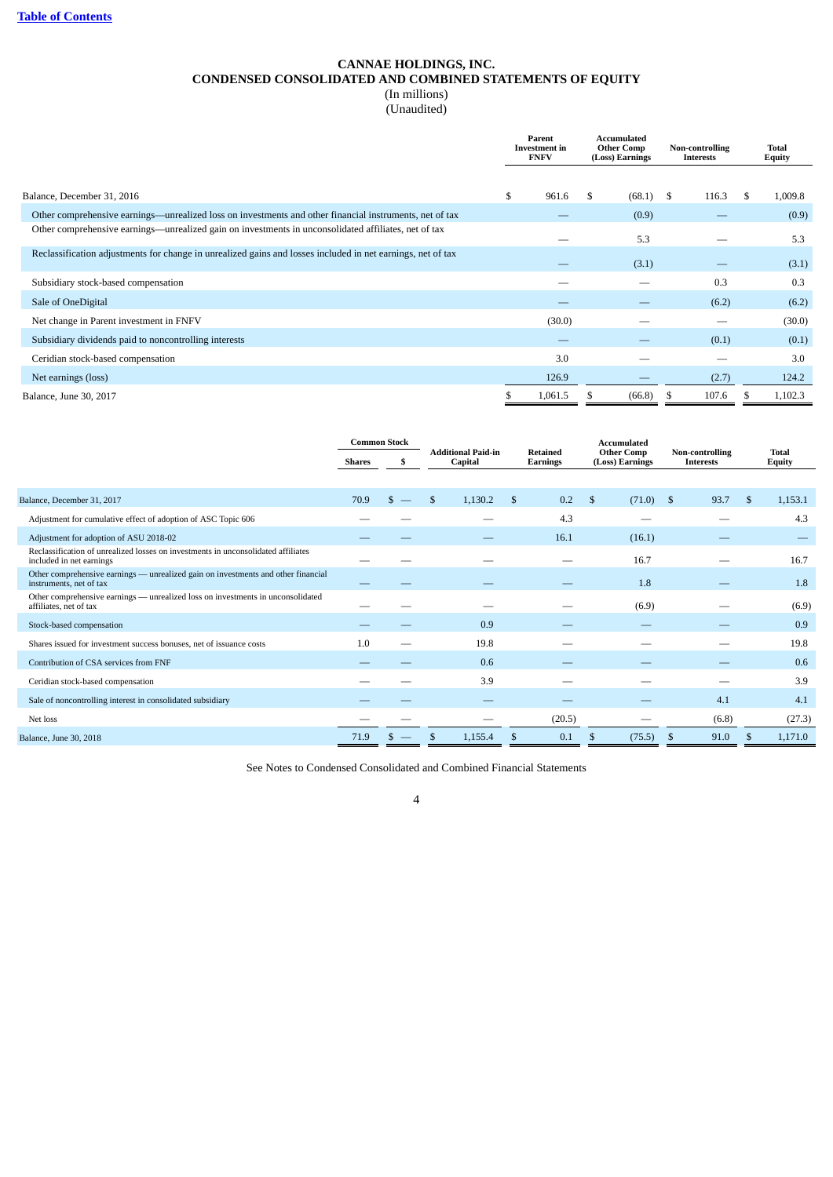# **CANNAE HOLDINGS, INC. CONDENSED CONSOLIDATED AND COMBINED STATEMENTS OF EQUITY**

(In millions) (Unaudited)

<span id="page-5-0"></span>

|                                                                                                             | Parent<br>Investment in<br><b>FNFV</b> |         |    |        | Accumulated<br><b>Other Comp</b><br>Non-controlling<br>(Loss) Earnings<br><b>Interests</b> |   | <b>Total</b><br><b>Equity</b> |
|-------------------------------------------------------------------------------------------------------------|----------------------------------------|---------|----|--------|--------------------------------------------------------------------------------------------|---|-------------------------------|
|                                                                                                             |                                        |         |    |        |                                                                                            |   |                               |
| Balance, December 31, 2016                                                                                  | \$                                     | 961.6   | \$ | (68.1) | 116.3<br>\$                                                                                | S | 1,009.8                       |
| Other comprehensive earnings—unrealized loss on investments and other financial instruments, net of tax     |                                        |         |    | (0.9)  |                                                                                            |   | (0.9)                         |
| Other comprehensive earnings—unrealized gain on investments in unconsolidated affiliates, net of tax        |                                        |         |    | 5.3    |                                                                                            |   | 5.3                           |
| Reclassification adjustments for change in unrealized gains and losses included in net earnings, net of tax |                                        |         |    | (3.1)  |                                                                                            |   | (3.1)                         |
| Subsidiary stock-based compensation                                                                         |                                        |         |    |        | 0.3                                                                                        |   | 0.3                           |
| Sale of OneDigital                                                                                          |                                        |         |    |        | (6.2)                                                                                      |   | (6.2)                         |
| Net change in Parent investment in FNFV                                                                     |                                        | (30.0)  |    |        |                                                                                            |   | (30.0)                        |
| Subsidiary dividends paid to noncontrolling interests                                                       |                                        |         |    |        | (0.1)                                                                                      |   | (0.1)                         |
| Ceridian stock-based compensation                                                                           |                                        | 3.0     |    |        |                                                                                            |   | 3.0                           |
| Net earnings (loss)                                                                                         |                                        | 126.9   |    |        | (2.7)                                                                                      |   | 124.2                         |
| Balance, June 30, 2017                                                                                      |                                        | 1,061.5 |    | (66.8) | 107.6<br>S                                                                                 |   | 1,102.3                       |

|                                                                                                               | <b>Common Stock</b> |     |     |                                      | <b>Accumulated</b>                                    |        |                   |        |                                     |    |                        |
|---------------------------------------------------------------------------------------------------------------|---------------------|-----|-----|--------------------------------------|-------------------------------------------------------|--------|-------------------|--------|-------------------------------------|----|------------------------|
|                                                                                                               | <b>Shares</b>       | S,  |     | <b>Additional Paid-in</b><br>Capital | <b>Retained</b><br><b>Earnings</b><br>(Loss) Earnings |        | <b>Other Comp</b> |        | Non-controlling<br><b>Interests</b> |    | <b>Total</b><br>Equity |
|                                                                                                               |                     |     |     |                                      |                                                       |        |                   |        |                                     |    |                        |
| Balance, December 31, 2017                                                                                    | 70.9                | \$. | \$  | 1,130.2                              | \$                                                    | 0.2    | $\mathbb{S}$      | (71.0) | 93.7<br>$\mathbb{S}$                | \$ | 1,153.1                |
| Adjustment for cumulative effect of adoption of ASC Topic 606                                                 |                     |     |     |                                      |                                                       | 4.3    |                   |        |                                     |    | 4.3                    |
| Adjustment for adoption of ASU 2018-02                                                                        |                     |     |     |                                      |                                                       | 16.1   |                   | (16.1) |                                     |    |                        |
| Reclassification of unrealized losses on investments in unconsolidated affiliates<br>included in net earnings |                     |     |     |                                      |                                                       |        |                   | 16.7   |                                     |    | 16.7                   |
| Other comprehensive earnings — unrealized gain on investments and other financial<br>instruments, net of tax  |                     |     |     |                                      |                                                       |        |                   | 1.8    |                                     |    | 1.8                    |
| Other comprehensive earnings - unrealized loss on investments in unconsolidated<br>affiliates, net of tax     |                     |     |     |                                      |                                                       |        |                   | (6.9)  |                                     |    | (6.9)                  |
| Stock-based compensation                                                                                      |                     |     |     | 0.9                                  |                                                       |        |                   |        |                                     |    | 0.9                    |
| Shares issued for investment success bonuses, net of issuance costs                                           | 1.0                 |     |     | 19.8                                 |                                                       |        |                   |        |                                     |    | 19.8                   |
| Contribution of CSA services from FNF                                                                         |                     |     |     | 0.6                                  |                                                       |        |                   |        |                                     |    | 0.6                    |
| Ceridian stock-based compensation                                                                             |                     |     |     | 3.9                                  |                                                       |        |                   |        |                                     |    | 3.9                    |
| Sale of noncontrolling interest in consolidated subsidiary                                                    |                     |     |     | --                                   |                                                       |        |                   |        | 4.1                                 |    | 4.1                    |
| Net loss                                                                                                      |                     |     |     |                                      |                                                       | (20.5) |                   |        | (6.8)                               |    | (27.3)                 |
| Balance, June 30, 2018                                                                                        | 71.9                | S.  | \$. | 1,155.4                              | S                                                     | 0.1    | S.                | (75.5) | 91.0<br>S                           |    | 1,171.0                |

See Notes to Condensed Consolidated and Combined Financial Statements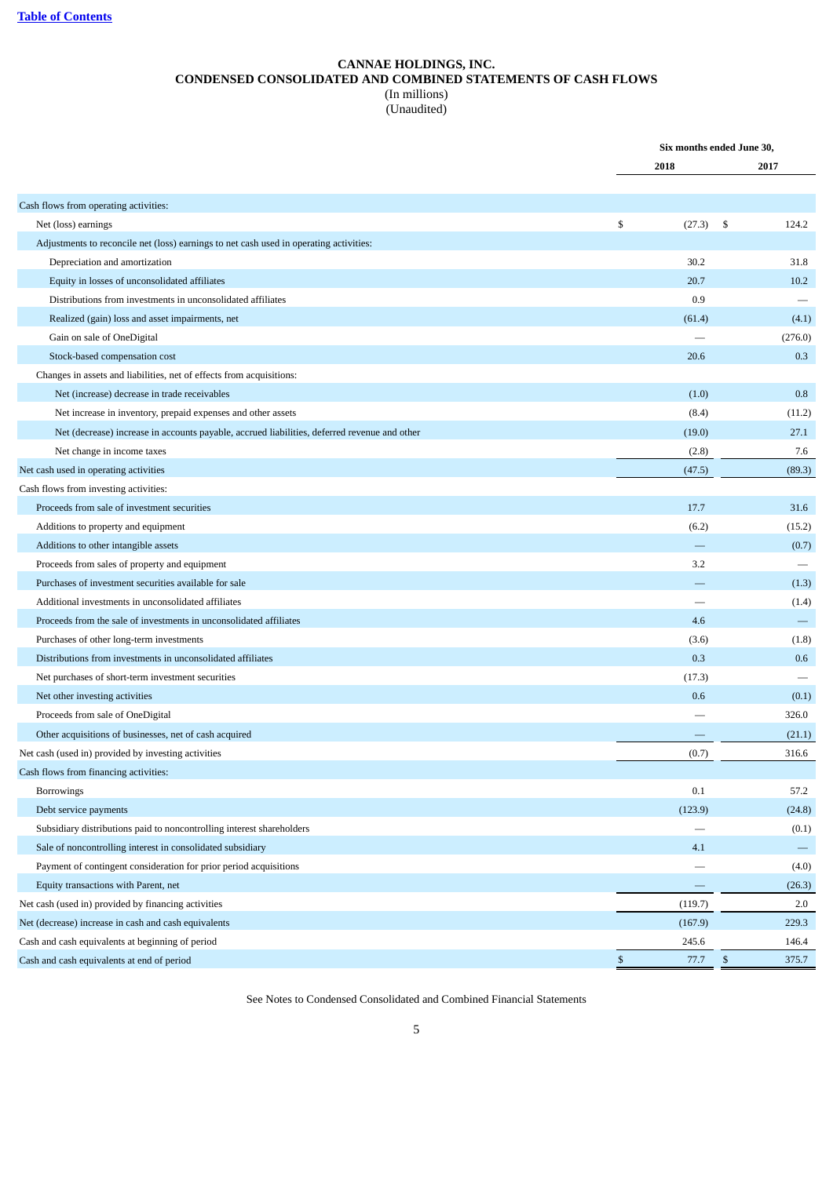## **CANNAE HOLDINGS, INC. CONDENSED CONSOLIDATED AND COMBINED STATEMENTS OF CASH FLOWS** (In millions)

(Unaudited)

<span id="page-6-0"></span>

|                                                                                              |              | Six months ended June 30, |              |         |
|----------------------------------------------------------------------------------------------|--------------|---------------------------|--------------|---------|
|                                                                                              |              | 2018                      |              | 2017    |
| Cash flows from operating activities:                                                        |              |                           |              |         |
| Net (loss) earnings                                                                          | \$           | $(27.3)$ \$               |              | 124.2   |
| Adjustments to reconcile net (loss) earnings to net cash used in operating activities:       |              |                           |              |         |
| Depreciation and amortization                                                                |              | 30.2                      |              | 31.8    |
| Equity in losses of unconsolidated affiliates                                                |              | 20.7                      |              | 10.2    |
| Distributions from investments in unconsolidated affiliates                                  |              | 0.9                       |              |         |
| Realized (gain) loss and asset impairments, net                                              |              | (61.4)                    |              | (4.1)   |
| Gain on sale of OneDigital                                                                   |              |                           |              | (276.0) |
| Stock-based compensation cost                                                                |              | 20.6                      |              | 0.3     |
| Changes in assets and liabilities, net of effects from acquisitions:                         |              |                           |              |         |
|                                                                                              |              |                           |              | 0.8     |
| Net (increase) decrease in trade receivables                                                 |              | (1.0)                     |              |         |
| Net increase in inventory, prepaid expenses and other assets                                 |              | (8.4)                     |              | (11.2)  |
| Net (decrease) increase in accounts payable, accrued liabilities, deferred revenue and other |              | (19.0)                    |              | 27.1    |
| Net change in income taxes                                                                   |              | (2.8)                     |              | 7.6     |
| Net cash used in operating activities                                                        |              | (47.5)                    |              | (89.3)  |
| Cash flows from investing activities:                                                        |              |                           |              |         |
| Proceeds from sale of investment securities                                                  |              | 17.7                      |              | 31.6    |
| Additions to property and equipment                                                          |              | (6.2)                     |              | (15.2)  |
| Additions to other intangible assets                                                         |              |                           |              | (0.7)   |
| Proceeds from sales of property and equipment                                                |              | 3.2                       |              |         |
| Purchases of investment securities available for sale                                        |              |                           |              | (1.3)   |
| Additional investments in unconsolidated affiliates                                          |              |                           |              | (1.4)   |
| Proceeds from the sale of investments in unconsolidated affiliates                           |              | 4.6                       |              |         |
| Purchases of other long-term investments                                                     |              | (3.6)                     |              | (1.8)   |
| Distributions from investments in unconsolidated affiliates                                  |              | 0.3                       |              | 0.6     |
| Net purchases of short-term investment securities                                            |              | (17.3)                    |              |         |
| Net other investing activities                                                               |              | 0.6                       |              | (0.1)   |
| Proceeds from sale of OneDigital                                                             |              |                           |              | 326.0   |
| Other acquisitions of businesses, net of cash acquired                                       |              |                           |              | (21.1)  |
| Net cash (used in) provided by investing activities                                          |              | (0.7)                     |              | 316.6   |
| Cash flows from financing activities:                                                        |              |                           |              |         |
| Borrowings                                                                                   |              | 0.1                       |              | 57.2    |
| Debt service payments                                                                        |              | (123.9)                   |              | (24.8)  |
| Subsidiary distributions paid to noncontrolling interest shareholders                        |              |                           |              | (0.1)   |
| Sale of noncontrolling interest in consolidated subsidiary                                   |              | 4.1                       |              |         |
| Payment of contingent consideration for prior period acquisitions                            |              |                           |              | (4.0)   |
| Equity transactions with Parent, net                                                         |              |                           |              | (26.3)  |
| Net cash (used in) provided by financing activities                                          |              | (119.7)                   |              | 2.0     |
| Net (decrease) increase in cash and cash equivalents                                         |              | (167.9)                   |              | 229.3   |
| Cash and cash equivalents at beginning of period                                             |              | 245.6                     |              | 146.4   |
| Cash and cash equivalents at end of period                                                   | $\mathbb{S}$ | 77.7                      | $\mathbb{S}$ | 375.7   |

See Notes to Condensed Consolidated and Combined Financial Statements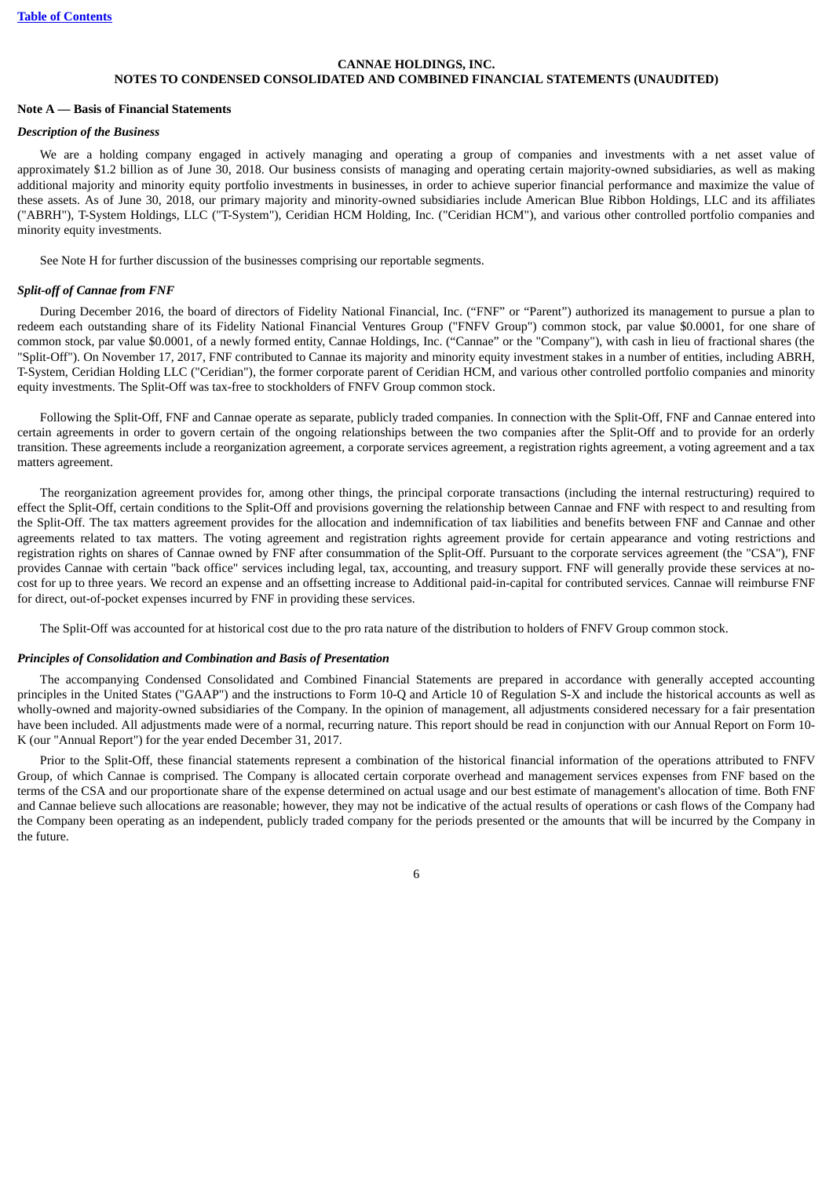#### <span id="page-7-1"></span><span id="page-7-0"></span>**Note A — Basis of Financial Statements**

#### *Description of the Business*

We are a holding company engaged in actively managing and operating a group of companies and investments with a net asset value of approximately \$1.2 billion as of June 30, 2018. Our business consists of managing and operating certain majority-owned subsidiaries, as well as making additional majority and minority equity portfolio investments in businesses, in order to achieve superior financial performance and maximize the value of these assets. As of June 30, 2018, our primary majority and minority-owned subsidiaries include American Blue Ribbon Holdings, LLC and its affiliates ("ABRH"), T-System Holdings, LLC ("T-System"), Ceridian HCM Holding, Inc. ("Ceridian HCM"), and various other controlled portfolio companies and minority equity investments.

See Note H for further discussion of the businesses comprising our reportable segments.

#### *Split-off of Cannae from FNF*

During December 2016, the board of directors of Fidelity National Financial, Inc. ("FNF" or "Parent") authorized its management to pursue a plan to redeem each outstanding share of its Fidelity National Financial Ventures Group ("FNFV Group") common stock, par value \$0.0001, for one share of common stock, par value \$0.0001, of a newly formed entity, Cannae Holdings, Inc. ("Cannae" or the "Company"), with cash in lieu of fractional shares (the "Split-Off"). On November 17, 2017, FNF contributed to Cannae its majority and minority equity investment stakes in a number of entities, including ABRH, T-System, Ceridian Holding LLC ("Ceridian"), the former corporate parent of Ceridian HCM, and various other controlled portfolio companies and minority equity investments. The Split-Off was tax-free to stockholders of FNFV Group common stock.

Following the Split-Off, FNF and Cannae operate as separate, publicly traded companies. In connection with the Split-Off, FNF and Cannae entered into certain agreements in order to govern certain of the ongoing relationships between the two companies after the Split-Off and to provide for an orderly transition. These agreements include a reorganization agreement, a corporate services agreement, a registration rights agreement, a voting agreement and a tax matters agreement.

The reorganization agreement provides for, among other things, the principal corporate transactions (including the internal restructuring) required to effect the Split-Off, certain conditions to the Split-Off and provisions governing the relationship between Cannae and FNF with respect to and resulting from the Split-Off. The tax matters agreement provides for the allocation and indemnification of tax liabilities and benefits between FNF and Cannae and other agreements related to tax matters. The voting agreement and registration rights agreement provide for certain appearance and voting restrictions and registration rights on shares of Cannae owned by FNF after consummation of the Split-Off. Pursuant to the corporate services agreement (the "CSA"), FNF provides Cannae with certain "back office" services including legal, tax, accounting, and treasury support. FNF will generally provide these services at nocost for up to three years. We record an expense and an offsetting increase to Additional paid-in-capital for contributed services. Cannae will reimburse FNF for direct, out-of-pocket expenses incurred by FNF in providing these services.

The Split-Off was accounted for at historical cost due to the pro rata nature of the distribution to holders of FNFV Group common stock.

#### *Principles of Consolidation and Combination and Basis of Presentation*

The accompanying Condensed Consolidated and Combined Financial Statements are prepared in accordance with generally accepted accounting principles in the United States ("GAAP") and the instructions to Form 10-Q and Article 10 of Regulation S-X and include the historical accounts as well as wholly-owned and majority-owned subsidiaries of the Company. In the opinion of management, all adjustments considered necessary for a fair presentation have been included. All adjustments made were of a normal, recurring nature. This report should be read in conjunction with our Annual Report on Form 10- K (our "Annual Report") for the year ended December 31, 2017.

Prior to the Split-Off, these financial statements represent a combination of the historical financial information of the operations attributed to FNFV Group, of which Cannae is comprised. The Company is allocated certain corporate overhead and management services expenses from FNF based on the terms of the CSA and our proportionate share of the expense determined on actual usage and our best estimate of management's allocation of time. Both FNF and Cannae believe such allocations are reasonable; however, they may not be indicative of the actual results of operations or cash flows of the Company had the Company been operating as an independent, publicly traded company for the periods presented or the amounts that will be incurred by the Company in the future.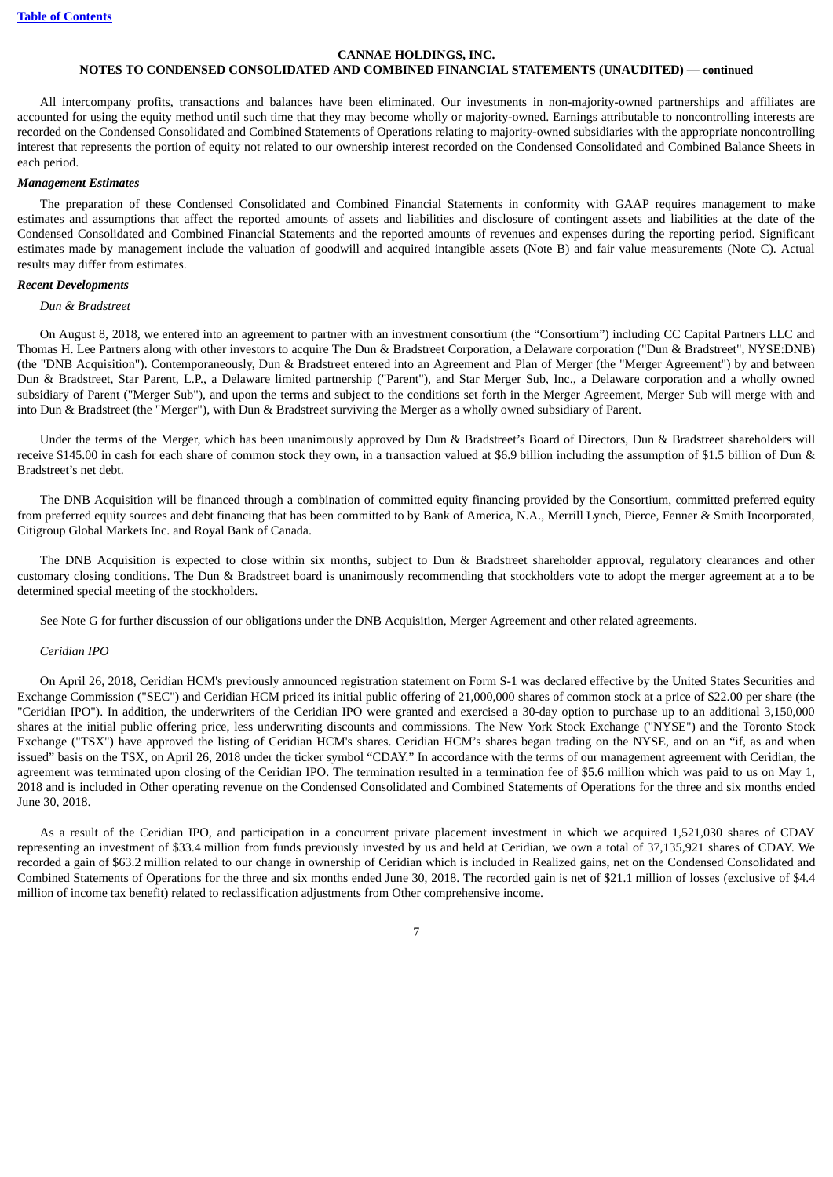## **NOTES TO CONDENSED CONSOLIDATED AND COMBINED FINANCIAL STATEMENTS (UNAUDITED) — continued**

All intercompany profits, transactions and balances have been eliminated. Our investments in non-majority-owned partnerships and affiliates are accounted for using the equity method until such time that they may become wholly or majority-owned. Earnings attributable to noncontrolling interests are recorded on the Condensed Consolidated and Combined Statements of Operations relating to majority-owned subsidiaries with the appropriate noncontrolling interest that represents the portion of equity not related to our ownership interest recorded on the Condensed Consolidated and Combined Balance Sheets in each period.

#### *Management Estimates*

The preparation of these Condensed Consolidated and Combined Financial Statements in conformity with GAAP requires management to make estimates and assumptions that affect the reported amounts of assets and liabilities and disclosure of contingent assets and liabilities at the date of the Condensed Consolidated and Combined Financial Statements and the reported amounts of revenues and expenses during the reporting period. Significant estimates made by management include the valuation of goodwill and acquired intangible assets (Note B) and fair value measurements (Note C). Actual results may differ from estimates.

#### *Recent Developments*

*Dun & Bradstreet*

On August 8, 2018, we entered into an agreement to partner with an investment consortium (the "Consortium") including CC Capital Partners LLC and Thomas H. Lee Partners along with other investors to acquire The Dun & Bradstreet Corporation, a Delaware corporation ("Dun & Bradstreet", NYSE:DNB) (the "DNB Acquisition"). Contemporaneously, Dun & Bradstreet entered into an Agreement and Plan of Merger (the "Merger Agreement") by and between Dun & Bradstreet, Star Parent, L.P., a Delaware limited partnership ("Parent"), and Star Merger Sub, Inc., a Delaware corporation and a wholly owned subsidiary of Parent ("Merger Sub"), and upon the terms and subject to the conditions set forth in the Merger Agreement, Merger Sub will merge with and into Dun & Bradstreet (the "Merger"), with Dun & Bradstreet surviving the Merger as a wholly owned subsidiary of Parent.

Under the terms of the Merger, which has been unanimously approved by Dun & Bradstreet's Board of Directors, Dun & Bradstreet shareholders will receive \$145.00 in cash for each share of common stock they own, in a transaction valued at \$6.9 billion including the assumption of \$1.5 billion of Dun & Bradstreet's net debt.

The DNB Acquisition will be financed through a combination of committed equity financing provided by the Consortium, committed preferred equity from preferred equity sources and debt financing that has been committed to by Bank of America, N.A., Merrill Lynch, Pierce, Fenner & Smith Incorporated, Citigroup Global Markets Inc. and Royal Bank of Canada.

The DNB Acquisition is expected to close within six months, subject to Dun & Bradstreet shareholder approval, regulatory clearances and other customary closing conditions. The Dun & Bradstreet board is unanimously recommending that stockholders vote to adopt the merger agreement at a to be determined special meeting of the stockholders.

See Note G for further discussion of our obligations under the DNB Acquisition, Merger Agreement and other related agreements.

#### *Ceridian IPO*

On April 26, 2018, Ceridian HCM's previously announced registration statement on Form S-1 was declared effective by the United States Securities and Exchange Commission ("SEC") and Ceridian HCM priced its initial public offering of 21,000,000 shares of common stock at a price of \$22.00 per share (the "Ceridian IPO"). In addition, the underwriters of the Ceridian IPO were granted and exercised a 30-day option to purchase up to an additional 3,150,000 shares at the initial public offering price, less underwriting discounts and commissions. The New York Stock Exchange ("NYSE") and the Toronto Stock Exchange ("TSX") have approved the listing of Ceridian HCM's shares. Ceridian HCM's shares began trading on the NYSE, and on an "if, as and when issued" basis on the TSX, on April 26, 2018 under the ticker symbol "CDAY." In accordance with the terms of our management agreement with Ceridian, the agreement was terminated upon closing of the Ceridian IPO. The termination resulted in a termination fee of \$5.6 million which was paid to us on May 1, 2018 and is included in Other operating revenue on the Condensed Consolidated and Combined Statements of Operations for the three and six months ended June 30, 2018.

As a result of the Ceridian IPO, and participation in a concurrent private placement investment in which we acquired 1,521,030 shares of CDAY representing an investment of \$33.4 million from funds previously invested by us and held at Ceridian, we own a total of 37,135,921 shares of CDAY. We recorded a gain of \$63.2 million related to our change in ownership of Ceridian which is included in Realized gains, net on the Condensed Consolidated and Combined Statements of Operations for the three and six months ended June 30, 2018. The recorded gain is net of \$21.1 million of losses (exclusive of \$4.4 million of income tax benefit) related to reclassification adjustments from Other comprehensive income.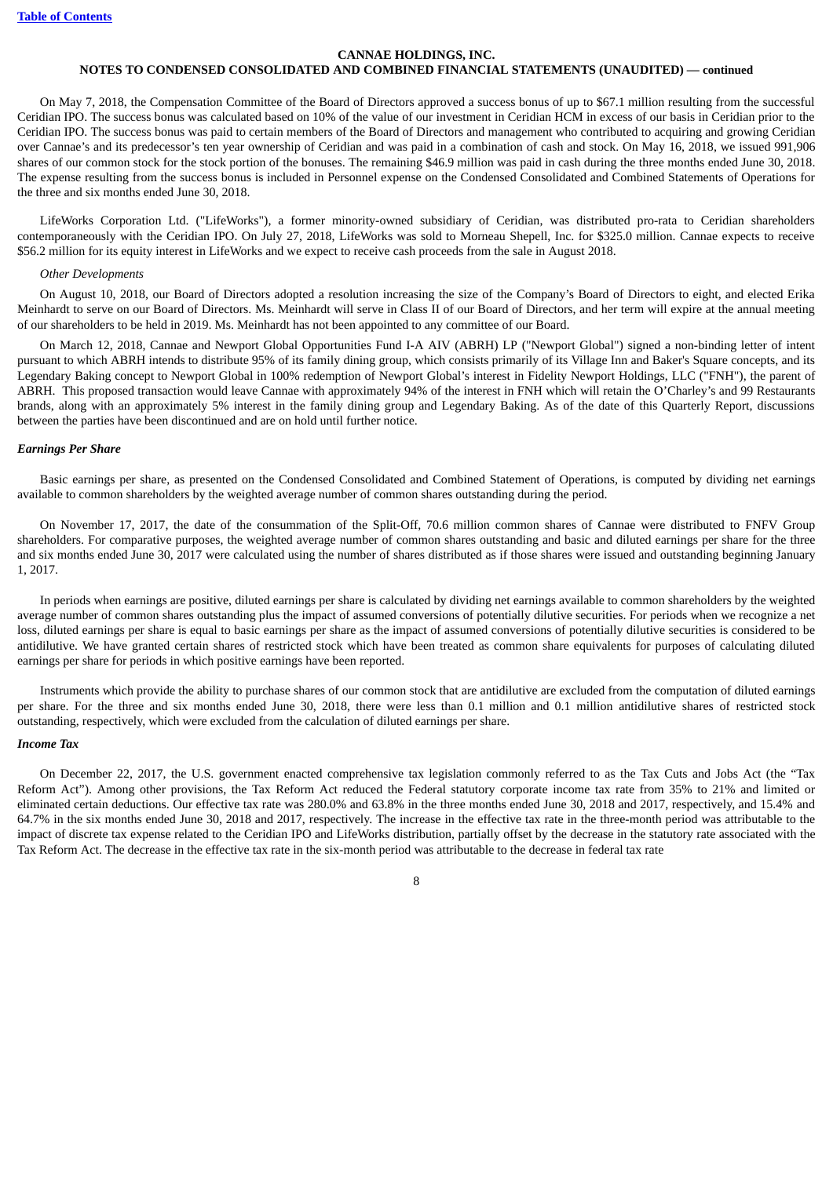### **NOTES TO CONDENSED CONSOLIDATED AND COMBINED FINANCIAL STATEMENTS (UNAUDITED) — continued**

On May 7, 2018, the Compensation Committee of the Board of Directors approved a success bonus of up to \$67.1 million resulting from the successful Ceridian IPO. The success bonus was calculated based on 10% of the value of our investment in Ceridian HCM in excess of our basis in Ceridian prior to the Ceridian IPO. The success bonus was paid to certain members of the Board of Directors and management who contributed to acquiring and growing Ceridian over Cannae's and its predecessor's ten year ownership of Ceridian and was paid in a combination of cash and stock. On May 16, 2018, we issued 991,906 shares of our common stock for the stock portion of the bonuses. The remaining \$46.9 million was paid in cash during the three months ended June 30, 2018. The expense resulting from the success bonus is included in Personnel expense on the Condensed Consolidated and Combined Statements of Operations for the three and six months ended June 30, 2018.

LifeWorks Corporation Ltd. ("LifeWorks"), a former minority-owned subsidiary of Ceridian, was distributed pro-rata to Ceridian shareholders contemporaneously with the Ceridian IPO. On July 27, 2018, LifeWorks was sold to Morneau Shepell, Inc. for \$325.0 million. Cannae expects to receive \$56.2 million for its equity interest in LifeWorks and we expect to receive cash proceeds from the sale in August 2018.

#### *Other Developments*

On August 10, 2018, our Board of Directors adopted a resolution increasing the size of the Company's Board of Directors to eight, and elected Erika Meinhardt to serve on our Board of Directors. Ms. Meinhardt will serve in Class II of our Board of Directors, and her term will expire at the annual meeting of our shareholders to be held in 2019. Ms. Meinhardt has not been appointed to any committee of our Board.

On March 12, 2018, Cannae and Newport Global Opportunities Fund I-A AIV (ABRH) LP ("Newport Global") signed a non-binding letter of intent pursuant to which ABRH intends to distribute 95% of its family dining group, which consists primarily of its Village Inn and Baker's Square concepts, and its Legendary Baking concept to Newport Global in 100% redemption of Newport Global's interest in Fidelity Newport Holdings, LLC ("FNH"), the parent of ABRH. This proposed transaction would leave Cannae with approximately 94% of the interest in FNH which will retain the O'Charley's and 99 Restaurants brands, along with an approximately 5% interest in the family dining group and Legendary Baking. As of the date of this Quarterly Report, discussions between the parties have been discontinued and are on hold until further notice.

#### *Earnings Per Share*

Basic earnings per share, as presented on the Condensed Consolidated and Combined Statement of Operations, is computed by dividing net earnings available to common shareholders by the weighted average number of common shares outstanding during the period.

On November 17, 2017, the date of the consummation of the Split-Off, 70.6 million common shares of Cannae were distributed to FNFV Group shareholders. For comparative purposes, the weighted average number of common shares outstanding and basic and diluted earnings per share for the three and six months ended June 30, 2017 were calculated using the number of shares distributed as if those shares were issued and outstanding beginning January 1, 2017.

In periods when earnings are positive, diluted earnings per share is calculated by dividing net earnings available to common shareholders by the weighted average number of common shares outstanding plus the impact of assumed conversions of potentially dilutive securities. For periods when we recognize a net loss, diluted earnings per share is equal to basic earnings per share as the impact of assumed conversions of potentially dilutive securities is considered to be antidilutive. We have granted certain shares of restricted stock which have been treated as common share equivalents for purposes of calculating diluted earnings per share for periods in which positive earnings have been reported.

Instruments which provide the ability to purchase shares of our common stock that are antidilutive are excluded from the computation of diluted earnings per share. For the three and six months ended June 30, 2018, there were less than 0.1 million and 0.1 million antidilutive shares of restricted stock outstanding, respectively, which were excluded from the calculation of diluted earnings per share.

#### *Income Tax*

On December 22, 2017, the U.S. government enacted comprehensive tax legislation commonly referred to as the Tax Cuts and Jobs Act (the "Tax Reform Act"). Among other provisions, the Tax Reform Act reduced the Federal statutory corporate income tax rate from 35% to 21% and limited or eliminated certain deductions. Our effective tax rate was 280.0% and 63.8% in the three months ended June 30, 2018 and 2017, respectively, and 15.4% and 64.7% in the six months ended June 30, 2018 and 2017, respectively. The increase in the effective tax rate in the three-month period was attributable to the impact of discrete tax expense related to the Ceridian IPO and LifeWorks distribution, partially offset by the decrease in the statutory rate associated with the Tax Reform Act. The decrease in the effective tax rate in the six-month period was attributable to the decrease in federal tax rate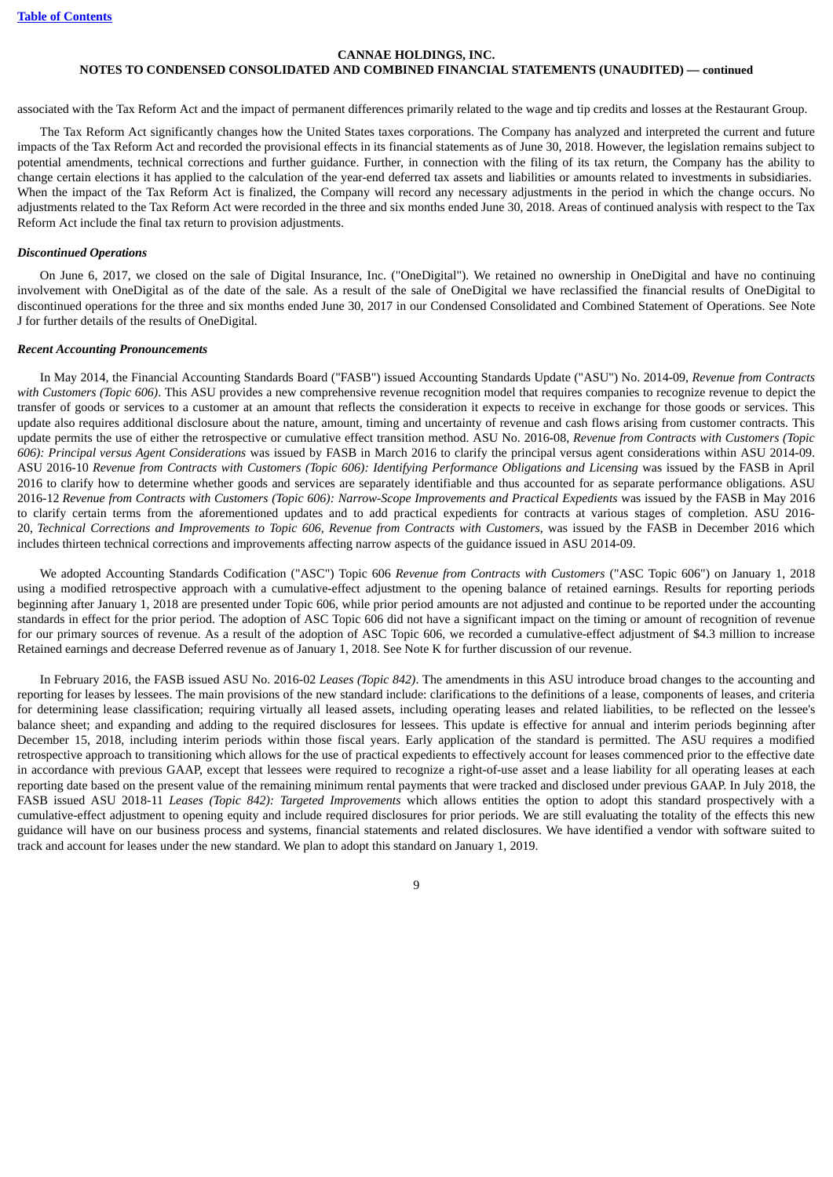## **NOTES TO CONDENSED CONSOLIDATED AND COMBINED FINANCIAL STATEMENTS (UNAUDITED) — continued**

associated with the Tax Reform Act and the impact of permanent differences primarily related to the wage and tip credits and losses at the Restaurant Group.

The Tax Reform Act significantly changes how the United States taxes corporations. The Company has analyzed and interpreted the current and future impacts of the Tax Reform Act and recorded the provisional effects in its financial statements as of June 30, 2018. However, the legislation remains subject to potential amendments, technical corrections and further guidance. Further, in connection with the filing of its tax return, the Company has the ability to change certain elections it has applied to the calculation of the year-end deferred tax assets and liabilities or amounts related to investments in subsidiaries. When the impact of the Tax Reform Act is finalized, the Company will record any necessary adjustments in the period in which the change occurs. No adjustments related to the Tax Reform Act were recorded in the three and six months ended June 30, 2018. Areas of continued analysis with respect to the Tax Reform Act include the final tax return to provision adjustments.

#### *Discontinued Operations*

On June 6, 2017, we closed on the sale of Digital Insurance, Inc. ("OneDigital"). We retained no ownership in OneDigital and have no continuing involvement with OneDigital as of the date of the sale. As a result of the sale of OneDigital we have reclassified the financial results of OneDigital to discontinued operations for the three and six months ended June 30, 2017 in our Condensed Consolidated and Combined Statement of Operations. See Note J for further details of the results of OneDigital.

#### *Recent Accounting Pronouncements*

In May 2014, the Financial Accounting Standards Board ("FASB") issued Accounting Standards Update ("ASU") No. 2014-09, *Revenue from Contracts with Customers (Topic 606)*. This ASU provides a new comprehensive revenue recognition model that requires companies to recognize revenue to depict the transfer of goods or services to a customer at an amount that reflects the consideration it expects to receive in exchange for those goods or services. This update also requires additional disclosure about the nature, amount, timing and uncertainty of revenue and cash flows arising from customer contracts. This update permits the use of either the retrospective or cumulative effect transition method. ASU No. 2016-08, *Revenue from Contracts with Customers (Topic 606): Principal versus Agent Considerations* was issued by FASB in March 2016 to clarify the principal versus agent considerations within ASU 2014-09. ASU 2016-10 Revenue from Contracts with Customers (Topic 606): Identifying Performance Obligations and Licensing was issued by the FASB in April 2016 to clarify how to determine whether goods and services are separately identifiable and thus accounted for as separate performance obligations. ASU 2016-12 Revenue from Contracts with Customers (Topic 606): Narrow-Scope Improvements and Practical Expedients was issued by the FASB in May 2016 to clarify certain terms from the aforementioned updates and to add practical expedients for contracts at various stages of completion. ASU 2016- 20, Technical Corrections and Improvements to Topic 606, Revenue from Contracts with Customers, was issued by the FASB in December 2016 which includes thirteen technical corrections and improvements affecting narrow aspects of the guidance issued in ASU 2014-09.

We adopted Accounting Standards Codification ("ASC") Topic 606 *Revenue from Contracts with Customers* ("ASC Topic 606") on January 1, 2018 using a modified retrospective approach with a cumulative-effect adjustment to the opening balance of retained earnings. Results for reporting periods beginning after January 1, 2018 are presented under Topic 606, while prior period amounts are not adjusted and continue to be reported under the accounting standards in effect for the prior period. The adoption of ASC Topic 606 did not have a significant impact on the timing or amount of recognition of revenue for our primary sources of revenue. As a result of the adoption of ASC Topic 606, we recorded a cumulative-effect adjustment of \$4.3 million to increase Retained earnings and decrease Deferred revenue as of January 1, 2018. See Note K for further discussion of our revenue.

In February 2016, the FASB issued ASU No. 2016-02 *Leases (Topic 842)*. The amendments in this ASU introduce broad changes to the accounting and reporting for leases by lessees. The main provisions of the new standard include: clarifications to the definitions of a lease, components of leases, and criteria for determining lease classification; requiring virtually all leased assets, including operating leases and related liabilities, to be reflected on the lessee's balance sheet; and expanding and adding to the required disclosures for lessees. This update is effective for annual and interim periods beginning after December 15, 2018, including interim periods within those fiscal years. Early application of the standard is permitted. The ASU requires a modified retrospective approach to transitioning which allows for the use of practical expedients to effectively account for leases commenced prior to the effective date in accordance with previous GAAP, except that lessees were required to recognize a right-of-use asset and a lease liability for all operating leases at each reporting date based on the present value of the remaining minimum rental payments that were tracked and disclosed under previous GAAP. In July 2018, the FASB issued ASU 2018-11 *Leases (Topic 842): Targeted Improvements* which allows entities the option to adopt this standard prospectively with a cumulative-effect adjustment to opening equity and include required disclosures for prior periods. We are still evaluating the totality of the effects this new guidance will have on our business process and systems, financial statements and related disclosures. We have identified a vendor with software suited to track and account for leases under the new standard. We plan to adopt this standard on January 1, 2019.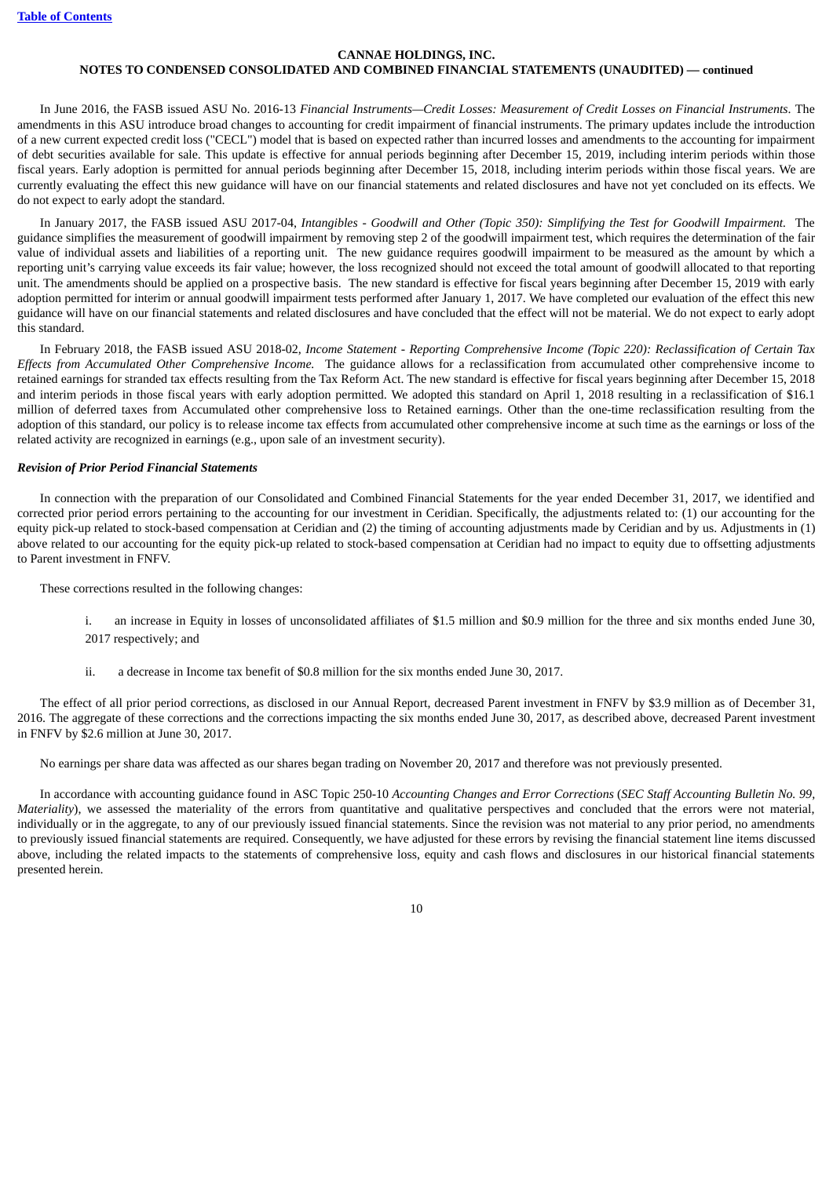## **NOTES TO CONDENSED CONSOLIDATED AND COMBINED FINANCIAL STATEMENTS (UNAUDITED) — continued**

In June 2016, the FASB issued ASU No. 2016-13 *Financial Instruments—Credit Losses: Measurement of Credit Losses on Financial Instruments*. The amendments in this ASU introduce broad changes to accounting for credit impairment of financial instruments. The primary updates include the introduction of a new current expected credit loss ("CECL") model that is based on expected rather than incurred losses and amendments to the accounting for impairment of debt securities available for sale. This update is effective for annual periods beginning after December 15, 2019, including interim periods within those fiscal years. Early adoption is permitted for annual periods beginning after December 15, 2018, including interim periods within those fiscal years. We are currently evaluating the effect this new guidance will have on our financial statements and related disclosures and have not yet concluded on its effects. We do not expect to early adopt the standard.

In January 2017, the FASB issued ASU 2017-04, Intangibles - Goodwill and Other (Topic 350): Simplifying the Test for Goodwill Impairment. The guidance simplifies the measurement of goodwill impairment by removing step 2 of the goodwill impairment test, which requires the determination of the fair value of individual assets and liabilities of a reporting unit. The new guidance requires goodwill impairment to be measured as the amount by which a reporting unit's carrying value exceeds its fair value; however, the loss recognized should not exceed the total amount of goodwill allocated to that reporting unit. The amendments should be applied on a prospective basis. The new standard is effective for fiscal years beginning after December 15, 2019 with early adoption permitted for interim or annual goodwill impairment tests performed after January 1, 2017. We have completed our evaluation of the effect this new guidance will have on our financial statements and related disclosures and have concluded that the effect will not be material. We do not expect to early adopt this standard.

In February 2018, the FASB issued ASU 2018-02, Income Statement - Reporting Comprehensive Income (Topic 220): Reclassification of Certain Tax *Effects from Accumulated Other Comprehensive Income.* The guidance allows for a reclassification from accumulated other comprehensive income to retained earnings for stranded tax effects resulting from the Tax Reform Act. The new standard is effective for fiscal years beginning after December 15, 2018 and interim periods in those fiscal years with early adoption permitted. We adopted this standard on April 1, 2018 resulting in a reclassification of \$16.1 million of deferred taxes from Accumulated other comprehensive loss to Retained earnings. Other than the one-time reclassification resulting from the adoption of this standard, our policy is to release income tax effects from accumulated other comprehensive income at such time as the earnings or loss of the related activity are recognized in earnings (e.g., upon sale of an investment security).

### *Revision of Prior Period Financial Statements*

In connection with the preparation of our Consolidated and Combined Financial Statements for the year ended December 31, 2017, we identified and corrected prior period errors pertaining to the accounting for our investment in Ceridian. Specifically, the adjustments related to: (1) our accounting for the equity pick-up related to stock-based compensation at Ceridian and (2) the timing of accounting adjustments made by Ceridian and by us. Adjustments in (1) above related to our accounting for the equity pick-up related to stock-based compensation at Ceridian had no impact to equity due to offsetting adjustments to Parent investment in FNFV.

These corrections resulted in the following changes:

- i. an increase in Equity in losses of unconsolidated affiliates of \$1.5 million and \$0.9 million for the three and six months ended June 30, 2017 respectively; and
- ii. a decrease in Income tax benefit of \$0.8 million for the six months ended June 30, 2017.

The effect of all prior period corrections, as disclosed in our Annual Report, decreased Parent investment in FNFV by \$3.9 million as of December 31, 2016. The aggregate of these corrections and the corrections impacting the six months ended June 30, 2017, as described above, decreased Parent investment in FNFV by \$2.6 million at June 30, 2017.

No earnings per share data was affected as our shares began trading on November 20, 2017 and therefore was not previously presented.

In accordance with accounting guidance found in ASC Topic 250-10 *Accounting Changes and Error Corrections* (*SEC Staff Accounting Bulletin No. 99, Materiality*), we assessed the materiality of the errors from quantitative and qualitative perspectives and concluded that the errors were not material, individually or in the aggregate, to any of our previously issued financial statements. Since the revision was not material to any prior period, no amendments to previously issued financial statements are required. Consequently, we have adjusted for these errors by revising the financial statement line items discussed above, including the related impacts to the statements of comprehensive loss, equity and cash flows and disclosures in our historical financial statements presented herein.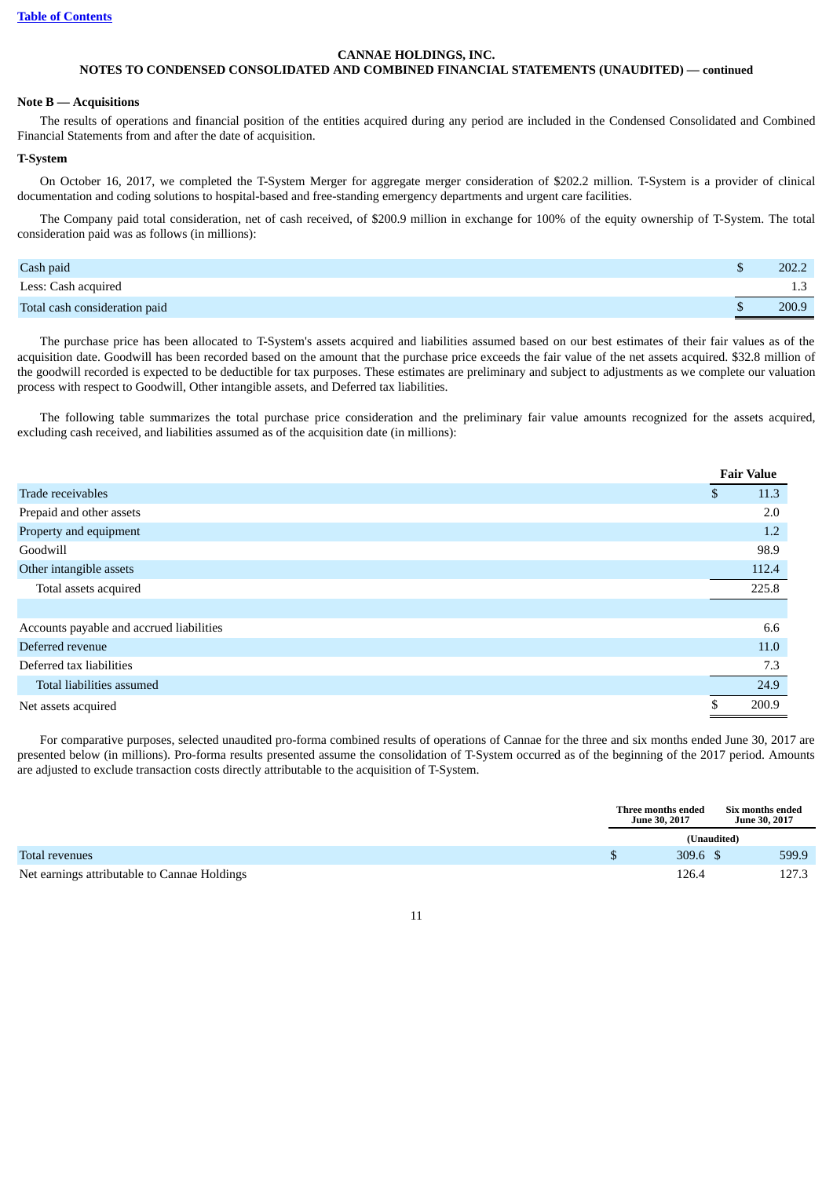## **NOTES TO CONDENSED CONSOLIDATED AND COMBINED FINANCIAL STATEMENTS (UNAUDITED) — continued**

### **Note B — Acquisitions**

The results of operations and financial position of the entities acquired during any period are included in the Condensed Consolidated and Combined Financial Statements from and after the date of acquisition.

#### **T-System**

On October 16, 2017, we completed the T-System Merger for aggregate merger consideration of \$202.2 million. T-System is a provider of clinical documentation and coding solutions to hospital-based and free-standing emergency departments and urgent care facilities.

The Company paid total consideration, net of cash received, of \$200.9 million in exchange for 100% of the equity ownership of T-System. The total consideration paid was as follows (in millions):

| Cash paid                     | 202.2 |
|-------------------------------|-------|
| Less: Cash acquired           |       |
| Total cash consideration paid | 200.9 |

The purchase price has been allocated to T-System's assets acquired and liabilities assumed based on our best estimates of their fair values as of the acquisition date. Goodwill has been recorded based on the amount that the purchase price exceeds the fair value of the net assets acquired. \$32.8 million of the goodwill recorded is expected to be deductible for tax purposes. These estimates are preliminary and subject to adjustments as we complete our valuation process with respect to Goodwill, Other intangible assets, and Deferred tax liabilities.

The following table summarizes the total purchase price consideration and the preliminary fair value amounts recognized for the assets acquired, excluding cash received, and liabilities assumed as of the acquisition date (in millions):

|                                          | <b>Fair Value</b> |
|------------------------------------------|-------------------|
| Trade receivables                        | \$<br>11.3        |
| Prepaid and other assets                 | 2.0               |
| Property and equipment                   | 1.2               |
| Goodwill                                 | 98.9              |
| Other intangible assets                  | 112.4             |
| Total assets acquired                    | 225.8             |
|                                          |                   |
| Accounts payable and accrued liabilities | 6.6               |
| Deferred revenue                         | 11.0              |
| Deferred tax liabilities                 | 7.3               |
| Total liabilities assumed                | 24.9              |
| Net assets acquired                      | 200.9             |

For comparative purposes, selected unaudited pro-forma combined results of operations of Cannae for the three and six months ended June 30, 2017 are presented below (in millions). Pro-forma results presented assume the consolidation of T-System occurred as of the beginning of the 2017 period. Amounts are adjusted to exclude transaction costs directly attributable to the acquisition of T-System.

|                                              | Three months ended<br>June 30, 2017 |             | Six months ended<br><b>June 30, 2017</b> |
|----------------------------------------------|-------------------------------------|-------------|------------------------------------------|
|                                              |                                     | (Unaudited) |                                          |
| Total revenues                               |                                     | $309.6$ \$  | 599.9                                    |
| Net earnings attributable to Cannae Holdings |                                     | 126.4       | 127.3                                    |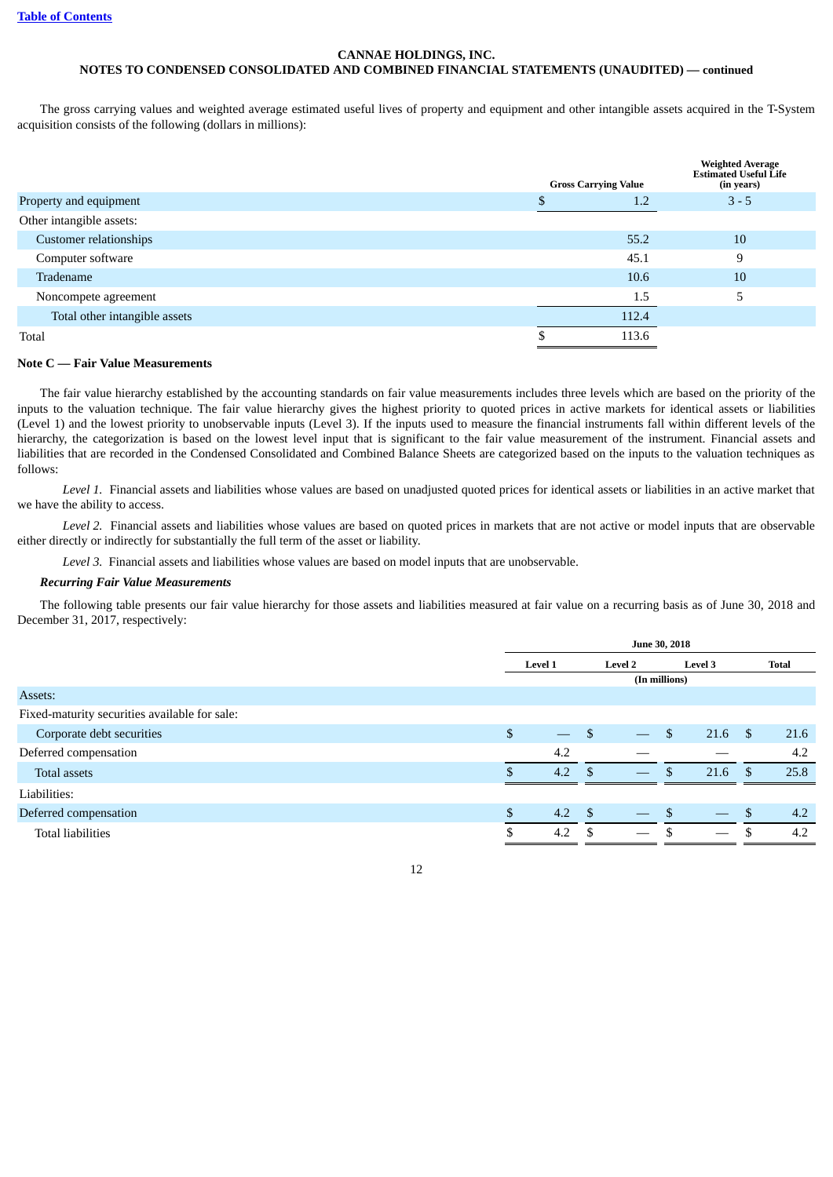## **NOTES TO CONDENSED CONSOLIDATED AND COMBINED FINANCIAL STATEMENTS (UNAUDITED) — continued**

The gross carrying values and weighted average estimated useful lives of property and equipment and other intangible assets acquired in the T-System acquisition consists of the following (dollars in millions):

|                               | <b>Gross Carrying Value</b> | <b>Weighted Average</b><br><b>Estimated Useful Life</b><br>(in years) |
|-------------------------------|-----------------------------|-----------------------------------------------------------------------|
| Property and equipment        | 1.2                         | $3 - 5$                                                               |
| Other intangible assets:      |                             |                                                                       |
| Customer relationships        | 55.2                        | 10                                                                    |
| Computer software             | 45.1                        | 9                                                                     |
| Tradename                     | 10.6                        | 10                                                                    |
| Noncompete agreement          | 1.5                         | 5                                                                     |
| Total other intangible assets | 112.4                       |                                                                       |
| Total                         | 113.6                       |                                                                       |

#### **Note C — Fair Value Measurements**

The fair value hierarchy established by the accounting standards on fair value measurements includes three levels which are based on the priority of the inputs to the valuation technique. The fair value hierarchy gives the highest priority to quoted prices in active markets for identical assets or liabilities (Level 1) and the lowest priority to unobservable inputs (Level 3). If the inputs used to measure the financial instruments fall within different levels of the hierarchy, the categorization is based on the lowest level input that is significant to the fair value measurement of the instrument. Financial assets and liabilities that are recorded in the Condensed Consolidated and Combined Balance Sheets are categorized based on the inputs to the valuation techniques as follows:

*Level 1.* Financial assets and liabilities whose values are based on unadjusted quoted prices for identical assets or liabilities in an active market that we have the ability to access.

*Level 2.* Financial assets and liabilities whose values are based on quoted prices in markets that are not active or model inputs that are observable either directly or indirectly for substantially the full term of the asset or liability.

*Level 3.* Financial assets and liabilities whose values are based on model inputs that are unobservable.

#### *Recurring Fair Value Measurements*

The following table presents our fair value hierarchy for those assets and liabilities measured at fair value on a recurring basis as of June 30, 2018 and December 31, 2017, respectively:

|                                               | June 30, 2018  |     |                |               |         |      |       |  |
|-----------------------------------------------|----------------|-----|----------------|---------------|---------|------|-------|--|
|                                               | <b>Level 1</b> |     | <b>Level 2</b> |               | Level 3 |      | Total |  |
|                                               |                |     |                | (In millions) |         |      |       |  |
| Assets:                                       |                |     |                |               |         |      |       |  |
| Fixed-maturity securities available for sale: |                |     |                |               |         |      |       |  |
| Corporate debt securities                     | \$             |     | - \$           |               | 21.6    | - \$ | 21.6  |  |
| Deferred compensation                         |                | 4.2 |                |               |         |      | 4.2   |  |
| Total assets                                  |                | 4.2 | - \$           | \$.           | 21.6    | -\$  | 25.8  |  |
| Liabilities:                                  |                |     |                |               |         |      |       |  |
| Deferred compensation                         | \$             | 4.2 | - \$           |               |         | -S   | 4.2   |  |
| <b>Total liabilities</b>                      |                | 4.2 | -S             |               |         |      | 4.2   |  |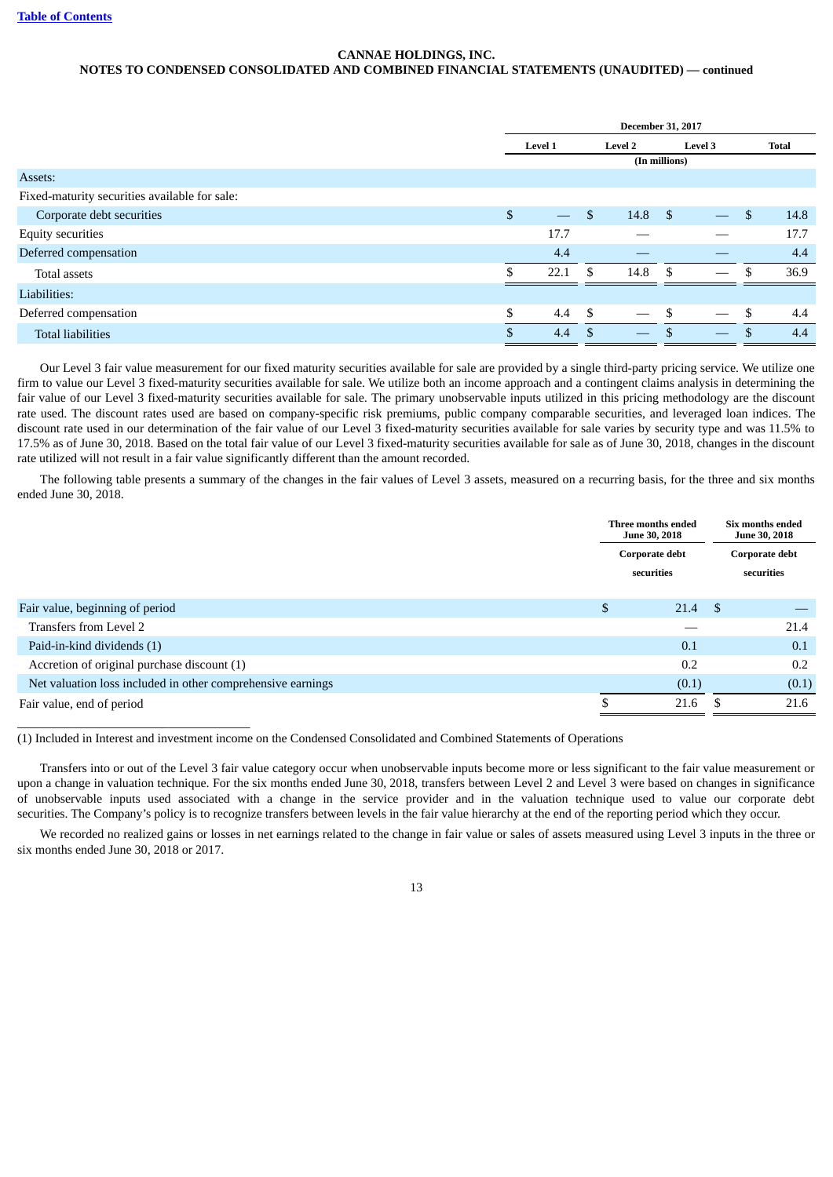|                                               | <b>December 31, 2017</b> |         |      |               |      |         |     |       |  |
|-----------------------------------------------|--------------------------|---------|------|---------------|------|---------|-----|-------|--|
|                                               |                          | Level 1 |      | Level 2       |      | Level 3 |     | Total |  |
|                                               |                          |         |      | (In millions) |      |         |     |       |  |
| Assets:                                       |                          |         |      |               |      |         |     |       |  |
| Fixed-maturity securities available for sale: |                          |         |      |               |      |         |     |       |  |
| Corporate debt securities                     | \$                       |         | \$   | 14.8          | - \$ |         | S   | 14.8  |  |
| <b>Equity securities</b>                      |                          | 17.7    |      |               |      |         |     | 17.7  |  |
| Deferred compensation                         |                          | 4.4     |      |               |      |         |     | 4.4   |  |
| Total assets                                  |                          | 22.1    | -\$  | 14.8          | -S   |         | \$. | 36.9  |  |
| Liabilities:                                  |                          |         |      |               |      |         |     |       |  |
| Deferred compensation                         | \$                       | 4.4     | - \$ |               | \$   |         | ٩   | 4.4   |  |
| <b>Total liabilities</b>                      | S                        | 4.4     | -\$  |               |      |         |     | 4.4   |  |

Our Level 3 fair value measurement for our fixed maturity securities available for sale are provided by a single third-party pricing service. We utilize one firm to value our Level 3 fixed-maturity securities available for sale. We utilize both an income approach and a contingent claims analysis in determining the fair value of our Level 3 fixed-maturity securities available for sale. The primary unobservable inputs utilized in this pricing methodology are the discount rate used. The discount rates used are based on company-specific risk premiums, public company comparable securities, and leveraged loan indices. The discount rate used in our determination of the fair value of our Level 3 fixed-maturity securities available for sale varies by security type and was 11.5% to 17.5% as of June 30, 2018. Based on the total fair value of our Level 3 fixed-maturity securities available for sale as of June 30, 2018, changes in the discount rate utilized will not result in a fair value significantly different than the amount recorded.

The following table presents a summary of the changes in the fair values of Level 3 assets, measured on a recurring basis, for the three and six months ended June 30, 2018.

|                                                             |    | Three months ended<br>June 30, 2018 |      | Six months ended<br>June 30, 2018 |  |                |
|-------------------------------------------------------------|----|-------------------------------------|------|-----------------------------------|--|----------------|
|                                                             |    | Corporate debt<br>securities        |      |                                   |  | Corporate debt |
|                                                             |    |                                     |      | securities                        |  |                |
| Fair value, beginning of period                             | \$ | 21.4                                | - \$ |                                   |  |                |
| Transfers from Level 2                                      |    |                                     |      | 21.4                              |  |                |
| Paid-in-kind dividends (1)                                  |    | 0.1                                 |      | 0.1                               |  |                |
| Accretion of original purchase discount (1)                 |    | 0.2                                 |      | 0.2                               |  |                |
| Net valuation loss included in other comprehensive earnings |    | (0.1)                               |      | (0.1)                             |  |                |
| Fair value, end of period                                   |    | 21.6                                | -8   | 21.6                              |  |                |
|                                                             |    |                                     |      |                                   |  |                |

(1) Included in Interest and investment income on the Condensed Consolidated and Combined Statements of Operations

Transfers into or out of the Level 3 fair value category occur when unobservable inputs become more or less significant to the fair value measurement or upon a change in valuation technique. For the six months ended June 30, 2018, transfers between Level 2 and Level 3 were based on changes in significance of unobservable inputs used associated with a change in the service provider and in the valuation technique used to value our corporate debt securities. The Company's policy is to recognize transfers between levels in the fair value hierarchy at the end of the reporting period which they occur.

We recorded no realized gains or losses in net earnings related to the change in fair value or sales of assets measured using Level 3 inputs in the three or six months ended June 30, 2018 or 2017.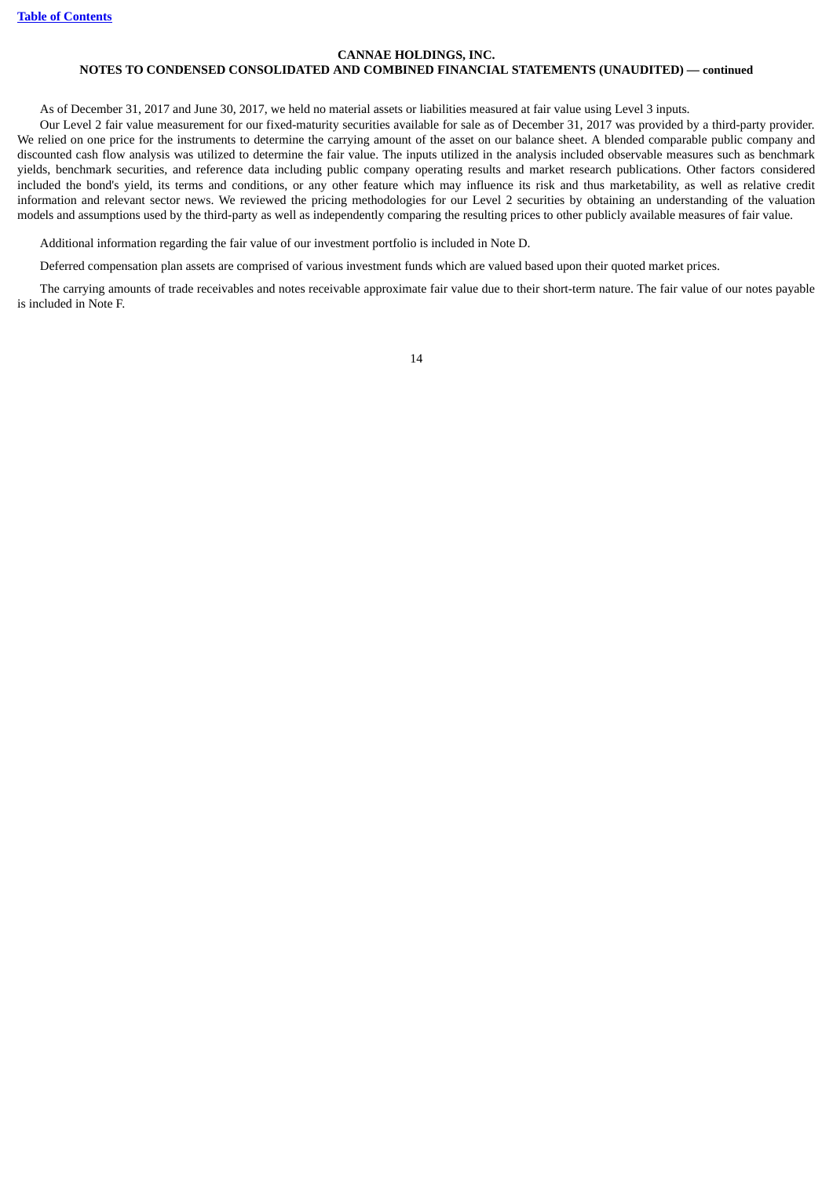# **NOTES TO CONDENSED CONSOLIDATED AND COMBINED FINANCIAL STATEMENTS (UNAUDITED) — continued**

As of December 31, 2017 and June 30, 2017, we held no material assets or liabilities measured at fair value using Level 3 inputs.

Our Level 2 fair value measurement for our fixed-maturity securities available for sale as of December 31, 2017 was provided by a third-party provider. We relied on one price for the instruments to determine the carrying amount of the asset on our balance sheet. A blended comparable public company and discounted cash flow analysis was utilized to determine the fair value. The inputs utilized in the analysis included observable measures such as benchmark yields, benchmark securities, and reference data including public company operating results and market research publications. Other factors considered included the bond's yield, its terms and conditions, or any other feature which may influence its risk and thus marketability, as well as relative credit information and relevant sector news. We reviewed the pricing methodologies for our Level 2 securities by obtaining an understanding of the valuation models and assumptions used by the third-party as well as independently comparing the resulting prices to other publicly available measures of fair value.

Additional information regarding the fair value of our investment portfolio is included in Note D.

Deferred compensation plan assets are comprised of various investment funds which are valued based upon their quoted market prices.

The carrying amounts of trade receivables and notes receivable approximate fair value due to their short-term nature. The fair value of our notes payable is included in Note F.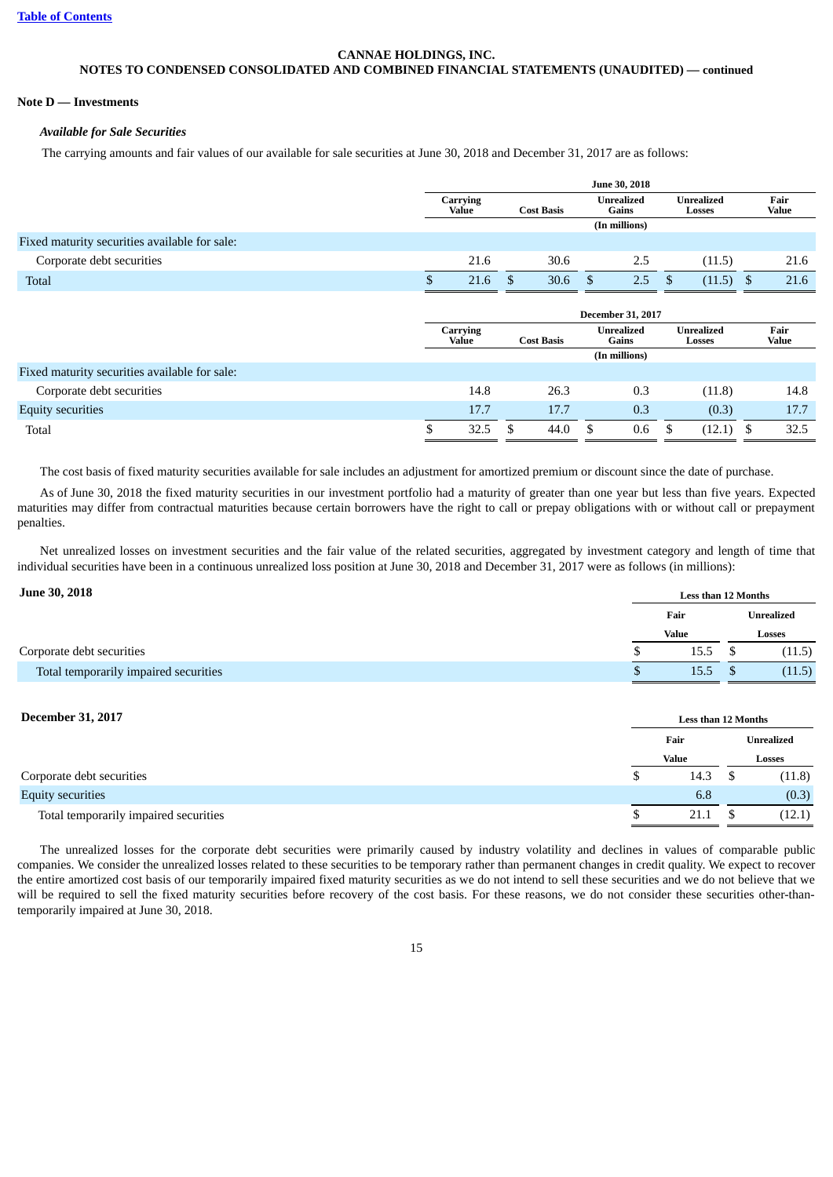# **NOTES TO CONDENSED CONSOLIDATED AND COMBINED FINANCIAL STATEMENTS (UNAUDITED) — continued**

## **Note D — Investments**

### *Available for Sale Securities*

The carrying amounts and fair values of our available for sale securities at June 30, 2018 and December 31, 2017 are as follows:

|                                               |                   |                   |                            | June 30, 2018            |                                    |  |                      |
|-----------------------------------------------|-------------------|-------------------|----------------------------|--------------------------|------------------------------------|--|----------------------|
|                                               | Carrying<br>Value | <b>Cost Basis</b> | <b>Unrealized</b><br>Gains |                          | <b>Unrealized</b><br><b>Losses</b> |  | Fair<br><b>Value</b> |
|                                               |                   |                   |                            | (In millions)            |                                    |  |                      |
| Fixed maturity securities available for sale: |                   |                   |                            |                          |                                    |  |                      |
| Corporate debt securities                     | 21.6              | 30.6              |                            | 2.5                      | (11.5)                             |  | 21.6                 |
| <b>Total</b>                                  | 21.6              | 30.6<br>\$.       | -S                         | 2.5                      | $(11.5)$ \$<br>.S                  |  | 21.6                 |
|                                               |                   |                   |                            | <b>December 31, 2017</b> |                                    |  |                      |
|                                               | Carrying<br>Value | <b>Cost Basis</b> | <b>Unrealized</b><br>Gains |                          | <b>Unrealized</b><br>Losses        |  | Fair<br>Value        |
|                                               |                   |                   |                            | (In millions)            |                                    |  |                      |
| Fixed maturity securities available for sale: |                   |                   |                            |                          |                                    |  |                      |
| Corporate debt securities                     | 14.8              | 26.3              |                            | 0.3                      | (11.8)                             |  | 14.8                 |
| <b>Equity securities</b>                      | 17.7              | 17.7              |                            | 0.3                      | (0.3)                              |  | 17.7                 |

The cost basis of fixed maturity securities available for sale includes an adjustment for amortized premium or discount since the date of purchase.

As of June 30, 2018 the fixed maturity securities in our investment portfolio had a maturity of greater than one year but less than five years. Expected maturities may differ from contractual maturities because certain borrowers have the right to call or prepay obligations with or without call or prepayment penalties.

Total \$ 32.5 \$ 44.0 \$ 0.6 \$ (12.1) \$ 32.5

Net unrealized losses on investment securities and the fair value of the related securities, aggregated by investment category and length of time that individual securities have been in a continuous unrealized loss position at June 30, 2018 and December 31, 2017 were as follows (in millions):

| <b>June 30, 2018</b>                  |      | <b>Less than 12 Months</b> |  |            |
|---------------------------------------|------|----------------------------|--|------------|
|                                       | Fair |                            |  | Unrealized |
|                                       |      | <b>Value</b>               |  | Losses     |
| Corporate debt securities             |      | 15.5                       |  | (11.5)     |
| Total temporarily impaired securities | \$   | 15.5                       |  | (11.5)     |
|                                       |      |                            |  |            |

| <b>December 31, 2017</b>              |       | <b>Less than 12 Months</b> |  |                   |
|---------------------------------------|-------|----------------------------|--|-------------------|
|                                       |       | Fair                       |  | <b>Unrealized</b> |
|                                       | Value |                            |  | Losses            |
| Corporate debt securities             |       | 14.3                       |  | (11.8)            |
| <b>Equity securities</b>              |       | 6.8                        |  | (0.3)             |
| Total temporarily impaired securities |       | 21.1                       |  | (12.1)            |

The unrealized losses for the corporate debt securities were primarily caused by industry volatility and declines in values of comparable public companies. We consider the unrealized losses related to these securities to be temporary rather than permanent changes in credit quality. We expect to recover the entire amortized cost basis of our temporarily impaired fixed maturity securities as we do not intend to sell these securities and we do not believe that we will be required to sell the fixed maturity securities before recovery of the cost basis. For these reasons, we do not consider these securities other-thantemporarily impaired at June 30, 2018.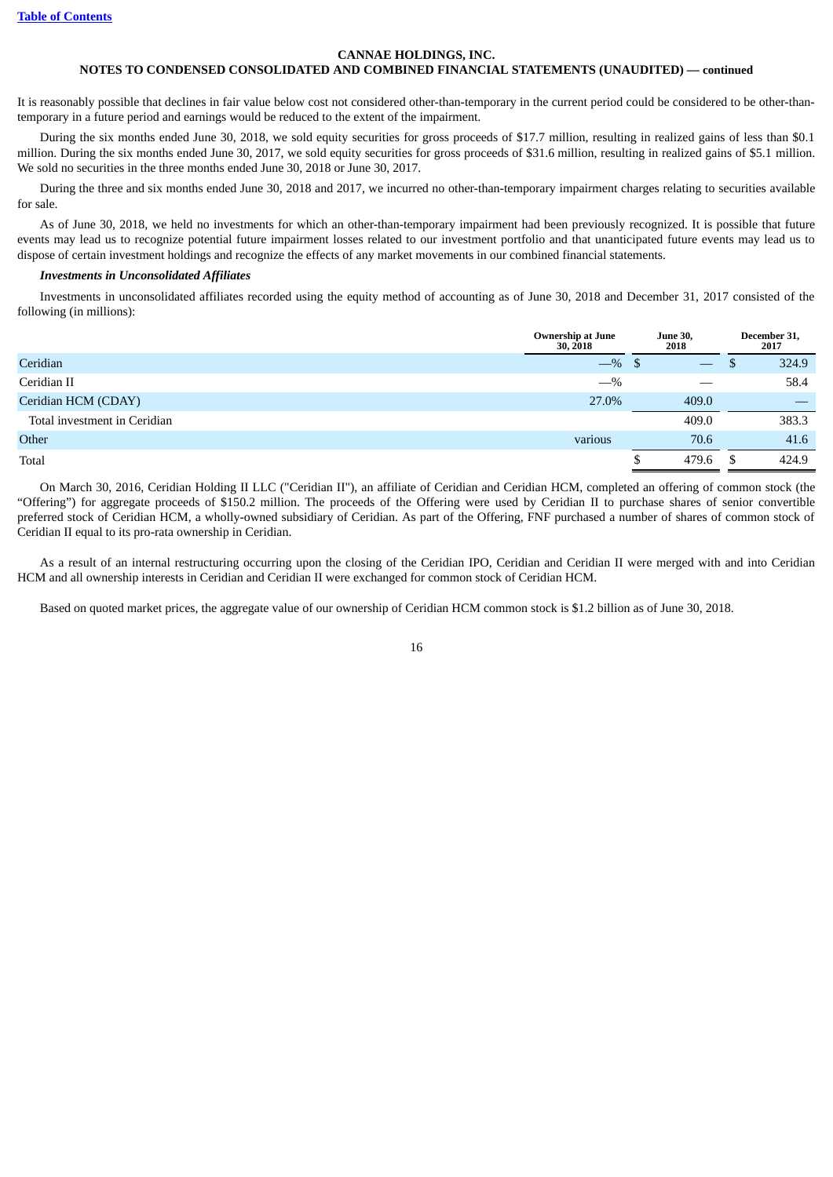## **NOTES TO CONDENSED CONSOLIDATED AND COMBINED FINANCIAL STATEMENTS (UNAUDITED) — continued**

It is reasonably possible that declines in fair value below cost not considered other-than-temporary in the current period could be considered to be other-thantemporary in a future period and earnings would be reduced to the extent of the impairment.

During the six months ended June 30, 2018, we sold equity securities for gross proceeds of \$17.7 million, resulting in realized gains of less than \$0.1 million. During the six months ended June 30, 2017, we sold equity securities for gross proceeds of \$31.6 million, resulting in realized gains of \$5.1 million. We sold no securities in the three months ended June 30, 2018 or June 30, 2017.

During the three and six months ended June 30, 2018 and 2017, we incurred no other-than-temporary impairment charges relating to securities available for sale.

As of June 30, 2018, we held no investments for which an other-than-temporary impairment had been previously recognized. It is possible that future events may lead us to recognize potential future impairment losses related to our investment portfolio and that unanticipated future events may lead us to dispose of certain investment holdings and recognize the effects of any market movements in our combined financial statements.

### *Investments in Unconsolidated Affiliates*

Investments in unconsolidated affiliates recorded using the equity method of accounting as of June 30, 2018 and December 31, 2017 consisted of the following (in millions):

|                              | <b>Ownership at June</b><br>30, 2018 | <b>June 30,</b><br>2018 |                          |   | December 31,<br>2017 |
|------------------------------|--------------------------------------|-------------------------|--------------------------|---|----------------------|
| Ceridian                     | $-$ % \$                             |                         | $\overline{\phantom{m}}$ | D | 324.9                |
| Ceridian II                  | $-$ %                                |                         |                          |   | 58.4                 |
| Ceridian HCM (CDAY)          | 27.0%                                |                         | 409.0                    |   |                      |
| Total investment in Ceridian |                                      |                         | 409.0                    |   | 383.3                |
| Other                        | various                              |                         | 70.6                     |   | 41.6                 |
| Total                        |                                      |                         | 479.6                    | S | 424.9                |

On March 30, 2016, Ceridian Holding II LLC ("Ceridian II"), an affiliate of Ceridian and Ceridian HCM, completed an offering of common stock (the "Offering") for aggregate proceeds of \$150.2 million. The proceeds of the Offering were used by Ceridian II to purchase shares of senior convertible preferred stock of Ceridian HCM, a wholly-owned subsidiary of Ceridian. As part of the Offering, FNF purchased a number of shares of common stock of Ceridian II equal to its pro-rata ownership in Ceridian.

As a result of an internal restructuring occurring upon the closing of the Ceridian IPO, Ceridian and Ceridian II were merged with and into Ceridian HCM and all ownership interests in Ceridian and Ceridian II were exchanged for common stock of Ceridian HCM.

Based on quoted market prices, the aggregate value of our ownership of Ceridian HCM common stock is \$1.2 billion as of June 30, 2018.

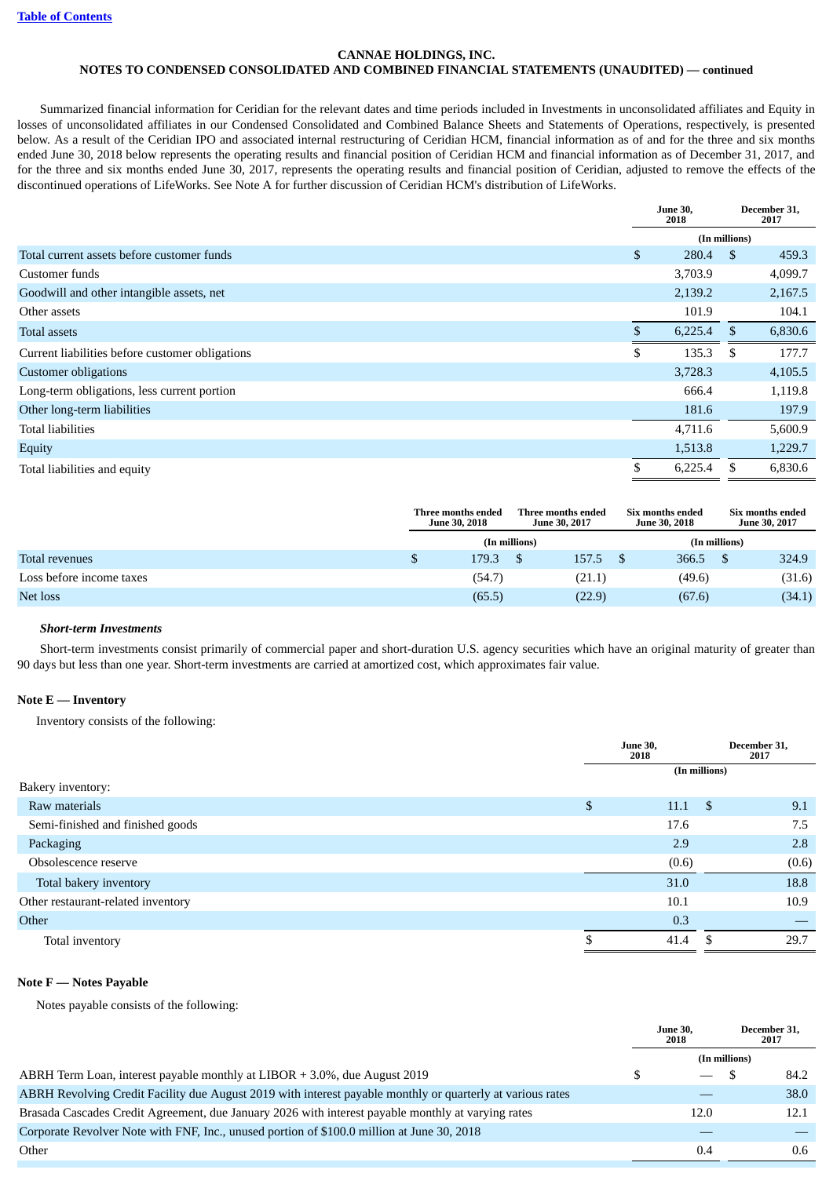Summarized financial information for Ceridian for the relevant dates and time periods included in Investments in unconsolidated affiliates and Equity in losses of unconsolidated affiliates in our Condensed Consolidated and Combined Balance Sheets and Statements of Operations, respectively, is presented below. As a result of the Ceridian IPO and associated internal restructuring of Ceridian HCM, financial information as of and for the three and six months ended June 30, 2018 below represents the operating results and financial position of Ceridian HCM and financial information as of December 31, 2017, and for the three and six months ended June 30, 2017, represents the operating results and financial position of Ceridian, adjusted to remove the effects of the discontinued operations of LifeWorks. See Note A for further discussion of Ceridian HCM's distribution of LifeWorks.

|                                                 |    | <b>June 30,</b><br>2018 |               | December 31,<br>2017 |
|-------------------------------------------------|----|-------------------------|---------------|----------------------|
|                                                 |    |                         | (In millions) |                      |
| Total current assets before customer funds      | \$ | 280.4                   | \$.           | 459.3                |
| Customer funds                                  |    | 3,703.9                 |               | 4,099.7              |
| Goodwill and other intangible assets, net       |    | 2,139.2                 |               | 2,167.5              |
| Other assets                                    |    | 101.9                   |               | 104.1                |
| Total assets                                    | S  | 6,225.4                 | \$            | 6,830.6              |
| Current liabilities before customer obligations | \$ | 135.3                   | \$            | 177.7                |
| <b>Customer obligations</b>                     |    | 3,728.3                 |               | 4,105.5              |
| Long-term obligations, less current portion     |    | 666.4                   |               | 1,119.8              |
| Other long-term liabilities                     |    | 181.6                   |               | 197.9                |
| <b>Total liabilities</b>                        |    | 4,711.6                 |               | 5,600.9              |
| Equity                                          |    | 1,513.8                 |               | 1,229.7              |
| Total liabilities and equity                    | \$ | 6,225.4                 |               | 6,830.6              |

|                          | Three months ended<br><b>June 30, 2018</b> |        | Three months ended<br><b>June 30, 2017</b> |               | Six months ended<br><b>June 30, 2018</b> |        | Six months ended<br>June 30, 2017 |        |
|--------------------------|--------------------------------------------|--------|--------------------------------------------|---------------|------------------------------------------|--------|-----------------------------------|--------|
|                          | (In millions)                              |        |                                            | (In millions) |                                          |        |                                   |        |
| Total revenues           |                                            | 179.3  |                                            | 157.5         |                                          | 366.5  |                                   | 324.9  |
| Loss before income taxes |                                            | (54.7) |                                            | (21.1)        |                                          | (49.6) |                                   | (31.6) |
| Net loss                 |                                            | (65.5) |                                            | (22.9)        |                                          | (67.6) |                                   | (34.1) |

#### *Short-term Investments*

Short-term investments consist primarily of commercial paper and short-duration U.S. agency securities which have an original maturity of greater than 90 days but less than one year. Short-term investments are carried at amortized cost, which approximates fair value.

## **Note E — Inventory**

Inventory consists of the following:

|                                    | <b>June 30,</b><br>2018 |               | December 31,<br>2017 |
|------------------------------------|-------------------------|---------------|----------------------|
|                                    |                         | (In millions) |                      |
| Bakery inventory:                  |                         |               |                      |
| Raw materials                      | \$<br>11.1              | - \$          | 9.1                  |
| Semi-finished and finished goods   | 17.6                    |               | 7.5                  |
| Packaging                          | 2.9                     |               | 2.8                  |
| Obsolescence reserve               | (0.6)                   |               | (0.6)                |
| Total bakery inventory             | 31.0                    |               | 18.8                 |
| Other restaurant-related inventory | 10.1                    |               | 10.9                 |
| Other                              | 0.3                     |               |                      |
| Total inventory                    | \$<br>41.4              |               | 29.7                 |

#### **Note F — Notes Payable**

Notes payable consists of the following:

| лине эо,<br>2018 | Deceniber 51,<br>2017 |
|------------------|-----------------------|
|                  | (In millions)         |
| S                | 84.2                  |
|                  | 38.0                  |
| 12.0             | 12.1                  |
|                  |                       |
| 0.4              | 0.6                   |
|                  |                       |

**June 30,**

**December 31,**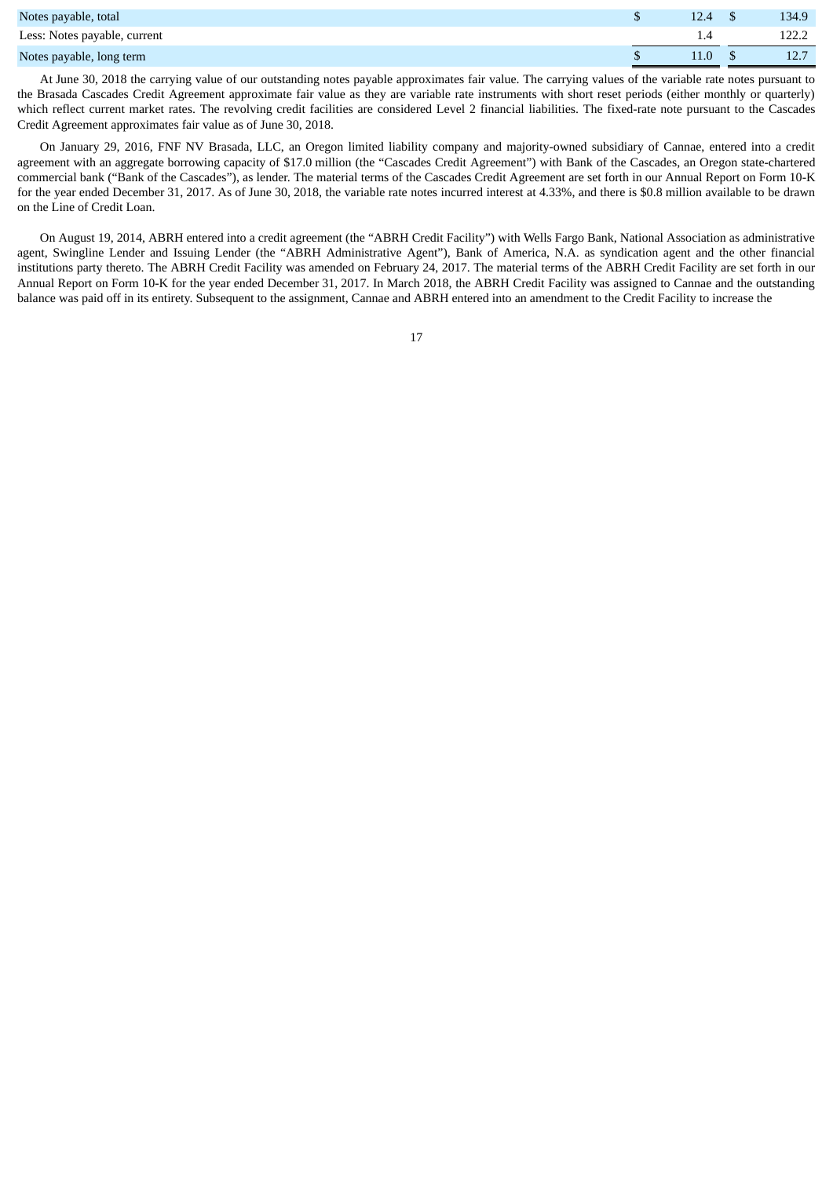| Notes payable, total         | 12.4 | 134.9 |
|------------------------------|------|-------|
| Less: Notes payable, current |      | 122.2 |
| Notes payable, long term     |      | 12.7  |

At June 30, 2018 the carrying value of our outstanding notes payable approximates fair value. The carrying values of the variable rate notes pursuant to the Brasada Cascades Credit Agreement approximate fair value as they are variable rate instruments with short reset periods (either monthly or quarterly) which reflect current market rates. The revolving credit facilities are considered Level 2 financial liabilities. The fixed-rate note pursuant to the Cascades Credit Agreement approximates fair value as of June 30, 2018.

On January 29, 2016, FNF NV Brasada, LLC, an Oregon limited liability company and majority-owned subsidiary of Cannae, entered into a credit agreement with an aggregate borrowing capacity of \$17.0 million (the "Cascades Credit Agreement") with Bank of the Cascades, an Oregon state-chartered commercial bank ("Bank of the Cascades"), as lender. The material terms of the Cascades Credit Agreement are set forth in our Annual Report on Form 10-K for the year ended December 31, 2017. As of June 30, 2018, the variable rate notes incurred interest at 4.33%, and there is \$0.8 million available to be drawn on the Line of Credit Loan.

On August 19, 2014, ABRH entered into a credit agreement (the "ABRH Credit Facility") with Wells Fargo Bank, National Association as administrative agent, Swingline Lender and Issuing Lender (the "ABRH Administrative Agent"), Bank of America, N.A. as syndication agent and the other financial institutions party thereto. The ABRH Credit Facility was amended on February 24, 2017. The material terms of the ABRH Credit Facility are set forth in our Annual Report on Form 10-K for the year ended December 31, 2017. In March 2018, the ABRH Credit Facility was assigned to Cannae and the outstanding balance was paid off in its entirety. Subsequent to the assignment, Cannae and ABRH entered into an amendment to the Credit Facility to increase the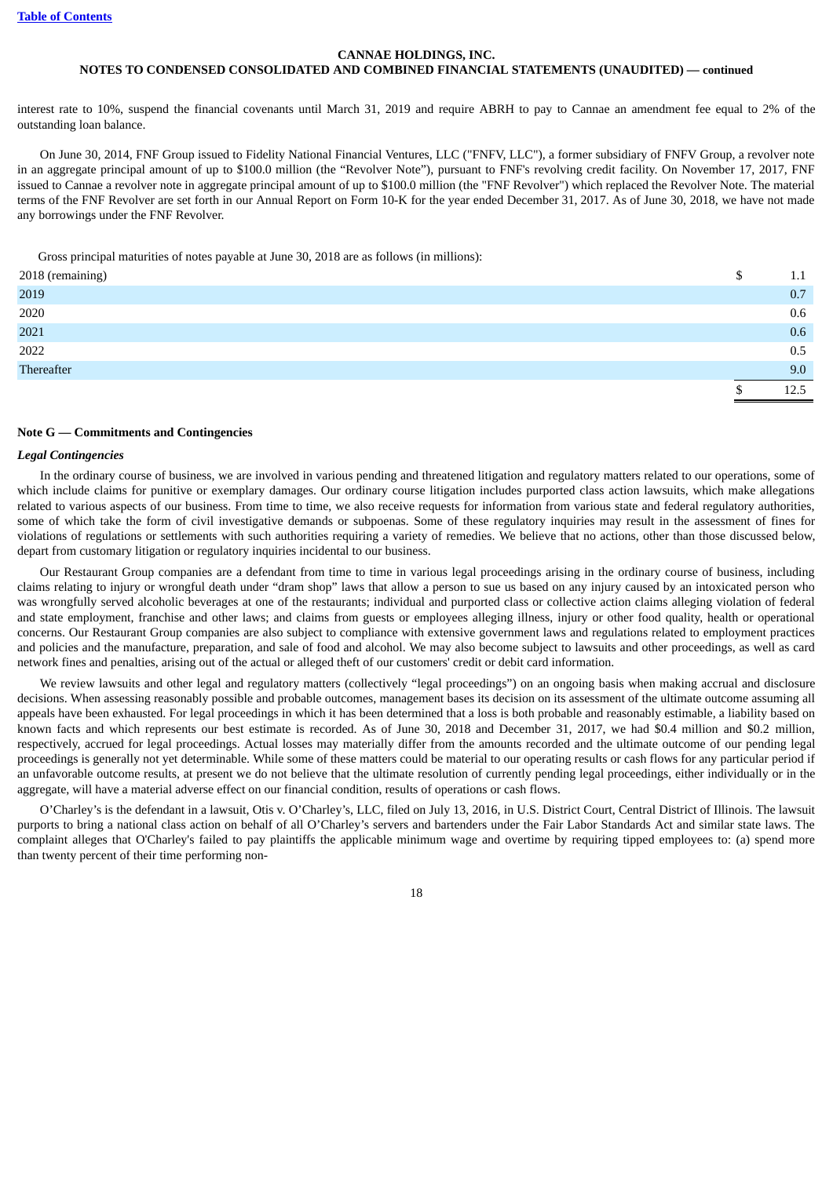# **NOTES TO CONDENSED CONSOLIDATED AND COMBINED FINANCIAL STATEMENTS (UNAUDITED) — continued**

interest rate to 10%, suspend the financial covenants until March 31, 2019 and require ABRH to pay to Cannae an amendment fee equal to 2% of the outstanding loan balance.

On June 30, 2014, FNF Group issued to Fidelity National Financial Ventures, LLC ("FNFV, LLC"), a former subsidiary of FNFV Group, a revolver note in an aggregate principal amount of up to \$100.0 million (the "Revolver Note"), pursuant to FNF's revolving credit facility. On November 17, 2017, FNF issued to Cannae a revolver note in aggregate principal amount of up to \$100.0 million (the "FNF Revolver") which replaced the Revolver Note. The material terms of the FNF Revolver are set forth in our Annual Report on Form 10-K for the year ended December 31, 2017. As of June 30, 2018, we have not made any borrowings under the FNF Revolver.

Gross principal maturities of notes payable at June 30, 2018 are as follows (in millions):

| 2018 (remaining) | Φ | 1.1  |
|------------------|---|------|
| 2019             |   | 0.7  |
| 2020             |   | 0.6  |
| 2021             |   | 0.6  |
| 2022             |   | 0.5  |
| Thereafter       |   | 9.0  |
|                  |   | 12.5 |

#### **Note G — Commitments and Contingencies**

### *Legal Contingencies*

In the ordinary course of business, we are involved in various pending and threatened litigation and regulatory matters related to our operations, some of which include claims for punitive or exemplary damages. Our ordinary course litigation includes purported class action lawsuits, which make allegations related to various aspects of our business. From time to time, we also receive requests for information from various state and federal regulatory authorities, some of which take the form of civil investigative demands or subpoenas. Some of these regulatory inquiries may result in the assessment of fines for violations of regulations or settlements with such authorities requiring a variety of remedies. We believe that no actions, other than those discussed below, depart from customary litigation or regulatory inquiries incidental to our business.

Our Restaurant Group companies are a defendant from time to time in various legal proceedings arising in the ordinary course of business, including claims relating to injury or wrongful death under "dram shop" laws that allow a person to sue us based on any injury caused by an intoxicated person who was wrongfully served alcoholic beverages at one of the restaurants; individual and purported class or collective action claims alleging violation of federal and state employment, franchise and other laws; and claims from guests or employees alleging illness, injury or other food quality, health or operational concerns. Our Restaurant Group companies are also subject to compliance with extensive government laws and regulations related to employment practices and policies and the manufacture, preparation, and sale of food and alcohol. We may also become subject to lawsuits and other proceedings, as well as card network fines and penalties, arising out of the actual or alleged theft of our customers' credit or debit card information.

We review lawsuits and other legal and regulatory matters (collectively "legal proceedings") on an ongoing basis when making accrual and disclosure decisions. When assessing reasonably possible and probable outcomes, management bases its decision on its assessment of the ultimate outcome assuming all appeals have been exhausted. For legal proceedings in which it has been determined that a loss is both probable and reasonably estimable, a liability based on known facts and which represents our best estimate is recorded. As of June 30, 2018 and December 31, 2017, we had \$0.4 million and \$0.2 million, respectively, accrued for legal proceedings. Actual losses may materially differ from the amounts recorded and the ultimate outcome of our pending legal proceedings is generally not yet determinable. While some of these matters could be material to our operating results or cash flows for any particular period if an unfavorable outcome results, at present we do not believe that the ultimate resolution of currently pending legal proceedings, either individually or in the aggregate, will have a material adverse effect on our financial condition, results of operations or cash flows.

O'Charley's is the defendant in a lawsuit, Otis v. O'Charley's, LLC, filed on July 13, 2016, in U.S. District Court, Central District of Illinois. The lawsuit purports to bring a national class action on behalf of all O'Charley's servers and bartenders under the Fair Labor Standards Act and similar state laws. The complaint alleges that O'Charley's failed to pay plaintiffs the applicable minimum wage and overtime by requiring tipped employees to: (a) spend more than twenty percent of their time performing non-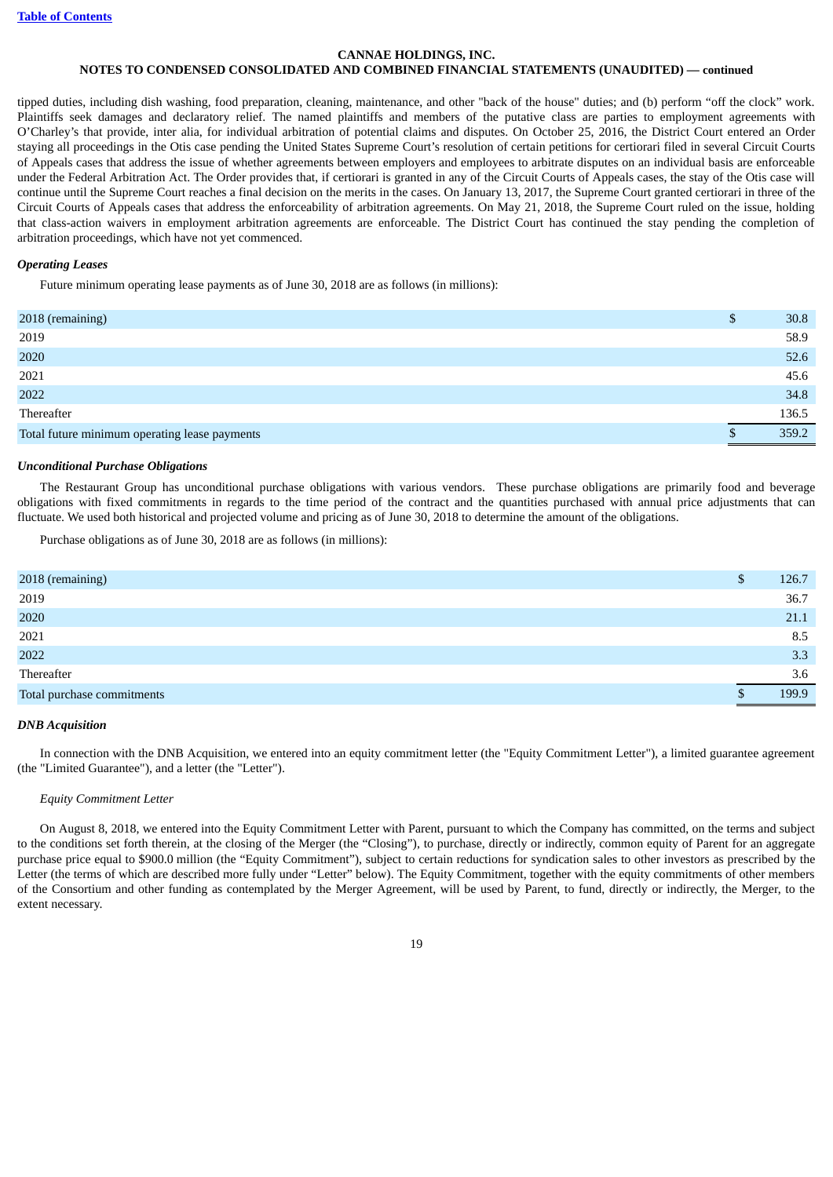## **NOTES TO CONDENSED CONSOLIDATED AND COMBINED FINANCIAL STATEMENTS (UNAUDITED) — continued**

tipped duties, including dish washing, food preparation, cleaning, maintenance, and other "back of the house" duties; and (b) perform "off the clock" work. Plaintiffs seek damages and declaratory relief. The named plaintiffs and members of the putative class are parties to employment agreements with O'Charley's that provide, inter alia, for individual arbitration of potential claims and disputes. On October 25, 2016, the District Court entered an Order staying all proceedings in the Otis case pending the United States Supreme Court's resolution of certain petitions for certiorari filed in several Circuit Courts of Appeals cases that address the issue of whether agreements between employers and employees to arbitrate disputes on an individual basis are enforceable under the Federal Arbitration Act. The Order provides that, if certiorari is granted in any of the Circuit Courts of Appeals cases, the stay of the Otis case will continue until the Supreme Court reaches a final decision on the merits in the cases. On January 13, 2017, the Supreme Court granted certiorari in three of the Circuit Courts of Appeals cases that address the enforceability of arbitration agreements. On May 21, 2018, the Supreme Court ruled on the issue, holding that class-action waivers in employment arbitration agreements are enforceable. The District Court has continued the stay pending the completion of arbitration proceedings, which have not yet commenced.

#### *Operating Leases*

Future minimum operating lease payments as of June 30, 2018 are as follows (in millions):

| 2018 (remaining)                              | S | 30.8  |
|-----------------------------------------------|---|-------|
| 2019                                          |   | 58.9  |
| 2020                                          |   | 52.6  |
| 2021                                          |   | 45.6  |
| 2022                                          |   | 34.8  |
| Thereafter                                    |   | 136.5 |
| Total future minimum operating lease payments |   | 359.2 |

#### *Unconditional Purchase Obligations*

The Restaurant Group has unconditional purchase obligations with various vendors. These purchase obligations are primarily food and beverage obligations with fixed commitments in regards to the time period of the contract and the quantities purchased with annual price adjustments that can fluctuate. We used both historical and projected volume and pricing as of June 30, 2018 to determine the amount of the obligations.

Purchase obligations as of June 30, 2018 are as follows (in millions):

| 2018 (remaining)           | \$<br>126.7 |
|----------------------------|-------------|
| 2019                       | 36.7        |
| 2020                       | 21.1        |
| 2021                       | 8.5         |
| 2022                       | 3.3         |
| Thereafter                 | 3.6         |
| Total purchase commitments | 199.9       |

#### *DNB Acquisition*

In connection with the DNB Acquisition, we entered into an equity commitment letter (the "Equity Commitment Letter"), a limited guarantee agreement (the "Limited Guarantee"), and a letter (the "Letter").

#### *Equity Commitment Letter*

On August 8, 2018, we entered into the Equity Commitment Letter with Parent, pursuant to which the Company has committed, on the terms and subject to the conditions set forth therein, at the closing of the Merger (the "Closing"), to purchase, directly or indirectly, common equity of Parent for an aggregate purchase price equal to \$900.0 million (the "Equity Commitment"), subject to certain reductions for syndication sales to other investors as prescribed by the Letter (the terms of which are described more fully under "Letter" below). The Equity Commitment, together with the equity commitments of other members of the Consortium and other funding as contemplated by the Merger Agreement, will be used by Parent, to fund, directly or indirectly, the Merger, to the extent necessary.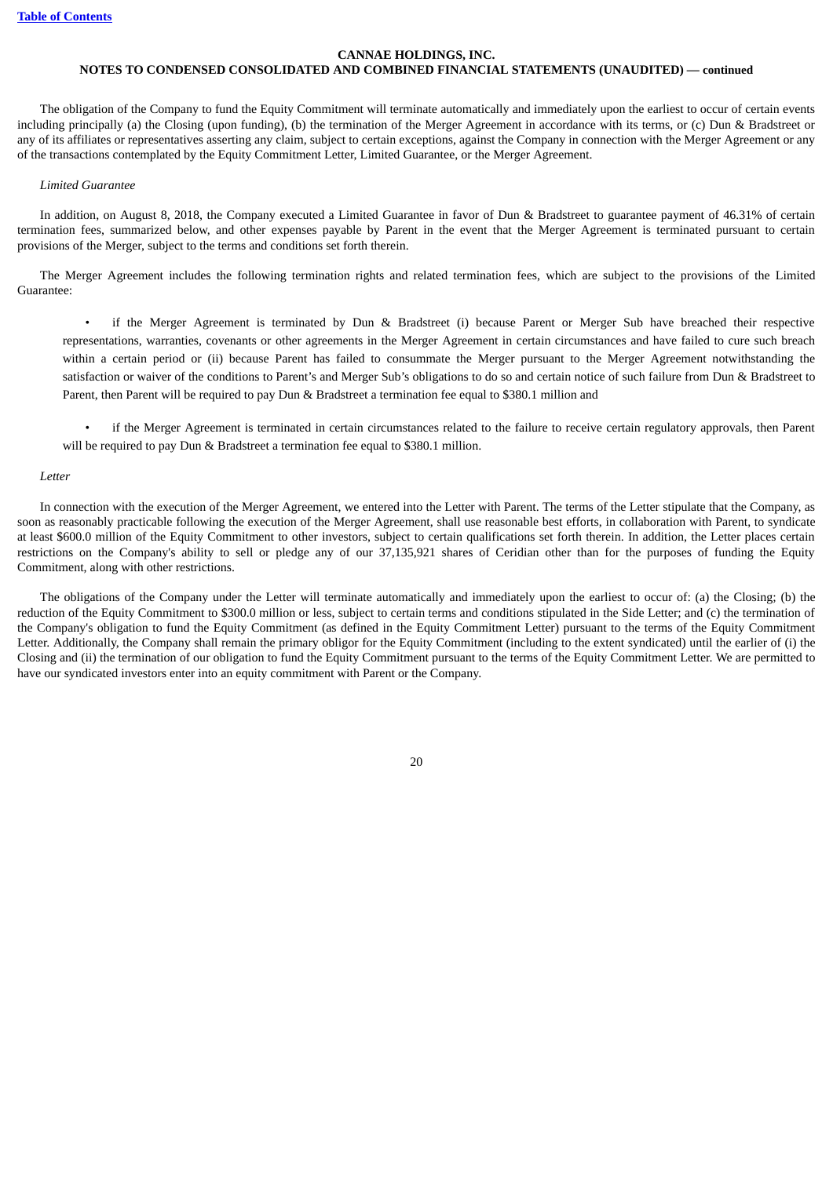## **NOTES TO CONDENSED CONSOLIDATED AND COMBINED FINANCIAL STATEMENTS (UNAUDITED) — continued**

The obligation of the Company to fund the Equity Commitment will terminate automatically and immediately upon the earliest to occur of certain events including principally (a) the Closing (upon funding), (b) the termination of the Merger Agreement in accordance with its terms, or (c) Dun & Bradstreet or any of its affiliates or representatives asserting any claim, subject to certain exceptions, against the Company in connection with the Merger Agreement or any of the transactions contemplated by the Equity Commitment Letter, Limited Guarantee, or the Merger Agreement.

#### *Limited Guarantee*

In addition, on August 8, 2018, the Company executed a Limited Guarantee in favor of Dun & Bradstreet to guarantee payment of 46.31% of certain termination fees, summarized below, and other expenses payable by Parent in the event that the Merger Agreement is terminated pursuant to certain provisions of the Merger, subject to the terms and conditions set forth therein.

The Merger Agreement includes the following termination rights and related termination fees, which are subject to the provisions of the Limited Guarantee:

• if the Merger Agreement is terminated by Dun & Bradstreet (i) because Parent or Merger Sub have breached their respective representations, warranties, covenants or other agreements in the Merger Agreement in certain circumstances and have failed to cure such breach within a certain period or (ii) because Parent has failed to consummate the Merger pursuant to the Merger Agreement notwithstanding the satisfaction or waiver of the conditions to Parent's and Merger Sub's obligations to do so and certain notice of such failure from Dun & Bradstreet to Parent, then Parent will be required to pay Dun & Bradstreet a termination fee equal to \$380.1 million and

• if the Merger Agreement is terminated in certain circumstances related to the failure to receive certain regulatory approvals, then Parent will be required to pay Dun & Bradstreet a termination fee equal to \$380.1 million.

#### *Letter*

In connection with the execution of the Merger Agreement, we entered into the Letter with Parent. The terms of the Letter stipulate that the Company, as soon as reasonably practicable following the execution of the Merger Agreement, shall use reasonable best efforts, in collaboration with Parent, to syndicate at least \$600.0 million of the Equity Commitment to other investors, subject to certain qualifications set forth therein. In addition, the Letter places certain restrictions on the Company's ability to sell or pledge any of our 37,135,921 shares of Ceridian other than for the purposes of funding the Equity Commitment, along with other restrictions.

The obligations of the Company under the Letter will terminate automatically and immediately upon the earliest to occur of: (a) the Closing; (b) the reduction of the Equity Commitment to \$300.0 million or less, subject to certain terms and conditions stipulated in the Side Letter; and (c) the termination of the Company's obligation to fund the Equity Commitment (as defined in the Equity Commitment Letter) pursuant to the terms of the Equity Commitment Letter. Additionally, the Company shall remain the primary obligor for the Equity Commitment (including to the extent syndicated) until the earlier of (i) the Closing and (ii) the termination of our obligation to fund the Equity Commitment pursuant to the terms of the Equity Commitment Letter. We are permitted to have our syndicated investors enter into an equity commitment with Parent or the Company.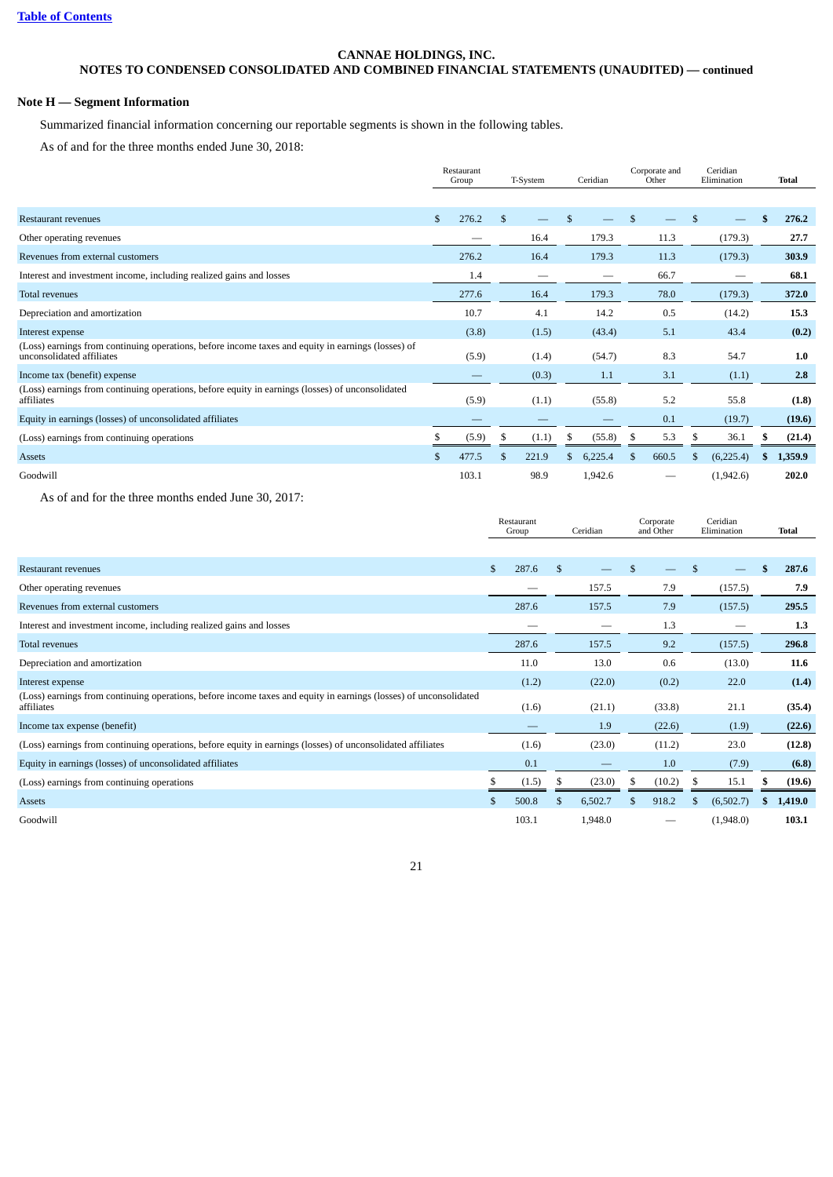# **NOTES TO CONDENSED CONSOLIDATED AND COMBINED FINANCIAL STATEMENTS (UNAUDITED) — continued**

## **Note H — Segment Information**

Summarized financial information concerning our reportable segments is shown in the following tables.

As of and for the three months ended June 30, 2018:

|                                                                                                                                 | Restaurant<br>T-System<br>Group |       | Corporate and<br>Ceridian<br>Other |       | Ceridian<br>Elimination |         |     | <b>Total</b> |    |            |    |         |
|---------------------------------------------------------------------------------------------------------------------------------|---------------------------------|-------|------------------------------------|-------|-------------------------|---------|-----|--------------|----|------------|----|---------|
|                                                                                                                                 |                                 |       |                                    |       |                         |         |     |              |    |            |    |         |
| Restaurant revenues                                                                                                             | \$                              | 276.2 | $\mathbf{s}$                       |       |                         |         |     |              | \$ |            |    | 276.2   |
| Other operating revenues                                                                                                        |                                 |       |                                    | 16.4  |                         | 179.3   |     | 11.3         |    | (179.3)    |    | 27.7    |
| Revenues from external customers                                                                                                |                                 | 276.2 |                                    | 16.4  |                         | 179.3   |     | 11.3         |    | (179.3)    |    | 303.9   |
| Interest and investment income, including realized gains and losses                                                             |                                 | 1.4   |                                    |       |                         |         |     | 66.7         |    |            |    | 68.1    |
| <b>Total revenues</b>                                                                                                           |                                 | 277.6 |                                    | 16.4  |                         | 179.3   |     | 78.0         |    | (179.3)    |    | 372.0   |
| Depreciation and amortization                                                                                                   |                                 | 10.7  |                                    | 4.1   |                         | 14.2    |     | 0.5          |    | (14.2)     |    | 15.3    |
| Interest expense                                                                                                                |                                 | (3.8) |                                    | (1.5) |                         | (43.4)  |     | 5.1          |    | 43.4       |    | (0.2)   |
| (Loss) earnings from continuing operations, before income taxes and equity in earnings (losses) of<br>unconsolidated affiliates |                                 | (5.9) |                                    | (1.4) |                         | (54.7)  |     | 8.3          |    | 54.7       |    | 1.0     |
| Income tax (benefit) expense                                                                                                    |                                 |       |                                    | (0.3) |                         | 1.1     |     | 3.1          |    | (1.1)      |    | 2.8     |
| (Loss) earnings from continuing operations, before equity in earnings (losses) of unconsolidated<br>affiliates                  |                                 | (5.9) |                                    | (1.1) |                         | (55.8)  |     | 5.2          |    | 55.8       |    | (1.8)   |
| Equity in earnings (losses) of unconsolidated affiliates                                                                        |                                 |       |                                    |       |                         |         |     | 0.1          |    | (19.7)     |    | (19.6)  |
| (Loss) earnings from continuing operations                                                                                      |                                 | (5.9) |                                    | (1.1) |                         | (55.8)  |     | 5.3          |    | 36.1       |    | (21.4)  |
| Assets                                                                                                                          | \$.                             | 477.5 | \$.                                | 221.9 | \$                      | 6,225.4 | \$. | 660.5        | £. | (6, 225.4) | S. | 1,359.9 |
| Goodwill                                                                                                                        |                                 | 103.1 |                                    | 98.9  |                         | 1,942.6 |     |              |    | (1,942.6)  |    | 202.0   |

As of and for the three months ended June 30, 2017:

|                                                                                                                                 |              | Restaurant<br>Group |     | Ceridian | Corporate<br>and Other |        | Ceridian<br>Elimination |           |   | <b>Total</b> |
|---------------------------------------------------------------------------------------------------------------------------------|--------------|---------------------|-----|----------|------------------------|--------|-------------------------|-----------|---|--------------|
|                                                                                                                                 |              |                     |     |          |                        |        |                         |           |   |              |
| Restaurant revenues                                                                                                             | $\mathbb{S}$ | 287.6               | \$. |          | $\mathbf{s}$           |        | \$                      |           |   | 287.6        |
| Other operating revenues                                                                                                        |              |                     |     | 157.5    |                        | 7.9    |                         | (157.5)   |   | 7.9          |
| Revenues from external customers                                                                                                |              | 287.6               |     | 157.5    |                        | 7.9    |                         | (157.5)   |   | 295.5        |
| Interest and investment income, including realized gains and losses                                                             |              |                     |     |          |                        | 1.3    |                         |           |   | 1.3          |
| <b>Total revenues</b>                                                                                                           |              | 287.6               |     | 157.5    |                        | 9.2    |                         | (157.5)   |   | 296.8        |
| Depreciation and amortization                                                                                                   |              | 11.0                |     | 13.0     |                        | 0.6    |                         | (13.0)    |   | 11.6         |
| Interest expense                                                                                                                |              | (1.2)               |     | (22.0)   |                        | (0.2)  |                         | 22.0      |   | (1.4)        |
| (Loss) earnings from continuing operations, before income taxes and equity in earnings (losses) of unconsolidated<br>affiliates |              | (1.6)               |     | (21.1)   |                        | (33.8) |                         | 21.1      |   | (35.4)       |
| Income tax expense (benefit)                                                                                                    |              |                     |     | 1.9      |                        | (22.6) |                         | (1.9)     |   | (22.6)       |
| (Loss) earnings from continuing operations, before equity in earnings (losses) of unconsolidated affiliates                     |              | (1.6)               |     | (23.0)   |                        | (11.2) |                         | 23.0      |   | (12.8)       |
| Equity in earnings (losses) of unconsolidated affiliates                                                                        |              | 0.1                 |     |          |                        | 1.0    |                         | (7.9)     |   | (6.8)        |
| (Loss) earnings from continuing operations                                                                                      |              | (1.5)               |     | (23.0)   |                        | (10.2) |                         | 15.1      |   | (19.6)       |
| Assets                                                                                                                          | <b>S</b>     | 500.8               | \$. | 6,502.7  | <sup>\$</sup>          | 918.2  | .S                      | (6,502.7) | S | 1,419.0      |
| Goodwill                                                                                                                        |              | 103.1               |     | 1,948.0  |                        |        |                         | (1,948.0) |   | 103.1        |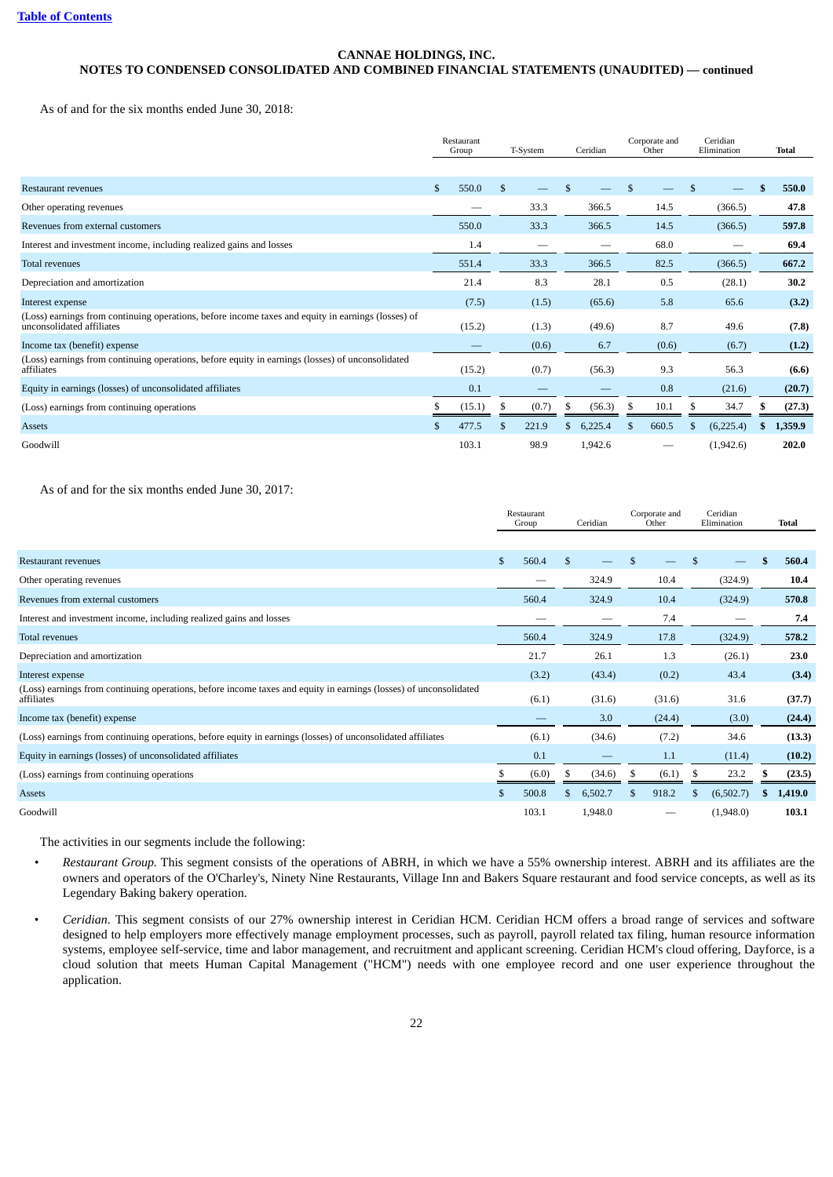As of and for the six months ended June 30, 2018:

|                                                                                                                                 |    | Restaurant<br>Group | T-System |       | Ceridian |         | Corporate and<br>Other |       | Ceridian<br>Elimination |            |   | <b>Total</b> |
|---------------------------------------------------------------------------------------------------------------------------------|----|---------------------|----------|-------|----------|---------|------------------------|-------|-------------------------|------------|---|--------------|
|                                                                                                                                 |    |                     |          |       |          |         |                        |       |                         |            |   |              |
| Restaurant revenues                                                                                                             | \$ | 550.0               | \$       |       |          |         | \$.                    |       | <sup>\$</sup>           |            |   | 550.0        |
| Other operating revenues                                                                                                        |    | –                   |          | 33.3  |          | 366.5   |                        | 14.5  |                         | (366.5)    |   | 47.8         |
| Revenues from external customers                                                                                                |    | 550.0               |          | 33.3  |          | 366.5   |                        | 14.5  |                         | (366.5)    |   | 597.8        |
| Interest and investment income, including realized gains and losses                                                             |    | 1.4                 |          |       |          | --      |                        | 68.0  |                         |            |   | 69.4         |
| <b>Total revenues</b>                                                                                                           |    | 551.4               |          | 33.3  |          | 366.5   |                        | 82.5  |                         | (366.5)    |   | 667.2        |
| Depreciation and amortization                                                                                                   |    | 21.4                |          | 8.3   |          | 28.1    |                        | 0.5   |                         | (28.1)     |   | 30.2         |
| Interest expense                                                                                                                |    | (7.5)               |          | (1.5) |          | (65.6)  |                        | 5.8   |                         | 65.6       |   | (3.2)        |
| (Loss) earnings from continuing operations, before income taxes and equity in earnings (losses) of<br>unconsolidated affiliates |    | (15.2)              |          | (1.3) |          | (49.6)  |                        | 8.7   |                         | 49.6       |   | (7.8)        |
| Income tax (benefit) expense                                                                                                    |    |                     |          | (0.6) |          | 6.7     |                        | (0.6) |                         | (6.7)      |   | (1.2)        |
| (Loss) earnings from continuing operations, before equity in earnings (losses) of unconsolidated<br>affiliates                  |    | (15.2)              |          | (0.7) |          | (56.3)  |                        | 9.3   |                         | 56.3       |   | (6.6)        |
| Equity in earnings (losses) of unconsolidated affiliates                                                                        |    | 0.1                 |          |       |          |         |                        | 0.8   |                         | (21.6)     |   | (20.7)       |
| (Loss) earnings from continuing operations                                                                                      | S  | (15.1)              | \$       | (0.7) | S        | (56.3)  | -S                     | 10.1  | S                       | 34.7       |   | (27.3)       |
| Assets                                                                                                                          | \$ | 477.5               | \$       | 221.9 | \$       | 6,225.4 | £.                     | 660.5 | \$                      | (6, 225.4) | S | 1,359.9      |
| Goodwill                                                                                                                        |    | 103.1               |          | 98.9  |          | 1,942.6 |                        |       |                         | (1,942.6)  |   | 202.0        |

As of and for the six months ended June 30, 2017:

|                                                                                                                                 |     | Restaurant<br>Group |                | Ceridian |    | Corporate and<br>Other |    | Ceridian<br>Elimination |     | <b>Total</b> |
|---------------------------------------------------------------------------------------------------------------------------------|-----|---------------------|----------------|----------|----|------------------------|----|-------------------------|-----|--------------|
|                                                                                                                                 |     |                     |                |          |    |                        |    |                         |     |              |
| Restaurant revenues                                                                                                             | \$  | 560.4               | $\mathfrak{s}$ |          |    |                        | \$ |                         |     | 560.4        |
| Other operating revenues                                                                                                        |     |                     |                | 324.9    |    | 10.4                   |    | (324.9)                 |     | 10.4         |
| Revenues from external customers                                                                                                |     | 560.4               |                | 324.9    |    | 10.4                   |    | (324.9)                 |     | 570.8        |
| Interest and investment income, including realized gains and losses                                                             |     |                     |                |          |    | 7.4                    |    |                         |     | 7.4          |
| Total revenues                                                                                                                  |     | 560.4               |                | 324.9    |    | 17.8                   |    | (324.9)                 |     | 578.2        |
| Depreciation and amortization                                                                                                   |     | 21.7                |                | 26.1     |    | 1.3                    |    | (26.1)                  |     | 23.0         |
| Interest expense                                                                                                                |     | (3.2)               |                | (43.4)   |    | (0.2)                  |    | 43.4                    |     | (3.4)        |
| (Loss) earnings from continuing operations, before income taxes and equity in earnings (losses) of unconsolidated<br>affiliates |     | (6.1)               |                | (31.6)   |    | (31.6)                 |    | 31.6                    |     | (37.7)       |
| Income tax (benefit) expense                                                                                                    |     |                     |                | 3.0      |    | (24.4)                 |    | (3.0)                   |     | (24.4)       |
| (Loss) earnings from continuing operations, before equity in earnings (losses) of unconsolidated affiliates                     |     | (6.1)               |                | (34.6)   |    | (7.2)                  |    | 34.6                    |     | (13.3)       |
| Equity in earnings (losses) of unconsolidated affiliates                                                                        |     | 0.1                 |                |          |    | 1.1                    |    | (11.4)                  |     | (10.2)       |
| (Loss) earnings from continuing operations                                                                                      |     | (6.0)               | S              | (34.6)   | S  | (6.1)                  | Ъ  | 23.2                    |     | (23.5)       |
| Assets                                                                                                                          | \$. | 500.8               | \$             | 6,502.7  | \$ | 918.2                  | \$ | (6,502.7)               | \$. | 1,419.0      |
| Goodwill                                                                                                                        |     | 103.1               |                | 1,948.0  |    |                        |    | (1,948.0)               |     | 103.1        |

The activities in our segments include the following:

- *• Restaurant Group.* This segment consists of the operations of ABRH, in which we have a 55% ownership interest. ABRH and its affiliates are the owners and operators of the O'Charley's, Ninety Nine Restaurants, Village Inn and Bakers Square restaurant and food service concepts, as well as its Legendary Baking bakery operation.
- *Ceridian*. This segment consists of our 27% ownership interest in Ceridian HCM. Ceridian HCM offers a broad range of services and software designed to help employers more effectively manage employment processes, such as payroll, payroll related tax filing, human resource information systems, employee self-service, time and labor management, and recruitment and applicant screening. Ceridian HCM's cloud offering, Dayforce, is a cloud solution that meets Human Capital Management ("HCM") needs with one employee record and one user experience throughout the application.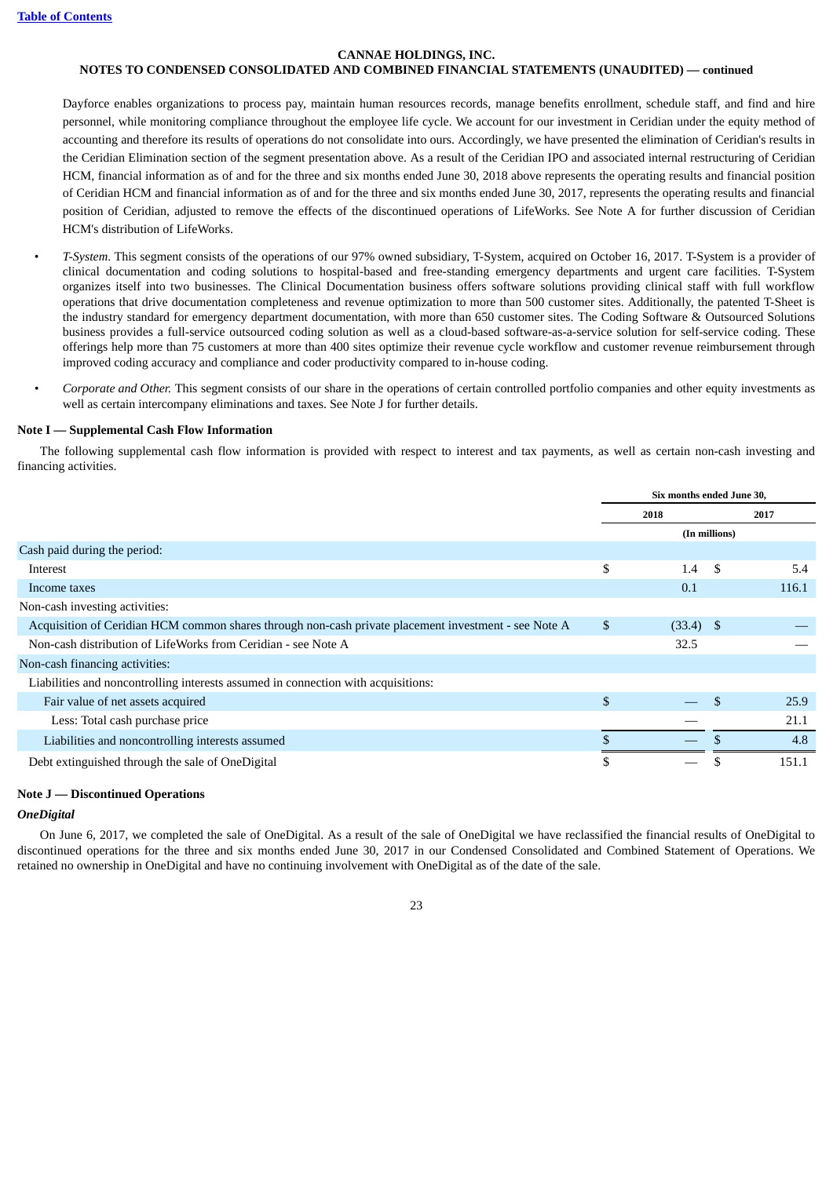## **NOTES TO CONDENSED CONSOLIDATED AND COMBINED FINANCIAL STATEMENTS (UNAUDITED) — continued**

Dayforce enables organizations to process pay, maintain human resources records, manage benefits enrollment, schedule staff, and find and hire personnel, while monitoring compliance throughout the employee life cycle. We account for our investment in Ceridian under the equity method of accounting and therefore its results of operations do not consolidate into ours. Accordingly, we have presented the elimination of Ceridian's results in the Ceridian Elimination section of the segment presentation above. As a result of the Ceridian IPO and associated internal restructuring of Ceridian HCM, financial information as of and for the three and six months ended June 30, 2018 above represents the operating results and financial position of Ceridian HCM and financial information as of and for the three and six months ended June 30, 2017, represents the operating results and financial position of Ceridian, adjusted to remove the effects of the discontinued operations of LifeWorks. See Note A for further discussion of Ceridian HCM's distribution of LifeWorks.

- *T-System*. This segment consists of the operations of our 97% owned subsidiary, T-System, acquired on October 16, 2017. T-System is a provider of clinical documentation and coding solutions to hospital-based and free-standing emergency departments and urgent care facilities. T-System organizes itself into two businesses. The Clinical Documentation business offers software solutions providing clinical staff with full workflow operations that drive documentation completeness and revenue optimization to more than 500 customer sites. Additionally, the patented T-Sheet is the industry standard for emergency department documentation, with more than 650 customer sites. The Coding Software & Outsourced Solutions business provides a full-service outsourced coding solution as well as a cloud-based software-as-a-service solution for self-service coding. These offerings help more than 75 customers at more than 400 sites optimize their revenue cycle workflow and customer revenue reimbursement through improved coding accuracy and compliance and coder productivity compared to in-house coding.
- *• Corporate and Other.* This segment consists of our share in the operations of certain controlled portfolio companies and other equity investments as well as certain intercompany eliminations and taxes. See Note J for further details.

### **Note I — Supplemental Cash Flow Information**

The following supplemental cash flow information is provided with respect to interest and tax payments, as well as certain non-cash investing and financing activities.

|                                                                                                      |    | Six months ended June 30, |               |       |
|------------------------------------------------------------------------------------------------------|----|---------------------------|---------------|-------|
|                                                                                                      |    | 2018                      |               | 2017  |
|                                                                                                      |    |                           | (In millions) |       |
| Cash paid during the period:                                                                         |    |                           |               |       |
| Interest                                                                                             | \$ | $1.4^{\circ}$             | -\$           | 5.4   |
| Income taxes                                                                                         |    | 0.1                       |               | 116.1 |
| Non-cash investing activities:                                                                       |    |                           |               |       |
| Acquisition of Ceridian HCM common shares through non-cash private placement investment - see Note A | \$ | $(33.4)$ \$               |               |       |
| Non-cash distribution of LifeWorks from Ceridian - see Note A                                        |    | 32.5                      |               |       |
| Non-cash financing activities:                                                                       |    |                           |               |       |
| Liabilities and noncontrolling interests assumed in connection with acquisitions:                    |    |                           |               |       |
| Fair value of net assets acquired                                                                    | \$ |                           | \$            | 25.9  |
| Less: Total cash purchase price                                                                      |    |                           |               | 21.1  |
| Liabilities and noncontrolling interests assumed                                                     |    |                           |               | 4.8   |
| Debt extinguished through the sale of OneDigital                                                     | J. |                           |               | 151.1 |

#### **Note J — Discontinued Operations**

### *OneDigital*

On June 6, 2017, we completed the sale of OneDigital. As a result of the sale of OneDigital we have reclassified the financial results of OneDigital to discontinued operations for the three and six months ended June 30, 2017 in our Condensed Consolidated and Combined Statement of Operations. We retained no ownership in OneDigital and have no continuing involvement with OneDigital as of the date of the sale.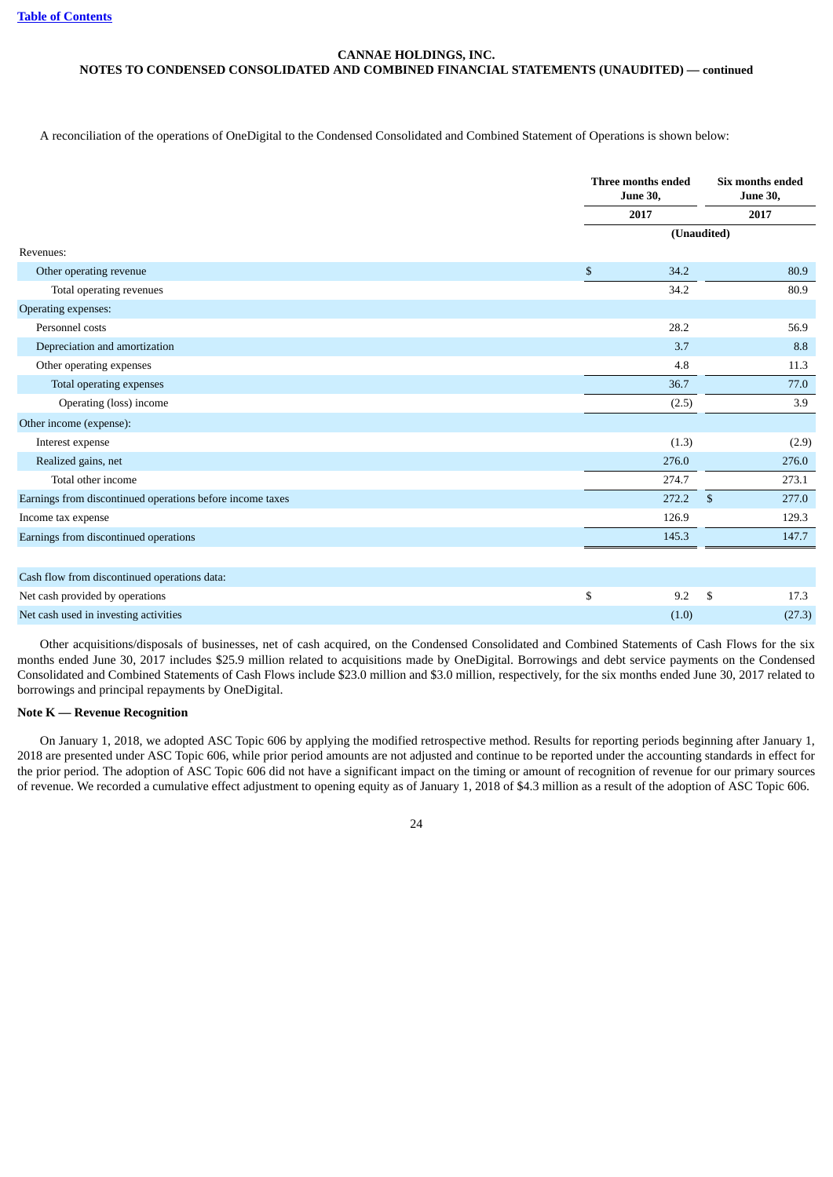A reconciliation of the operations of OneDigital to the Condensed Consolidated and Combined Statement of Operations is shown below:

|                                                           | <b>Three months ended</b><br><b>June 30,</b> |             | Six months ended<br><b>June 30,</b> |
|-----------------------------------------------------------|----------------------------------------------|-------------|-------------------------------------|
|                                                           | 2017                                         |             | 2017                                |
|                                                           |                                              | (Unaudited) |                                     |
| Revenues:                                                 |                                              |             |                                     |
| Other operating revenue                                   | \$                                           | 34.2        | 80.9                                |
| Total operating revenues                                  |                                              | 34.2        | 80.9                                |
| Operating expenses:                                       |                                              |             |                                     |
| Personnel costs                                           |                                              | 28.2        | 56.9                                |
| Depreciation and amortization                             |                                              | 3.7         | 8.8                                 |
| Other operating expenses                                  |                                              | 4.8         | 11.3                                |
| Total operating expenses                                  |                                              | 36.7        | 77.0                                |
| Operating (loss) income                                   |                                              | (2.5)       | 3.9                                 |
| Other income (expense):                                   |                                              |             |                                     |
| Interest expense                                          |                                              | (1.3)       | (2.9)                               |
| Realized gains, net                                       |                                              | 276.0       | 276.0                               |
| Total other income                                        |                                              | 274.7       | 273.1                               |
| Earnings from discontinued operations before income taxes |                                              | 272.2       | $\mathbb{S}$<br>277.0               |
| Income tax expense                                        |                                              | 126.9       | 129.3                               |
| Earnings from discontinued operations                     |                                              | 145.3       | 147.7                               |
|                                                           |                                              |             |                                     |
| Cash flow from discontinued operations data:              |                                              |             |                                     |
| Net cash provided by operations                           | \$                                           | 9.2         | \$<br>17.3                          |
| Net cash used in investing activities                     |                                              | (1.0)       | (27.3)                              |

Other acquisitions/disposals of businesses, net of cash acquired, on the Condensed Consolidated and Combined Statements of Cash Flows for the six months ended June 30, 2017 includes \$25.9 million related to acquisitions made by OneDigital. Borrowings and debt service payments on the Condensed Consolidated and Combined Statements of Cash Flows include \$23.0 million and \$3.0 million, respectively, for the six months ended June 30, 2017 related to borrowings and principal repayments by OneDigital.

#### **Note K — Revenue Recognition**

On January 1, 2018, we adopted ASC Topic 606 by applying the modified retrospective method. Results for reporting periods beginning after January 1, 2018 are presented under ASC Topic 606, while prior period amounts are not adjusted and continue to be reported under the accounting standards in effect for the prior period. The adoption of ASC Topic 606 did not have a significant impact on the timing or amount of recognition of revenue for our primary sources of revenue. We recorded a cumulative effect adjustment to opening equity as of January 1, 2018 of \$4.3 million as a result of the adoption of ASC Topic 606.

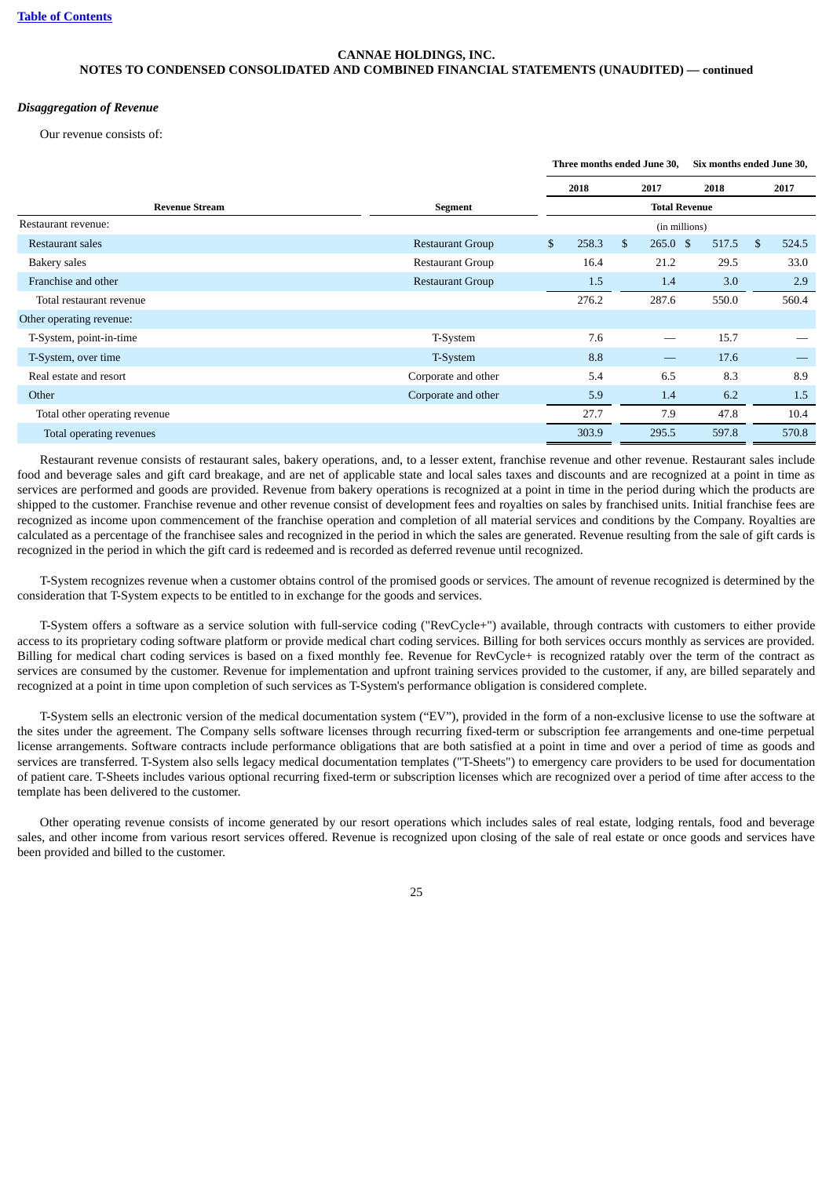# *Disaggregation of Revenue*

Our revenue consists of:

|                               |                         |               | Three months ended June 30, |    |                      |  |       |    | Six months ended June 30, |  |     |
|-------------------------------|-------------------------|---------------|-----------------------------|----|----------------------|--|-------|----|---------------------------|--|-----|
|                               |                         |               | 2018                        |    | 2017                 |  | 2018  |    | 2017                      |  |     |
| <b>Revenue Stream</b>         | Segment                 |               |                             |    | <b>Total Revenue</b> |  |       |    |                           |  |     |
| Restaurant revenue:           |                         | (in millions) |                             |    |                      |  |       |    |                           |  |     |
| Restaurant sales              | <b>Restaurant Group</b> | \$            | 258.3                       | \$ | 265.0 <sup>5</sup>   |  | 517.5 | \$ | 524.5                     |  |     |
| Bakery sales                  | <b>Restaurant Group</b> |               | 16.4                        |    | 21.2                 |  | 29.5  |    | 33.0                      |  |     |
| Franchise and other           | <b>Restaurant Group</b> |               | 1.5                         |    | 1.4                  |  |       |    | 3.0                       |  | 2.9 |
| Total restaurant revenue      |                         |               | 276.2                       |    | 287.6                |  | 550.0 |    | 560.4                     |  |     |
| Other operating revenue:      |                         |               |                             |    |                      |  |       |    |                           |  |     |
| T-System, point-in-time       | T-System                |               | 7.6                         |    |                      |  | 15.7  |    |                           |  |     |
| T-System, over time           | T-System                |               | 8.8                         |    |                      |  | 17.6  |    |                           |  |     |
| Real estate and resort        | Corporate and other     |               | 5.4                         |    | 6.5                  |  | 8.3   |    | 8.9                       |  |     |
| Other                         | Corporate and other     |               | 5.9                         |    | 1.4                  |  | 6.2   |    | 1.5                       |  |     |
| Total other operating revenue |                         |               | 27.7                        |    | 7.9                  |  | 47.8  |    | 10.4                      |  |     |
| Total operating revenues      |                         |               | 303.9                       |    | 295.5                |  | 597.8 |    | 570.8                     |  |     |

Restaurant revenue consists of restaurant sales, bakery operations, and, to a lesser extent, franchise revenue and other revenue. Restaurant sales include food and beverage sales and gift card breakage, and are net of applicable state and local sales taxes and discounts and are recognized at a point in time as services are performed and goods are provided. Revenue from bakery operations is recognized at a point in time in the period during which the products are shipped to the customer. Franchise revenue and other revenue consist of development fees and royalties on sales by franchised units. Initial franchise fees are recognized as income upon commencement of the franchise operation and completion of all material services and conditions by the Company. Royalties are calculated as a percentage of the franchisee sales and recognized in the period in which the sales are generated. Revenue resulting from the sale of gift cards is recognized in the period in which the gift card is redeemed and is recorded as deferred revenue until recognized.

T-System recognizes revenue when a customer obtains control of the promised goods or services. The amount of revenue recognized is determined by the consideration that T-System expects to be entitled to in exchange for the goods and services.

T-System offers a software as a service solution with full-service coding ("RevCycle+") available, through contracts with customers to either provide access to its proprietary coding software platform or provide medical chart coding services. Billing for both services occurs monthly as services are provided. Billing for medical chart coding services is based on a fixed monthly fee. Revenue for RevCycle+ is recognized ratably over the term of the contract as services are consumed by the customer. Revenue for implementation and upfront training services provided to the customer, if any, are billed separately and recognized at a point in time upon completion of such services as T-System's performance obligation is considered complete.

T-System sells an electronic version of the medical documentation system ("EV"), provided in the form of a non-exclusive license to use the software at the sites under the agreement. The Company sells software licenses through recurring fixed-term or subscription fee arrangements and one-time perpetual license arrangements. Software contracts include performance obligations that are both satisfied at a point in time and over a period of time as goods and services are transferred. T-System also sells legacy medical documentation templates ("T-Sheets") to emergency care providers to be used for documentation of patient care. T-Sheets includes various optional recurring fixed-term or subscription licenses which are recognized over a period of time after access to the template has been delivered to the customer.

Other operating revenue consists of income generated by our resort operations which includes sales of real estate, lodging rentals, food and beverage sales, and other income from various resort services offered. Revenue is recognized upon closing of the sale of real estate or once goods and services have been provided and billed to the customer.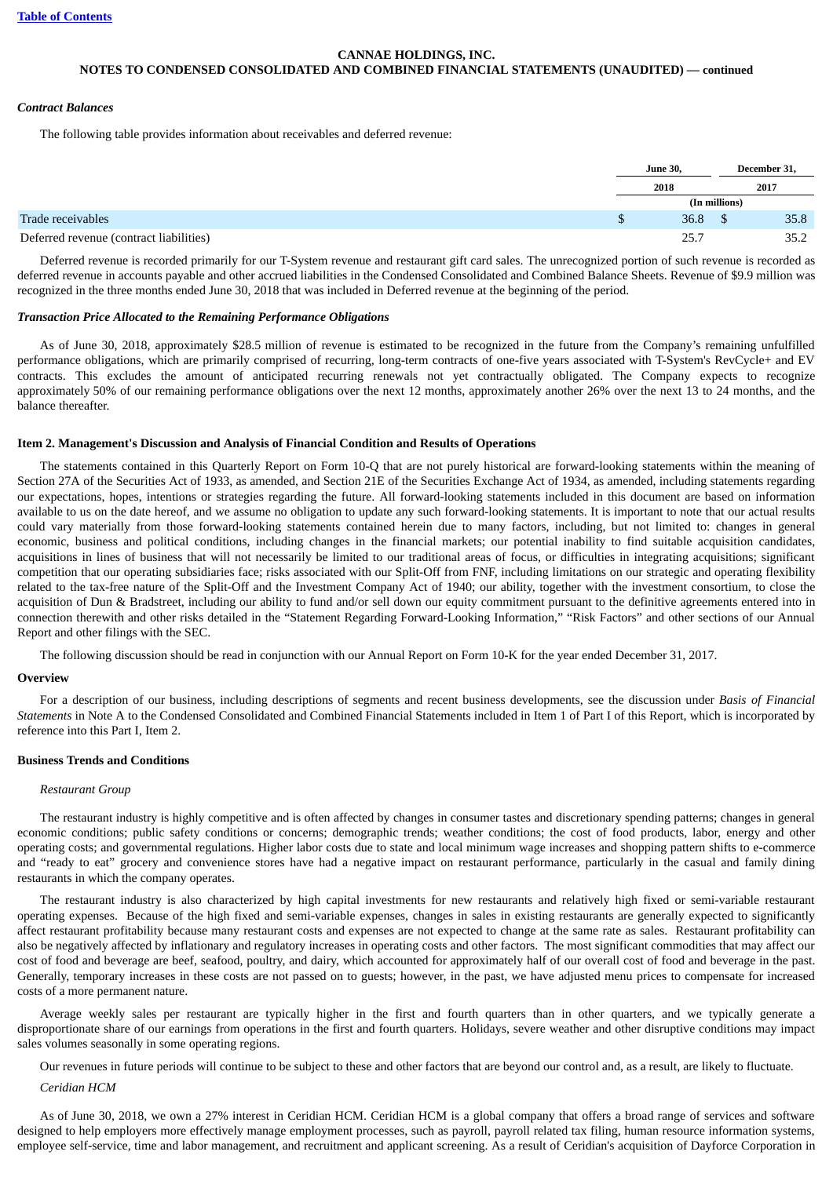# *Contract Balances*

The following table provides information about receivables and deferred revenue:

|                                         | <b>June 30,</b> |               | December 31, |
|-----------------------------------------|-----------------|---------------|--------------|
|                                         | 2018            |               | 2017         |
|                                         |                 | (In millions) |              |
| Trade receivables                       | 36.8            |               | 35.8         |
| Deferred revenue (contract liabilities) | 25.7            |               | 35.2         |

Deferred revenue is recorded primarily for our T-System revenue and restaurant gift card sales. The unrecognized portion of such revenue is recorded as deferred revenue in accounts payable and other accrued liabilities in the Condensed Consolidated and Combined Balance Sheets. Revenue of \$9.9 million was recognized in the three months ended June 30, 2018 that was included in Deferred revenue at the beginning of the period.

# *Transaction Price Allocated to the Remaining Performance Obligations*

As of June 30, 2018, approximately \$28.5 million of revenue is estimated to be recognized in the future from the Company's remaining unfulfilled performance obligations, which are primarily comprised of recurring, long-term contracts of one-five years associated with T-System's RevCycle+ and EV contracts. This excludes the amount of anticipated recurring renewals not yet contractually obligated. The Company expects to recognize approximately 50% of our remaining performance obligations over the next 12 months, approximately another 26% over the next 13 to 24 months, and the balance thereafter.

# <span id="page-28-0"></span>**Item 2. Management's Discussion and Analysis of Financial Condition and Results of Operations**

The statements contained in this Quarterly Report on Form 10-Q that are not purely historical are forward-looking statements within the meaning of Section 27A of the Securities Act of 1933, as amended, and Section 21E of the Securities Exchange Act of 1934, as amended, including statements regarding our expectations, hopes, intentions or strategies regarding the future. All forward-looking statements included in this document are based on information available to us on the date hereof, and we assume no obligation to update any such forward-looking statements. It is important to note that our actual results could vary materially from those forward-looking statements contained herein due to many factors, including, but not limited to: changes in general economic, business and political conditions, including changes in the financial markets; our potential inability to find suitable acquisition candidates, acquisitions in lines of business that will not necessarily be limited to our traditional areas of focus, or difficulties in integrating acquisitions; significant competition that our operating subsidiaries face; risks associated with our Split-Off from FNF, including limitations on our strategic and operating flexibility related to the tax-free nature of the Split-Off and the Investment Company Act of 1940; our ability, together with the investment consortium, to close the acquisition of Dun & Bradstreet, including our ability to fund and/or sell down our equity commitment pursuant to the definitive agreements entered into in connection therewith and other risks detailed in the "Statement Regarding Forward-Looking Information," "Risk Factors" and other sections of our Annual Report and other filings with the SEC.

The following discussion should be read in conjunction with our Annual Report on Form 10-K for the year ended December 31, 2017.

# **Overview**

For a description of our business, including descriptions of segments and recent business developments, see the discussion under *Basis of Financial Statements* in Note A to the Condensed Consolidated and Combined Financial Statements included in Item 1 of Part I of this Report, which is incorporated by reference into this Part I, Item 2.

# **Business Trends and Conditions**

# *Restaurant Group*

The restaurant industry is highly competitive and is often affected by changes in consumer tastes and discretionary spending patterns; changes in general economic conditions; public safety conditions or concerns; demographic trends; weather conditions; the cost of food products, labor, energy and other operating costs; and governmental regulations. Higher labor costs due to state and local minimum wage increases and shopping pattern shifts to e-commerce and "ready to eat" grocery and convenience stores have had a negative impact on restaurant performance, particularly in the casual and family dining restaurants in which the company operates.

The restaurant industry is also characterized by high capital investments for new restaurants and relatively high fixed or semi-variable restaurant operating expenses. Because of the high fixed and semi-variable expenses, changes in sales in existing restaurants are generally expected to significantly affect restaurant profitability because many restaurant costs and expenses are not expected to change at the same rate as sales. Restaurant profitability can also be negatively affected by inflationary and regulatory increases in operating costs and other factors. The most significant commodities that may affect our cost of food and beverage are beef, seafood, poultry, and dairy, which accounted for approximately half of our overall cost of food and beverage in the past. Generally, temporary increases in these costs are not passed on to guests; however, in the past, we have adjusted menu prices to compensate for increased costs of a more permanent nature.

Average weekly sales per restaurant are typically higher in the first and fourth quarters than in other quarters, and we typically generate a disproportionate share of our earnings from operations in the first and fourth quarters. Holidays, severe weather and other disruptive conditions may impact sales volumes seasonally in some operating regions.

Our revenues in future periods will continue to be subject to these and other factors that are beyond our control and, as a result, are likely to fluctuate.

## *Ceridian HCM*

As of June 30, 2018, we own a 27% interest in Ceridian HCM. Ceridian HCM is a global company that offers a broad range of services and software designed to help employers more effectively manage employment processes, such as payroll, payroll related tax filing, human resource information systems, employee self-service, time and labor management, and recruitment and applicant screening. As a result of Ceridian's acquisition of Dayforce Corporation in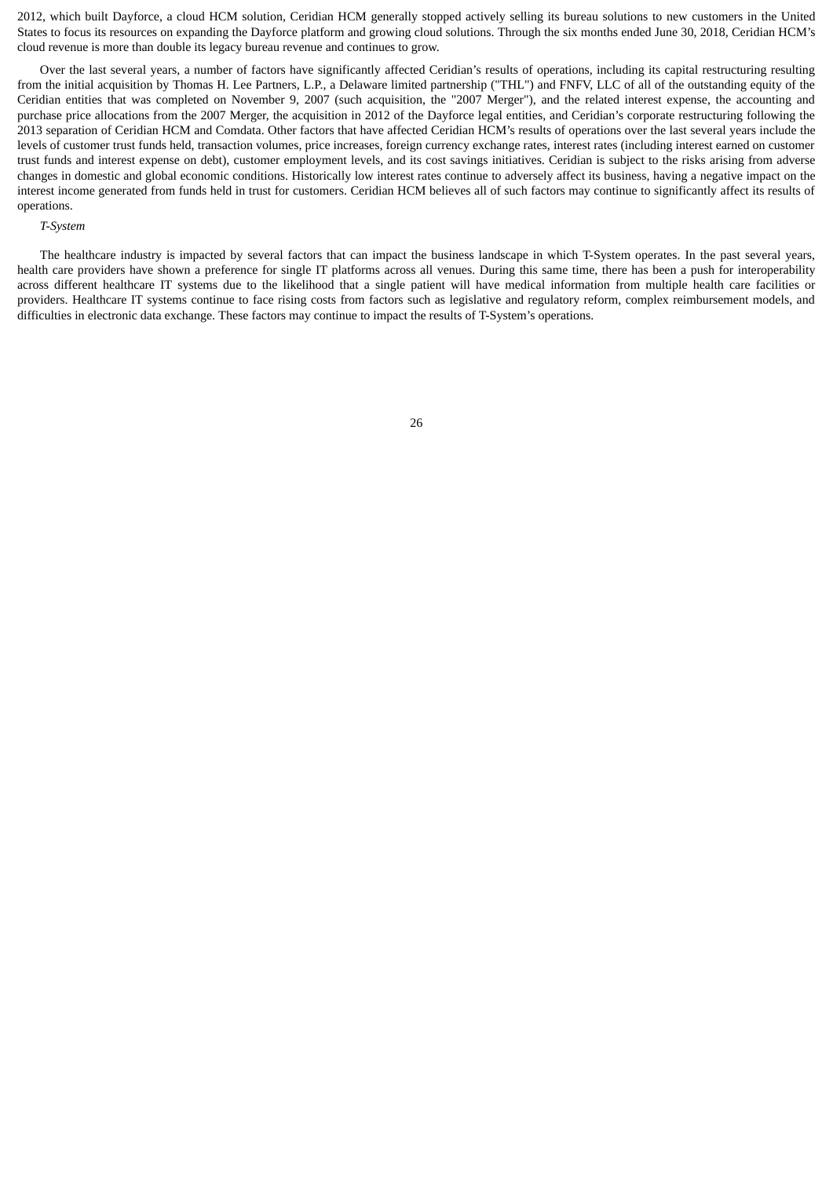2012, which built Dayforce, a cloud HCM solution, Ceridian HCM generally stopped actively selling its bureau solutions to new customers in the United States to focus its resources on expanding the Dayforce platform and growing cloud solutions. Through the six months ended June 30, 2018, Ceridian HCM's cloud revenue is more than double its legacy bureau revenue and continues to grow.

Over the last several years, a number of factors have significantly affected Ceridian's results of operations, including its capital restructuring resulting from the initial acquisition by Thomas H. Lee Partners, L.P., a Delaware limited partnership ("THL") and FNFV, LLC of all of the outstanding equity of the Ceridian entities that was completed on November 9, 2007 (such acquisition, the "2007 Merger"), and the related interest expense, the accounting and purchase price allocations from the 2007 Merger, the acquisition in 2012 of the Dayforce legal entities, and Ceridian's corporate restructuring following the 2013 separation of Ceridian HCM and Comdata. Other factors that have affected Ceridian HCM's results of operations over the last several years include the levels of customer trust funds held, transaction volumes, price increases, foreign currency exchange rates, interest rates (including interest earned on customer trust funds and interest expense on debt), customer employment levels, and its cost savings initiatives. Ceridian is subject to the risks arising from adverse changes in domestic and global economic conditions. Historically low interest rates continue to adversely affect its business, having a negative impact on the interest income generated from funds held in trust for customers. Ceridian HCM believes all of such factors may continue to significantly affect its results of operations.

#### *T-System*

The healthcare industry is impacted by several factors that can impact the business landscape in which T-System operates. In the past several years, health care providers have shown a preference for single IT platforms across all venues. During this same time, there has been a push for interoperability across different healthcare IT systems due to the likelihood that a single patient will have medical information from multiple health care facilities or providers. Healthcare IT systems continue to face rising costs from factors such as legislative and regulatory reform, complex reimbursement models, and difficulties in electronic data exchange. These factors may continue to impact the results of T-System's operations.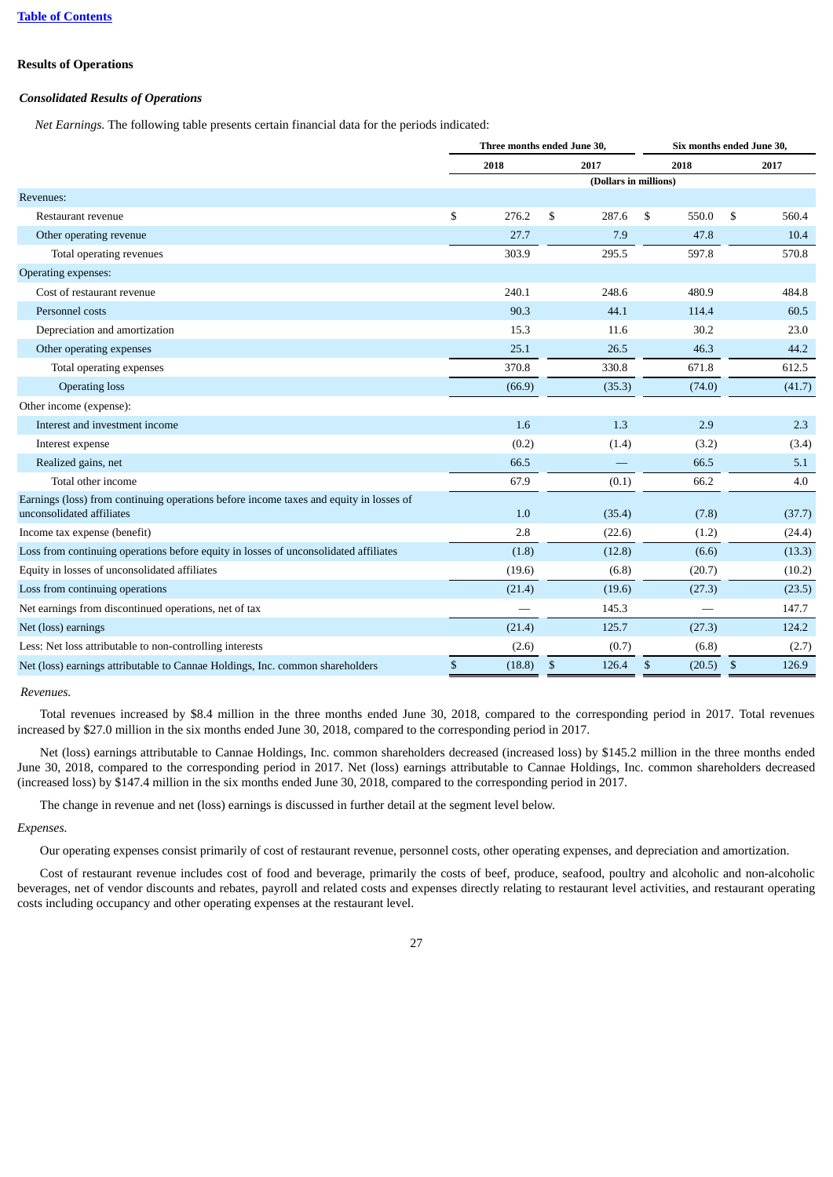## **Results of Operations**

### *Consolidated Results of Operations*

*Net Earnings.* The following table presents certain financial data for the periods indicated:

|                                                                                        | Three months ended June 30, |    |                       | Six months ended June 30, |        |      |        |
|----------------------------------------------------------------------------------------|-----------------------------|----|-----------------------|---------------------------|--------|------|--------|
|                                                                                        | 2018                        |    | 2017                  |                           |        | 2017 |        |
|                                                                                        |                             |    | (Dollars in millions) |                           |        |      |        |
| Revenues:                                                                              |                             |    |                       |                           |        |      |        |
| Restaurant revenue                                                                     | \$<br>276.2                 | \$ | 287.6                 | \$                        | 550.0  | \$   | 560.4  |
| Other operating revenue                                                                | 27.7                        |    | 7.9                   |                           | 47.8   |      | 10.4   |
| Total operating revenues                                                               | 303.9                       |    | 295.5                 |                           | 597.8  |      | 570.8  |
| Operating expenses:                                                                    |                             |    |                       |                           |        |      |        |
| Cost of restaurant revenue                                                             | 240.1                       |    | 248.6                 |                           | 480.9  |      | 484.8  |
| Personnel costs                                                                        | 90.3                        |    | 44.1                  |                           | 114.4  |      | 60.5   |
| Depreciation and amortization                                                          | 15.3                        |    | 11.6                  |                           | 30.2   |      | 23.0   |
| Other operating expenses                                                               | 25.1                        |    | 26.5                  |                           | 46.3   |      | 44.2   |
| Total operating expenses                                                               | 370.8                       |    | 330.8                 |                           | 671.8  |      | 612.5  |
| <b>Operating loss</b>                                                                  | (66.9)                      |    | (35.3)                |                           | (74.0) |      | (41.7) |
| Other income (expense):                                                                |                             |    |                       |                           |        |      |        |
| Interest and investment income                                                         | 1.6                         |    | 1.3                   |                           | 2.9    |      | 2.3    |
| Interest expense                                                                       | (0.2)                       |    | (1.4)                 |                           | (3.2)  |      | (3.4)  |
| Realized gains, net                                                                    | 66.5                        |    |                       |                           | 66.5   |      | 5.1    |
| Total other income                                                                     | 67.9                        |    | (0.1)                 |                           | 66.2   |      | 4.0    |
| Earnings (loss) from continuing operations before income taxes and equity in losses of |                             |    |                       |                           |        |      |        |
| unconsolidated affiliates                                                              | 1.0                         |    | (35.4)                |                           | (7.8)  |      | (37.7) |
| Income tax expense (benefit)                                                           | 2.8                         |    | (22.6)                |                           | (1.2)  |      | (24.4) |
| Loss from continuing operations before equity in losses of unconsolidated affiliates   | (1.8)                       |    | (12.8)                |                           | (6.6)  |      | (13.3) |
| Equity in losses of unconsolidated affiliates                                          | (19.6)                      |    | (6.8)                 |                           | (20.7) |      | (10.2) |
| Loss from continuing operations                                                        | (21.4)                      |    | (19.6)                |                           | (27.3) |      | (23.5) |
| Net earnings from discontinued operations, net of tax                                  |                             |    | 145.3                 |                           |        |      | 147.7  |
| Net (loss) earnings                                                                    | (21.4)                      |    | 125.7                 |                           | (27.3) |      | 124.2  |
| Less: Net loss attributable to non-controlling interests                               | (2.6)                       |    | (0.7)                 |                           | (6.8)  |      | (2.7)  |
| Net (loss) earnings attributable to Cannae Holdings, Inc. common shareholders          | \$<br>(18.8)                | \$ | 126.4                 | \$                        | (20.5) | \$   | 126.9  |

#### *Revenues.*

Total revenues increased by \$8.4 million in the three months ended June 30, 2018, compared to the corresponding period in 2017. Total revenues increased by \$27.0 million in the six months ended June 30, 2018, compared to the corresponding period in 2017.

Net (loss) earnings attributable to Cannae Holdings, Inc. common shareholders decreased (increased loss) by \$145.2 million in the three months ended June 30, 2018, compared to the corresponding period in 2017. Net (loss) earnings attributable to Cannae Holdings, Inc. common shareholders decreased (increased loss) by \$147.4 million in the six months ended June 30, 2018, compared to the corresponding period in 2017.

The change in revenue and net (loss) earnings is discussed in further detail at the segment level below.

#### *Expenses.*

Our operating expenses consist primarily of cost of restaurant revenue, personnel costs, other operating expenses, and depreciation and amortization.

Cost of restaurant revenue includes cost of food and beverage, primarily the costs of beef, produce, seafood, poultry and alcoholic and non-alcoholic beverages, net of vendor discounts and rebates, payroll and related costs and expenses directly relating to restaurant level activities, and restaurant operating costs including occupancy and other operating expenses at the restaurant level.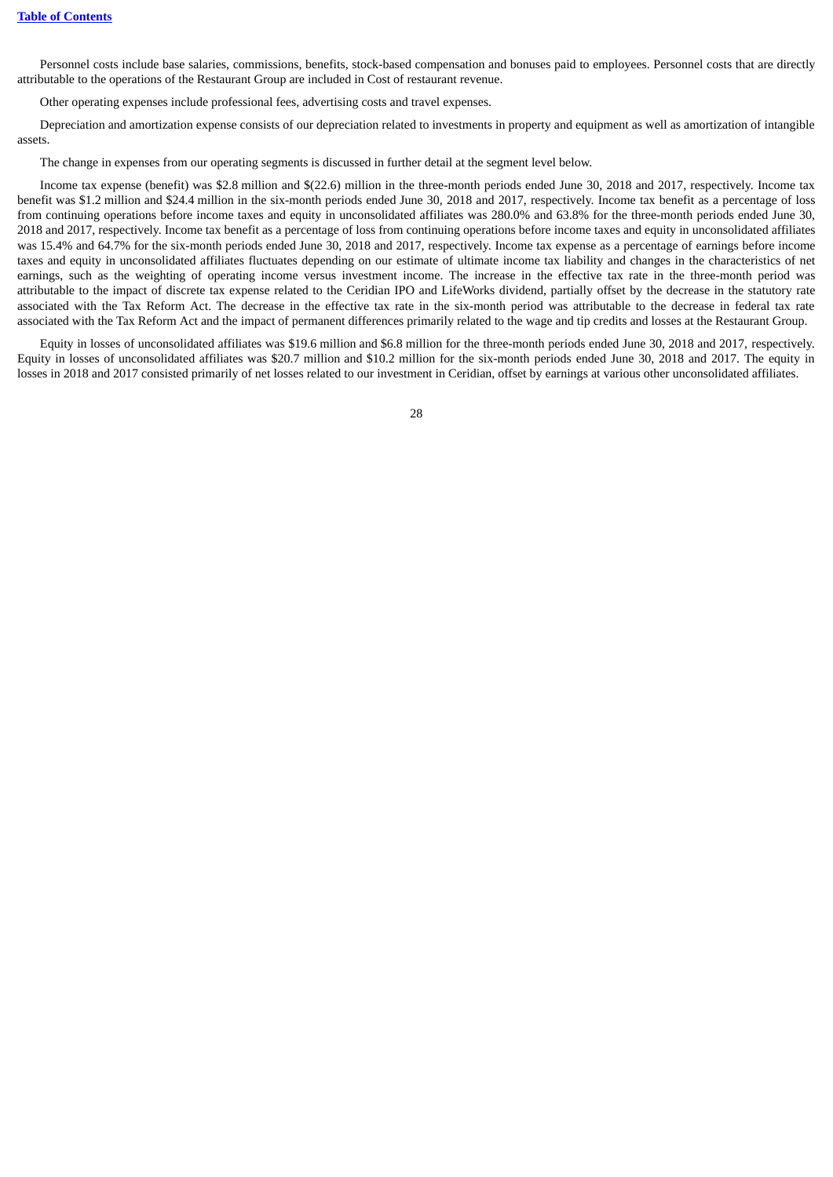Personnel costs include base salaries, commissions, benefits, stock-based compensation and bonuses paid to employees. Personnel costs that are directly attributable to the operations of the Restaurant Group are included in Cost of restaurant revenue.

Other operating expenses include professional fees, advertising costs and travel expenses.

Depreciation and amortization expense consists of our depreciation related to investments in property and equipment as well as amortization of intangible assets.

The change in expenses from our operating segments is discussed in further detail at the segment level below.

Income tax expense (benefit) was \$2.8 million and \$(22.6) million in the three-month periods ended June 30, 2018 and 2017, respectively. Income tax benefit was \$1.2 million and \$24.4 million in the six-month periods ended June 30, 2018 and 2017, respectively. Income tax benefit as a percentage of loss from continuing operations before income taxes and equity in unconsolidated affiliates was 280.0% and 63.8% for the three-month periods ended June 30, 2018 and 2017, respectively. Income tax benefit as a percentage of loss from continuing operations before income taxes and equity in unconsolidated affiliates was 15.4% and 64.7% for the six-month periods ended June 30, 2018 and 2017, respectively. Income tax expense as a percentage of earnings before income taxes and equity in unconsolidated affiliates fluctuates depending on our estimate of ultimate income tax liability and changes in the characteristics of net earnings, such as the weighting of operating income versus investment income. The increase in the effective tax rate in the three-month period was attributable to the impact of discrete tax expense related to the Ceridian IPO and LifeWorks dividend, partially offset by the decrease in the statutory rate associated with the Tax Reform Act. The decrease in the effective tax rate in the six-month period was attributable to the decrease in federal tax rate associated with the Tax Reform Act and the impact of permanent differences primarily related to the wage and tip credits and losses at the Restaurant Group.

Equity in losses of unconsolidated affiliates was \$19.6 million and \$6.8 million for the three-month periods ended June 30, 2018 and 2017, respectively. Equity in losses of unconsolidated affiliates was \$20.7 million and \$10.2 million for the six-month periods ended June 30, 2018 and 2017. The equity in losses in 2018 and 2017 consisted primarily of net losses related to our investment in Ceridian, offset by earnings at various other unconsolidated affiliates.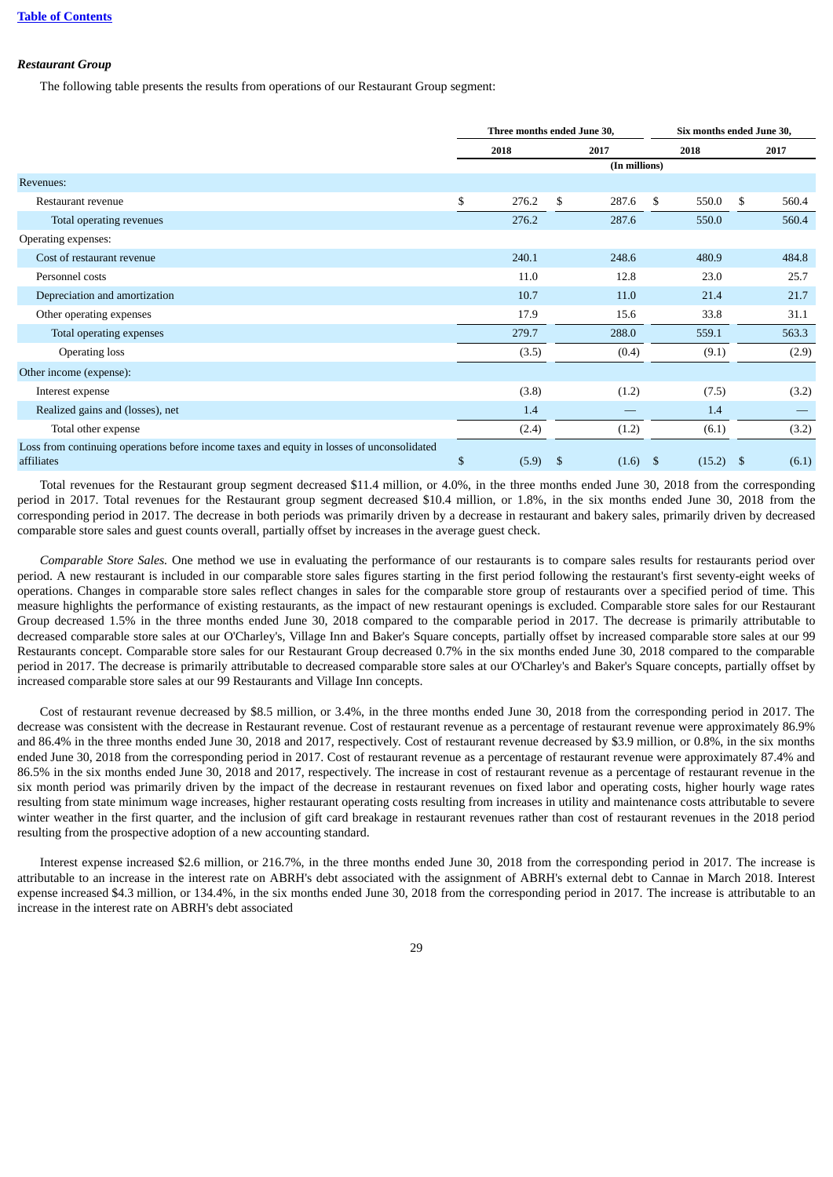#### *Restaurant Group*

The following table presents the results from operations of our Restaurant Group segment:

|                                                                                                          |             | Three months ended June 30,  |  | Six months ended June 30, |    |       |
|----------------------------------------------------------------------------------------------------------|-------------|------------------------------|--|---------------------------|----|-------|
|                                                                                                          | 2018        | 2017                         |  | 2018                      |    | 2017  |
|                                                                                                          |             | (In millions)                |  |                           |    |       |
| Revenues:                                                                                                |             |                              |  |                           |    |       |
| Restaurant revenue                                                                                       | \$<br>276.2 | \$<br>287.6                  |  | \$<br>550.0               | \$ | 560.4 |
| Total operating revenues                                                                                 | 276.2       | 287.6                        |  | 550.0                     |    | 560.4 |
| Operating expenses:                                                                                      |             |                              |  |                           |    |       |
| Cost of restaurant revenue                                                                               | 240.1       | 248.6                        |  | 480.9                     |    | 484.8 |
| Personnel costs                                                                                          | 11.0        | 12.8                         |  | 23.0                      |    | 25.7  |
| Depreciation and amortization                                                                            | 10.7        | 11.0                         |  | 21.4                      |    | 21.7  |
| Other operating expenses                                                                                 | 17.9        | 15.6                         |  | 33.8                      |    | 31.1  |
| Total operating expenses                                                                                 | 279.7       | 288.0                        |  | 559.1                     |    | 563.3 |
| Operating loss                                                                                           | (3.5)       | (0.4)                        |  | (9.1)                     |    | (2.9) |
| Other income (expense):                                                                                  |             |                              |  |                           |    |       |
| Interest expense                                                                                         | (3.8)       | (1.2)                        |  | (7.5)                     |    | (3.2) |
| Realized gains and (losses), net                                                                         | 1.4         |                              |  | 1.4                       |    |       |
| Total other expense                                                                                      | (2.4)       | (1.2)                        |  | (6.1)                     |    | (3.2) |
| Loss from continuing operations before income taxes and equity in losses of unconsolidated<br>affiliates | \$<br>(5.9) | $\mathfrak{S}$<br>$(1.6)$ \$ |  | $(15.2)$ \$               |    | (6.1) |

Total revenues for the Restaurant group segment decreased \$11.4 million, or 4.0%, in the three months ended June 30, 2018 from the corresponding period in 2017. Total revenues for the Restaurant group segment decreased \$10.4 million, or 1.8%, in the six months ended June 30, 2018 from the corresponding period in 2017. The decrease in both periods was primarily driven by a decrease in restaurant and bakery sales, primarily driven by decreased comparable store sales and guest counts overall, partially offset by increases in the average guest check.

*Comparable Store Sales.* One method we use in evaluating the performance of our restaurants is to compare sales results for restaurants period over period. A new restaurant is included in our comparable store sales figures starting in the first period following the restaurant's first seventy-eight weeks of operations. Changes in comparable store sales reflect changes in sales for the comparable store group of restaurants over a specified period of time. This measure highlights the performance of existing restaurants, as the impact of new restaurant openings is excluded. Comparable store sales for our Restaurant Group decreased 1.5% in the three months ended June 30, 2018 compared to the comparable period in 2017. The decrease is primarily attributable to decreased comparable store sales at our O'Charley's, Village Inn and Baker's Square concepts, partially offset by increased comparable store sales at our 99 Restaurants concept. Comparable store sales for our Restaurant Group decreased 0.7% in the six months ended June 30, 2018 compared to the comparable period in 2017. The decrease is primarily attributable to decreased comparable store sales at our O'Charley's and Baker's Square concepts, partially offset by increased comparable store sales at our 99 Restaurants and Village Inn concepts.

Cost of restaurant revenue decreased by \$8.5 million, or 3.4%, in the three months ended June 30, 2018 from the corresponding period in 2017. The decrease was consistent with the decrease in Restaurant revenue. Cost of restaurant revenue as a percentage of restaurant revenue were approximately 86.9% and 86.4% in the three months ended June 30, 2018 and 2017, respectively. Cost of restaurant revenue decreased by \$3.9 million, or 0.8%, in the six months ended June 30, 2018 from the corresponding period in 2017. Cost of restaurant revenue as a percentage of restaurant revenue were approximately 87.4% and 86.5% in the six months ended June 30, 2018 and 2017, respectively. The increase in cost of restaurant revenue as a percentage of restaurant revenue in the six month period was primarily driven by the impact of the decrease in restaurant revenues on fixed labor and operating costs, higher hourly wage rates resulting from state minimum wage increases, higher restaurant operating costs resulting from increases in utility and maintenance costs attributable to severe winter weather in the first quarter, and the inclusion of gift card breakage in restaurant revenues rather than cost of restaurant revenues in the 2018 period resulting from the prospective adoption of a new accounting standard.

Interest expense increased \$2.6 million, or 216.7%, in the three months ended June 30, 2018 from the corresponding period in 2017. The increase is attributable to an increase in the interest rate on ABRH's debt associated with the assignment of ABRH's external debt to Cannae in March 2018. Interest expense increased \$4.3 million, or 134.4%, in the six months ended June 30, 2018 from the corresponding period in 2017. The increase is attributable to an increase in the interest rate on ABRH's debt associated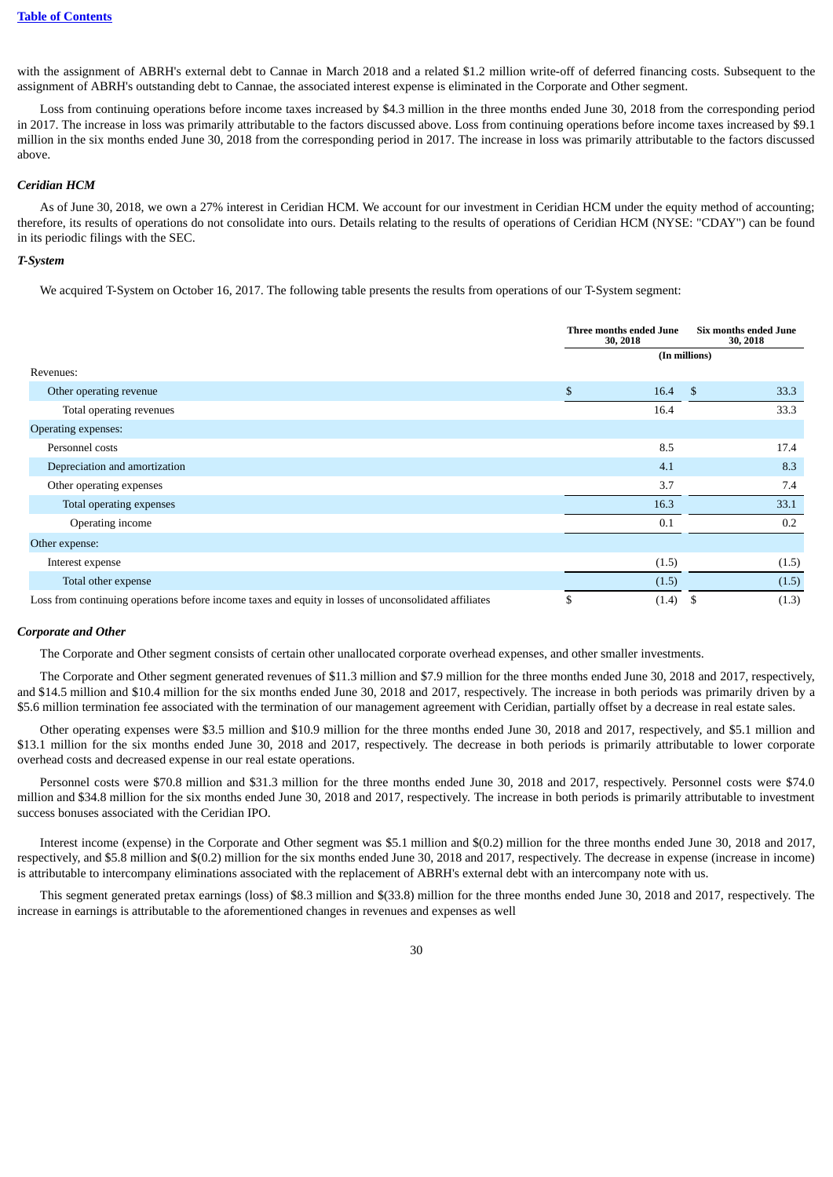with the assignment of ABRH's external debt to Cannae in March 2018 and a related \$1.2 million write-off of deferred financing costs. Subsequent to the assignment of ABRH's outstanding debt to Cannae, the associated interest expense is eliminated in the Corporate and Other segment.

Loss from continuing operations before income taxes increased by \$4.3 million in the three months ended June 30, 2018 from the corresponding period in 2017. The increase in loss was primarily attributable to the factors discussed above. Loss from continuing operations before income taxes increased by \$9.1 million in the six months ended June 30, 2018 from the corresponding period in 2017. The increase in loss was primarily attributable to the factors discussed above.

#### *Ceridian HCM*

As of June 30, 2018, we own a 27% interest in Ceridian HCM. We account for our investment in Ceridian HCM under the equity method of accounting; therefore, its results of operations do not consolidate into ours. Details relating to the results of operations of Ceridian HCM (NYSE: "CDAY") can be found in its periodic filings with the SEC.

#### *T-System*

We acquired T-System on October 16, 2017. The following table presents the results from operations of our T-System segment:

|                                                                                                       |               | Three months ended June<br>30, 2018 | Six months ended June<br>30, 2018 |       |  |
|-------------------------------------------------------------------------------------------------------|---------------|-------------------------------------|-----------------------------------|-------|--|
|                                                                                                       | (In millions) |                                     |                                   |       |  |
| Revenues:                                                                                             |               |                                     |                                   |       |  |
| Other operating revenue                                                                               | \$            | 16.4                                | $\mathfrak{S}$                    | 33.3  |  |
| Total operating revenues                                                                              |               | 16.4                                |                                   | 33.3  |  |
| Operating expenses:                                                                                   |               |                                     |                                   |       |  |
| Personnel costs                                                                                       |               | 8.5                                 |                                   | 17.4  |  |
| Depreciation and amortization                                                                         |               | 4.1                                 |                                   | 8.3   |  |
| Other operating expenses                                                                              |               | 3.7                                 |                                   | 7.4   |  |
| Total operating expenses                                                                              |               | 16.3                                |                                   | 33.1  |  |
| Operating income                                                                                      |               | 0.1                                 |                                   | 0.2   |  |
| Other expense:                                                                                        |               |                                     |                                   |       |  |
| Interest expense                                                                                      |               | (1.5)                               |                                   | (1.5) |  |
| Total other expense                                                                                   |               | (1.5)                               |                                   | (1.5) |  |
| Loss from continuing operations before income taxes and equity in losses of unconsolidated affiliates | \$            | (1.4)                               | Ъ                                 | (1.3) |  |

#### *Corporate and Other*

The Corporate and Other segment consists of certain other unallocated corporate overhead expenses, and other smaller investments.

The Corporate and Other segment generated revenues of \$11.3 million and \$7.9 million for the three months ended June 30, 2018 and 2017, respectively, and \$14.5 million and \$10.4 million for the six months ended June 30, 2018 and 2017, respectively. The increase in both periods was primarily driven by a \$5.6 million termination fee associated with the termination of our management agreement with Ceridian, partially offset by a decrease in real estate sales.

Other operating expenses were \$3.5 million and \$10.9 million for the three months ended June 30, 2018 and 2017, respectively, and \$5.1 million and \$13.1 million for the six months ended June 30, 2018 and 2017, respectively. The decrease in both periods is primarily attributable to lower corporate overhead costs and decreased expense in our real estate operations.

Personnel costs were \$70.8 million and \$31.3 million for the three months ended June 30, 2018 and 2017, respectively. Personnel costs were \$74.0 million and \$34.8 million for the six months ended June 30, 2018 and 2017, respectively. The increase in both periods is primarily attributable to investment success bonuses associated with the Ceridian IPO.

Interest income (expense) in the Corporate and Other segment was \$5.1 million and \$(0.2) million for the three months ended June 30, 2018 and 2017, respectively, and \$5.8 million and \$(0.2) million for the six months ended June 30, 2018 and 2017, respectively. The decrease in expense (increase in income) is attributable to intercompany eliminations associated with the replacement of ABRH's external debt with an intercompany note with us.

This segment generated pretax earnings (loss) of \$8.3 million and \$(33.8) million for the three months ended June 30, 2018 and 2017, respectively. The increase in earnings is attributable to the aforementioned changes in revenues and expenses as well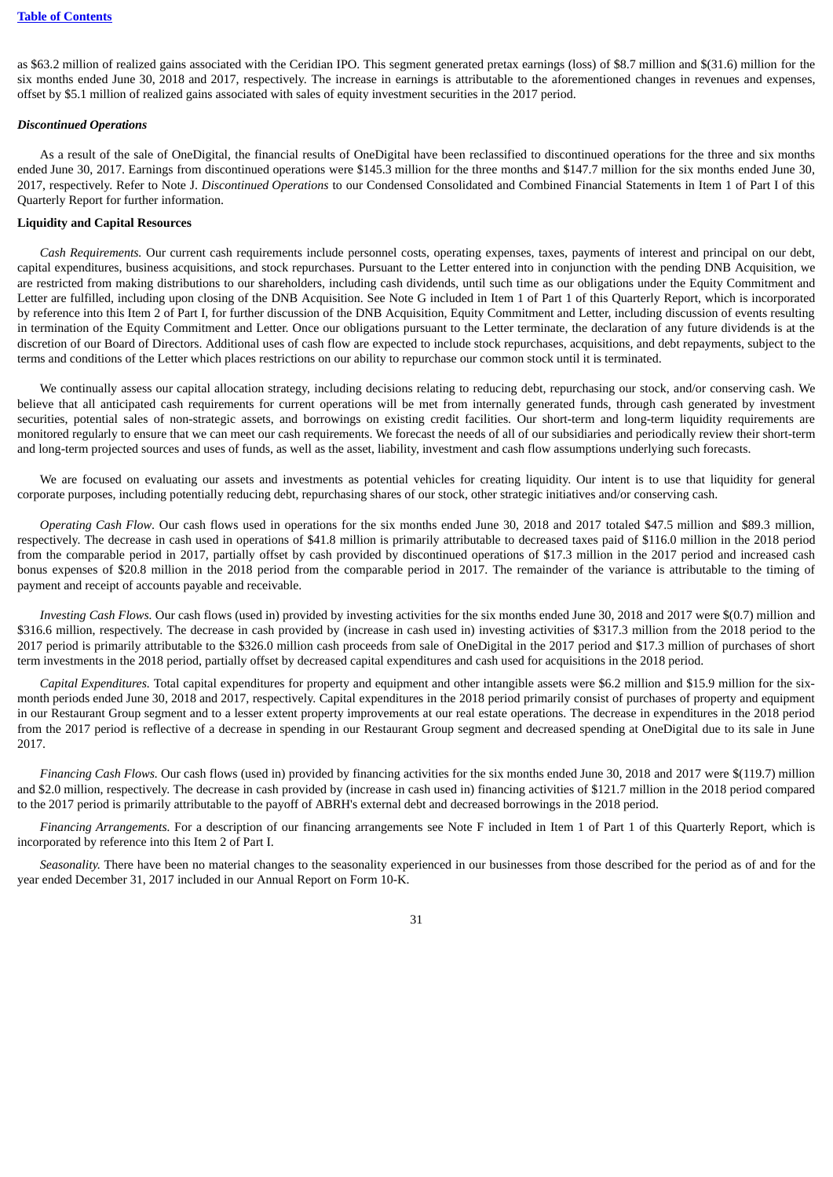as \$63.2 million of realized gains associated with the Ceridian IPO. This segment generated pretax earnings (loss) of \$8.7 million and \$(31.6) million for the six months ended June 30, 2018 and 2017, respectively. The increase in earnings is attributable to the aforementioned changes in revenues and expenses, offset by \$5.1 million of realized gains associated with sales of equity investment securities in the 2017 period.

#### *Discontinued Operations*

As a result of the sale of OneDigital, the financial results of OneDigital have been reclassified to discontinued operations for the three and six months ended June 30, 2017. Earnings from discontinued operations were \$145.3 million for the three months and \$147.7 million for the six months ended June 30, 2017, respectively. Refer to Note J. *Discontinued Operations* to our Condensed Consolidated and Combined Financial Statements in Item 1 of Part I of this Quarterly Report for further information.

## **Liquidity and Capital Resources**

*Cash Requirements.* Our current cash requirements include personnel costs, operating expenses, taxes, payments of interest and principal on our debt, capital expenditures, business acquisitions, and stock repurchases. Pursuant to the Letter entered into in conjunction with the pending DNB Acquisition, we are restricted from making distributions to our shareholders, including cash dividends, until such time as our obligations under the Equity Commitment and Letter are fulfilled, including upon closing of the DNB Acquisition. See Note G included in Item 1 of Part 1 of this Quarterly Report, which is incorporated by reference into this Item 2 of Part I, for further discussion of the DNB Acquisition, Equity Commitment and Letter, including discussion of events resulting in termination of the Equity Commitment and Letter. Once our obligations pursuant to the Letter terminate, the declaration of any future dividends is at the discretion of our Board of Directors. Additional uses of cash flow are expected to include stock repurchases, acquisitions, and debt repayments, subject to the terms and conditions of the Letter which places restrictions on our ability to repurchase our common stock until it is terminated.

We continually assess our capital allocation strategy, including decisions relating to reducing debt, repurchasing our stock, and/or conserving cash. We believe that all anticipated cash requirements for current operations will be met from internally generated funds, through cash generated by investment securities, potential sales of non-strategic assets, and borrowings on existing credit facilities. Our short-term and long-term liquidity requirements are monitored regularly to ensure that we can meet our cash requirements. We forecast the needs of all of our subsidiaries and periodically review their short-term and long-term projected sources and uses of funds, as well as the asset, liability, investment and cash flow assumptions underlying such forecasts.

We are focused on evaluating our assets and investments as potential vehicles for creating liquidity. Our intent is to use that liquidity for general corporate purposes, including potentially reducing debt, repurchasing shares of our stock, other strategic initiatives and/or conserving cash.

*Operating Cash Flow*. Our cash flows used in operations for the six months ended June 30, 2018 and 2017 totaled \$47.5 million and \$89.3 million, respectively. The decrease in cash used in operations of \$41.8 million is primarily attributable to decreased taxes paid of \$116.0 million in the 2018 period from the comparable period in 2017, partially offset by cash provided by discontinued operations of \$17.3 million in the 2017 period and increased cash bonus expenses of \$20.8 million in the 2018 period from the comparable period in 2017. The remainder of the variance is attributable to the timing of payment and receipt of accounts payable and receivable.

*Investing Cash Flows.* Our cash flows (used in) provided by investing activities for the six months ended June 30, 2018 and 2017 were \$(0.7) million and \$316.6 million, respectively. The decrease in cash provided by (increase in cash used in) investing activities of \$317.3 million from the 2018 period to the 2017 period is primarily attributable to the \$326.0 million cash proceeds from sale of OneDigital in the 2017 period and \$17.3 million of purchases of short term investments in the 2018 period, partially offset by decreased capital expenditures and cash used for acquisitions in the 2018 period.

*Capital Expenditures.* Total capital expenditures for property and equipment and other intangible assets were \$6.2 million and \$15.9 million for the sixmonth periods ended June 30, 2018 and 2017, respectively. Capital expenditures in the 2018 period primarily consist of purchases of property and equipment in our Restaurant Group segment and to a lesser extent property improvements at our real estate operations. The decrease in expenditures in the 2018 period from the 2017 period is reflective of a decrease in spending in our Restaurant Group segment and decreased spending at OneDigital due to its sale in June 2017.

*Financing Cash Flows.* Our cash flows (used in) provided by financing activities for the six months ended June 30, 2018 and 2017 were \$(119.7) million and \$2.0 million, respectively. The decrease in cash provided by (increase in cash used in) financing activities of \$121.7 million in the 2018 period compared to the 2017 period is primarily attributable to the payoff of ABRH's external debt and decreased borrowings in the 2018 period.

*Financing Arrangements.* For a description of our financing arrangements see Note F included in Item 1 of Part 1 of this Quarterly Report, which is incorporated by reference into this Item 2 of Part I.

*Seasonality.* There have been no material changes to the seasonality experienced in our businesses from those described for the period as of and for the year ended December 31, 2017 included in our Annual Report on Form 10-K.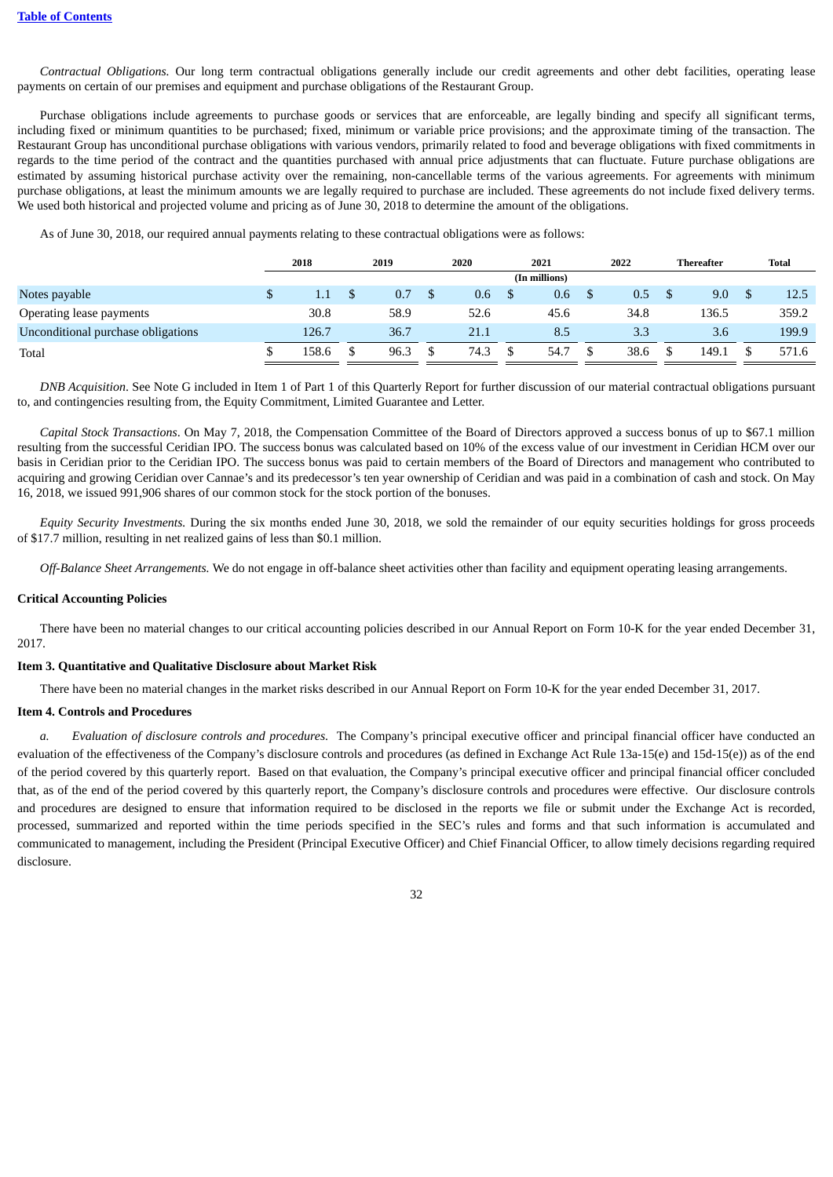*Contractual Obligations.* Our long term contractual obligations generally include our credit agreements and other debt facilities, operating lease payments on certain of our premises and equipment and purchase obligations of the Restaurant Group.

Purchase obligations include agreements to purchase goods or services that are enforceable, are legally binding and specify all significant terms, including fixed or minimum quantities to be purchased; fixed, minimum or variable price provisions; and the approximate timing of the transaction. The Restaurant Group has unconditional purchase obligations with various vendors, primarily related to food and beverage obligations with fixed commitments in regards to the time period of the contract and the quantities purchased with annual price adjustments that can fluctuate. Future purchase obligations are estimated by assuming historical purchase activity over the remaining, non-cancellable terms of the various agreements. For agreements with minimum purchase obligations, at least the minimum amounts we are legally required to purchase are included. These agreements do not include fixed delivery terms. We used both historical and projected volume and pricing as of June 30, 2018 to determine the amount of the obligations.

As of June 30, 2018, our required annual payments relating to these contractual obligations were as follows:

|                                    | 2018 |       | 2019 |      | 2020 |  | 2021          |  | 2022 |  | <b>Thereafter</b> |  | Total |  |
|------------------------------------|------|-------|------|------|------|--|---------------|--|------|--|-------------------|--|-------|--|
|                                    |      |       |      |      |      |  | (In millions) |  |      |  |                   |  |       |  |
| Notes payable                      |      |       |      | 0.7  | 0.6  |  | 0.6           |  | 0.5  |  | 9.0               |  | 12.5  |  |
| Operating lease payments           |      | 30.8  |      | 58.9 | 52.6 |  | 45.6          |  | 34.8 |  | 136.5             |  | 359.2 |  |
| Unconditional purchase obligations |      | 126.7 |      | 36.7 | 21.1 |  | 8.5           |  | 3.3  |  | 3.6               |  | 199.9 |  |
| Total                              |      | 158.6 |      | 96.3 | 74.3 |  | 54.7          |  | 38.6 |  | 149.1             |  | 571.6 |  |

*DNB Acquisition*. See Note G included in Item 1 of Part 1 of this Quarterly Report for further discussion of our material contractual obligations pursuant to, and contingencies resulting from, the Equity Commitment, Limited Guarantee and Letter.

*Capital Stock Transactions*. On May 7, 2018, the Compensation Committee of the Board of Directors approved a success bonus of up to \$67.1 million resulting from the successful Ceridian IPO. The success bonus was calculated based on 10% of the excess value of our investment in Ceridian HCM over our basis in Ceridian prior to the Ceridian IPO. The success bonus was paid to certain members of the Board of Directors and management who contributed to acquiring and growing Ceridian over Cannae's and its predecessor's ten year ownership of Ceridian and was paid in a combination of cash and stock. On May 16, 2018, we issued 991,906 shares of our common stock for the stock portion of the bonuses.

*Equity Security Investments.* During the six months ended June 30, 2018, we sold the remainder of our equity securities holdings for gross proceeds of \$17.7 million, resulting in net realized gains of less than \$0.1 million.

*Off-Balance Sheet Arrangements.* We do not engage in off-balance sheet activities other than facility and equipment operating leasing arrangements.

#### **Critical Accounting Policies**

There have been no material changes to our critical accounting policies described in our Annual Report on Form 10-K for the year ended December 31, 2017.

### <span id="page-35-0"></span>**Item 3. Quantitative and Qualitative Disclosure about Market Risk**

There have been no material changes in the market risks described in our Annual Report on Form 10-K for the year ended December 31, 2017.

#### <span id="page-35-1"></span>**Item 4. Controls and Procedures**

*a. Evaluation of disclosure controls and procedures*. The Company's principal executive officer and principal financial officer have conducted an evaluation of the effectiveness of the Company's disclosure controls and procedures (as defined in Exchange Act Rule 13a-15(e) and 15d-15(e)) as of the end of the period covered by this quarterly report. Based on that evaluation, the Company's principal executive officer and principal financial officer concluded that, as of the end of the period covered by this quarterly report, the Company's disclosure controls and procedures were effective. Our disclosure controls and procedures are designed to ensure that information required to be disclosed in the reports we file or submit under the Exchange Act is recorded, processed, summarized and reported within the time periods specified in the SEC's rules and forms and that such information is accumulated and communicated to management, including the President (Principal Executive Officer) and Chief Financial Officer, to allow timely decisions regarding required disclosure.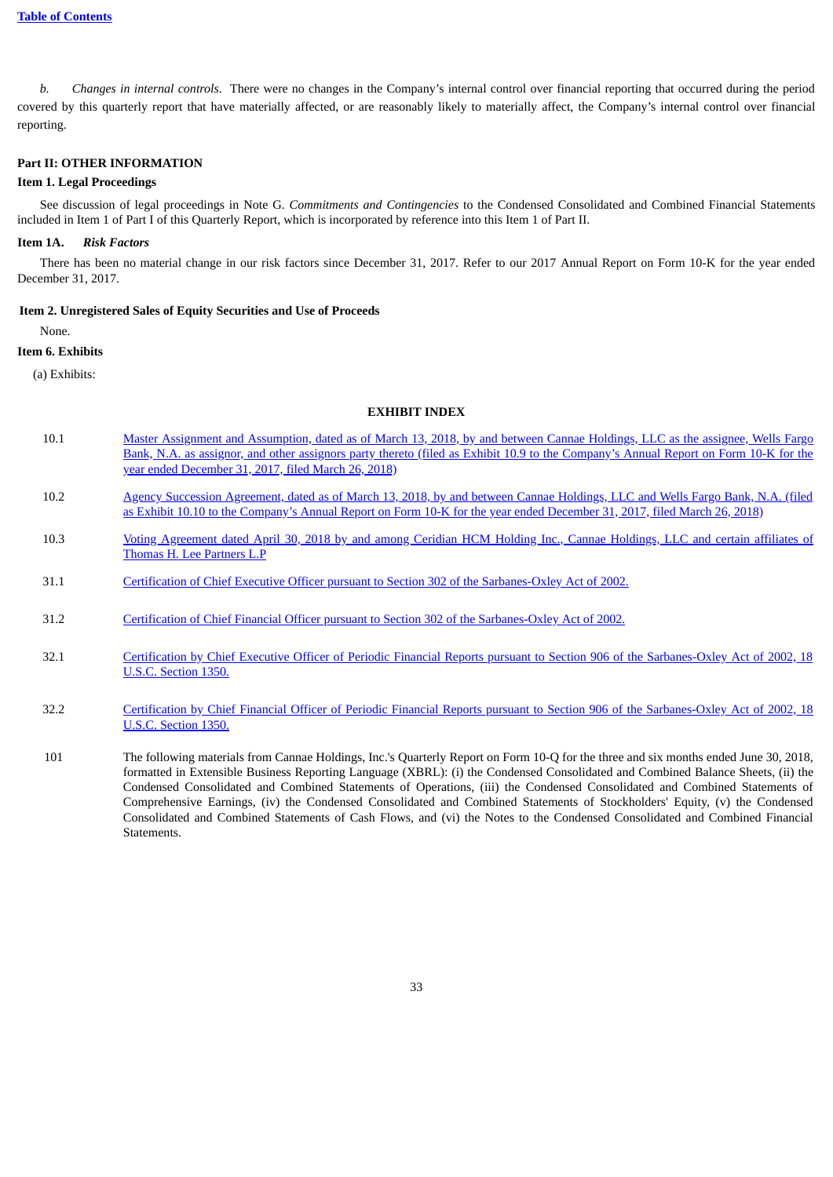*b. Changes in internal controls*. There were no changes in the Company's internal control over financial reporting that occurred during the period covered by this quarterly report that have materially affected, or are reasonably likely to materially affect, the Company's internal control over financial reporting.

# <span id="page-36-0"></span>**Part II: OTHER INFORMATION**

#### <span id="page-36-1"></span>**Item 1. Legal Proceedings**

See discussion of legal proceedings in Note G. *Commitments and Contingencies* to the Condensed Consolidated and Combined Financial Statements included in Item 1 of Part I of this Quarterly Report, which is incorporated by reference into this Item 1 of Part II.

#### <span id="page-36-2"></span>**Item 1A.** *Risk Factors*

There has been no material change in our risk factors since December 31, 2017. Refer to our 2017 Annual Report on Form 10-K for the year ended December 31, 2017.

#### <span id="page-36-3"></span>**Item 2. Unregistered Sales of Equity Securities and Use of Proceeds**

None.

#### <span id="page-36-4"></span>**Item 6. Exhibits**

(a) Exhibits:

#### **EXHIBIT INDEX**

- 10.1 Master Assignment and [Assumption,](http://www.sec.gov/Archives/edgar/data/1704720/000170472018000022/exhibit109-masterassignmen.htm) dated as of March 13, 2018, by and between Cannae Holdings, LLC as the assignee, Wells Fargo Bank, N.A. as assignor, and other assignors party thereto (filed as Exhibit 10.9 to the Company's Annual Report on Form 10-K for the year ended December 31, 2017, filed March 26, 2018)
- 10.2 Agency Succession [Agreement,](http://www.sec.gov/Archives/edgar/data/1704720/000170472018000022/exhibit1010-agencysuccessi.htm) dated as of March 13, 2018, by and between Cannae Holdings, LLC and Wells Fargo Bank, N.A. (filed as Exhibit 10.10 to the Company's Annual Report on Form 10-K for the year ended December 31, 2017, filed March 26, 2018)
- 10.3 Voting [Agreement](#page-38-0) dated April 30, 2018 by and among Ceridian HCM Holding Inc., Cannae Holdings, LLC and certain affiliates of Thomas H. Lee Partners L.P
- 31.1 Certification of Chief Executive Officer pursuant to Section 302 of the [Sarbanes-Oxley](#page-59-0) Act of 2002.
- 31.2 Certification of Chief Financial Officer pursuant to Section 302 of the [Sarbanes-Oxley](#page-60-0) Act of 2002.
- 32.1 Certification by Chief Executive Officer of Periodic Financial Reports pursuant to Section 906 of the [Sarbanes-Oxley](#page-61-0) Act of 2002, 18 U.S.C. Section 1350.
- 32.2 Certification by Chief Financial Officer of Periodic Financial Reports pursuant to Section 906 of the [Sarbanes-Oxley](#page-62-0) Act of 2002, 18 U.S.C. Section 1350.
- 101 The following materials from Cannae Holdings, Inc.'s Quarterly Report on Form 10-Q for the three and six months ended June 30, 2018, formatted in Extensible Business Reporting Language (XBRL): (i) the Condensed Consolidated and Combined Balance Sheets, (ii) the Condensed Consolidated and Combined Statements of Operations, (iii) the Condensed Consolidated and Combined Statements of Comprehensive Earnings, (iv) the Condensed Consolidated and Combined Statements of Stockholders' Equity, (v) the Condensed Consolidated and Combined Statements of Cash Flows, and (vi) the Notes to the Condensed Consolidated and Combined Financial **Statements**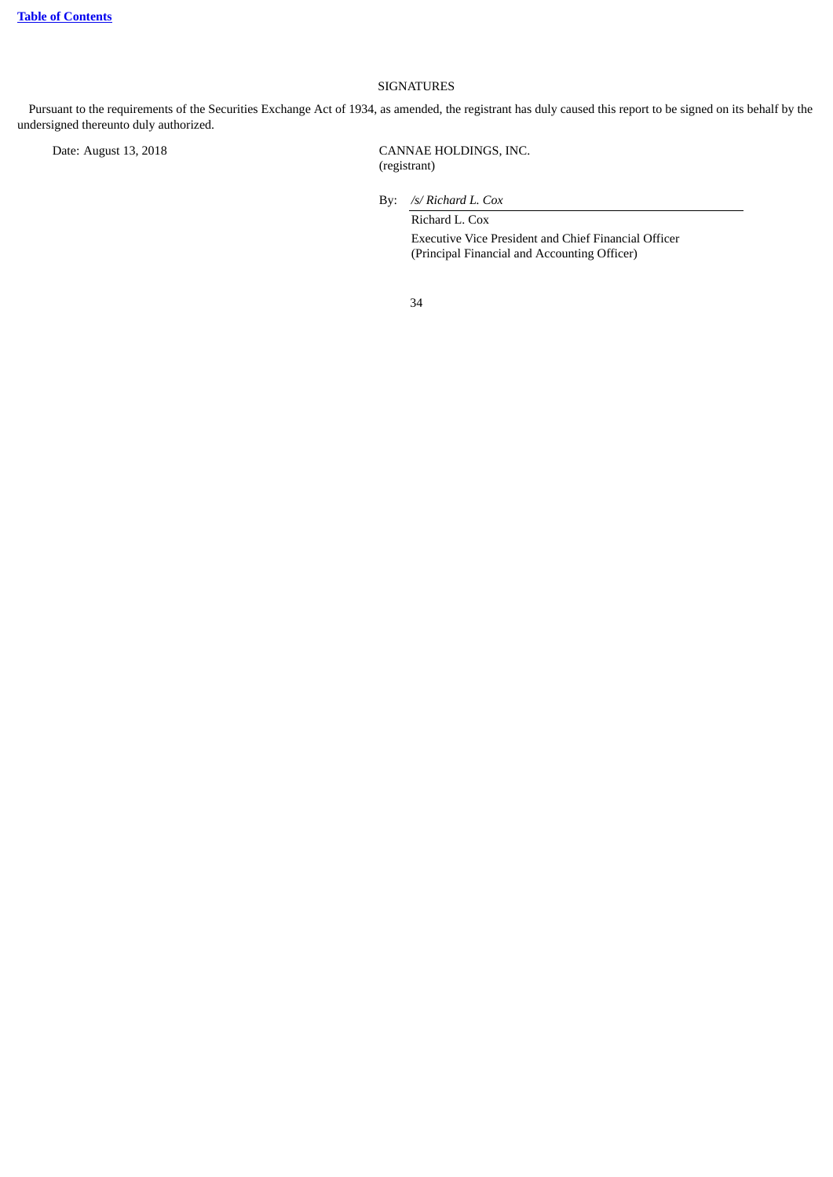# SIGNATURES

Pursuant to the requirements of the Securities Exchange Act of 1934, as amended, the registrant has duly caused this report to be signed on its behalf by the undersigned thereunto duly authorized.

Date: August 13, 2018 CANNAE HOLDINGS, INC. (registrant)

By: */s/ Richard L. Cox*

Richard L. Cox Executive Vice President and Chief Financial Officer (Principal Financial and Accounting Officer)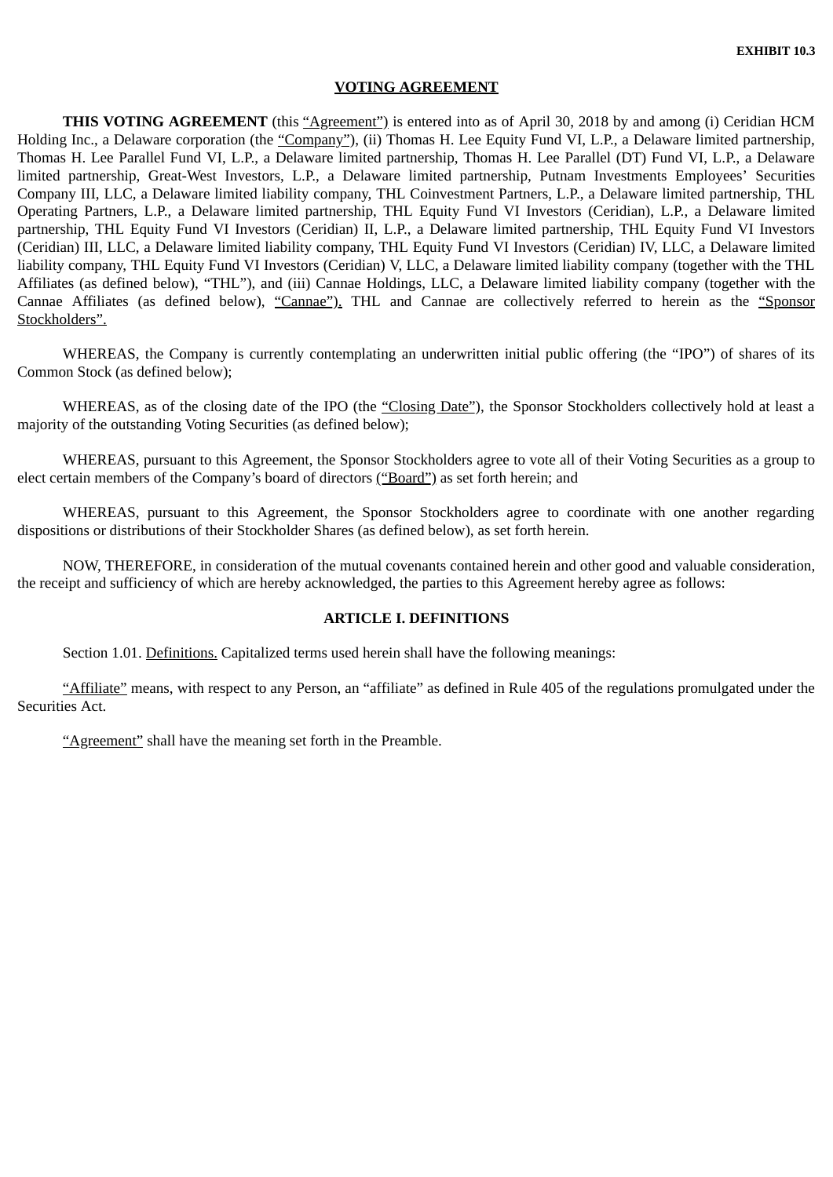## **VOTING AGREEMENT**

<span id="page-38-0"></span>**THIS VOTING AGREEMENT** (this "Agreement") is entered into as of April 30, 2018 by and among (i) Ceridian HCM Holding Inc., a Delaware corporation (the "Company"), (ii) Thomas H. Lee Equity Fund VI, L.P., a Delaware limited partnership, Thomas H. Lee Parallel Fund VI, L.P., a Delaware limited partnership, Thomas H. Lee Parallel (DT) Fund VI, L.P., a Delaware limited partnership, Great-West Investors, L.P., a Delaware limited partnership, Putnam Investments Employees' Securities Company III, LLC, a Delaware limited liability company, THL Coinvestment Partners, L.P., a Delaware limited partnership, THL Operating Partners, L.P., a Delaware limited partnership, THL Equity Fund VI Investors (Ceridian), L.P., a Delaware limited partnership, THL Equity Fund VI Investors (Ceridian) II, L.P., a Delaware limited partnership, THL Equity Fund VI Investors (Ceridian) III, LLC, a Delaware limited liability company, THL Equity Fund VI Investors (Ceridian) IV, LLC, a Delaware limited liability company, THL Equity Fund VI Investors (Ceridian) V, LLC, a Delaware limited liability company (together with the THL Affiliates (as defined below), "THL"), and (iii) Cannae Holdings, LLC, a Delaware limited liability company (together with the Cannae Affiliates (as defined below), "Cannae"). THL and Cannae are collectively referred to herein as the "Sponsor Stockholders".

WHEREAS, the Company is currently contemplating an underwritten initial public offering (the "IPO") of shares of its Common Stock (as defined below);

WHEREAS, as of the closing date of the IPO (the "Closing Date"), the Sponsor Stockholders collectively hold at least a majority of the outstanding Voting Securities (as defined below);

WHEREAS, pursuant to this Agreement, the Sponsor Stockholders agree to vote all of their Voting Securities as a group to elect certain members of the Company's board of directors ("Board") as set forth herein; and

WHEREAS, pursuant to this Agreement, the Sponsor Stockholders agree to coordinate with one another regarding dispositions or distributions of their Stockholder Shares (as defined below), as set forth herein.

NOW, THEREFORE, in consideration of the mutual covenants contained herein and other good and valuable consideration, the receipt and sufficiency of which are hereby acknowledged, the parties to this Agreement hereby agree as follows:

# **ARTICLE I. DEFINITIONS**

Section 1.01. Definitions. Capitalized terms used herein shall have the following meanings:

"Affiliate" means, with respect to any Person, an "affiliate" as defined in Rule 405 of the regulations promulgated under the Securities Act.

"Agreement" shall have the meaning set forth in the Preamble.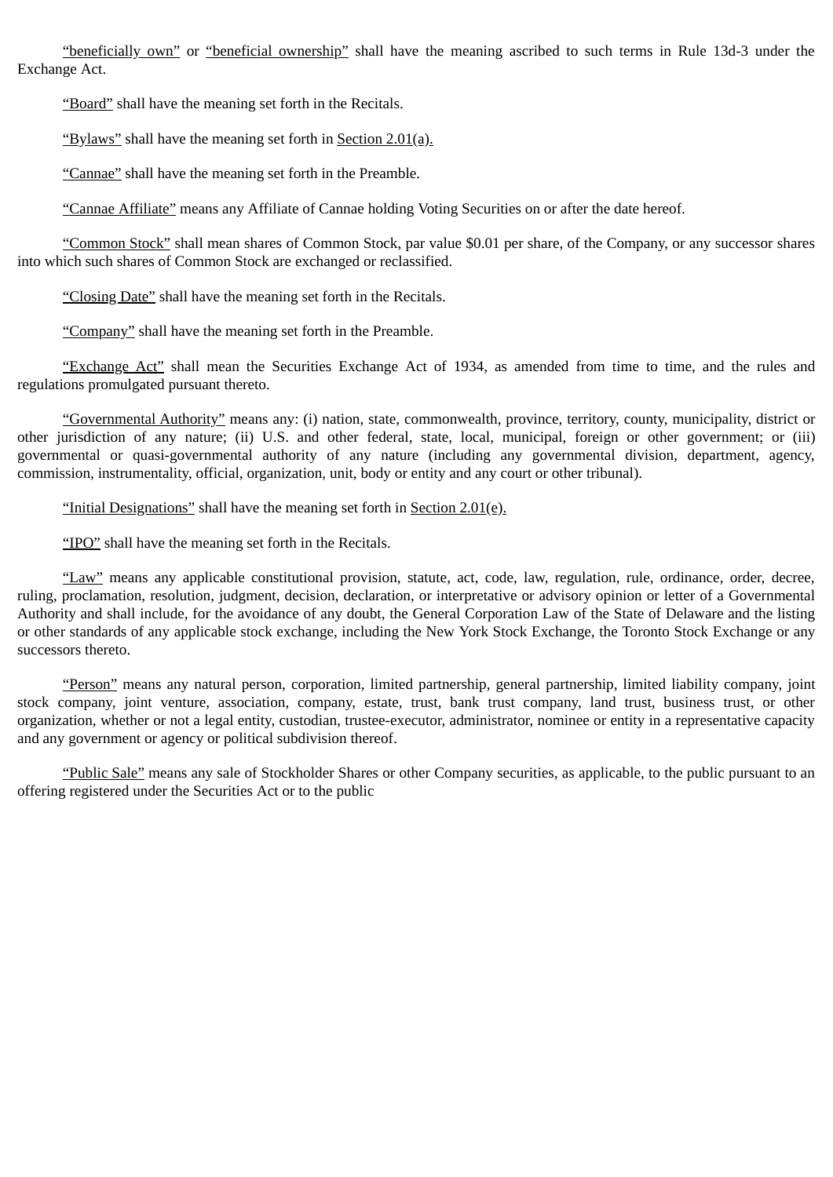"beneficially own" or "beneficial ownership" shall have the meaning ascribed to such terms in Rule 13d-3 under the Exchange Act.

"Board" shall have the meaning set forth in the Recitals.

"Bylaws" shall have the meaning set forth in Section 2.01(a).

"Cannae" shall have the meaning set forth in the Preamble.

"Cannae Affiliate" means any Affiliate of Cannae holding Voting Securities on or after the date hereof.

"Common Stock" shall mean shares of Common Stock, par value \$0.01 per share, of the Company, or any successor shares into which such shares of Common Stock are exchanged or reclassified.

"Closing Date" shall have the meaning set forth in the Recitals.

"Company" shall have the meaning set forth in the Preamble.

"Exchange Act" shall mean the Securities Exchange Act of 1934, as amended from time to time, and the rules and regulations promulgated pursuant thereto.

"Governmental Authority" means any: (i) nation, state, commonwealth, province, territory, county, municipality, district or other jurisdiction of any nature; (ii) U.S. and other federal, state, local, municipal, foreign or other government; or (iii) governmental or quasi-governmental authority of any nature (including any governmental division, department, agency, commission, instrumentality, official, organization, unit, body or entity and any court or other tribunal).

"Initial Designations" shall have the meaning set forth in Section 2.01(e).

"IPO" shall have the meaning set forth in the Recitals.

"Law" means any applicable constitutional provision, statute, act, code, law, regulation, rule, ordinance, order, decree, ruling, proclamation, resolution, judgment, decision, declaration, or interpretative or advisory opinion or letter of a Governmental Authority and shall include, for the avoidance of any doubt, the General Corporation Law of the State of Delaware and the listing or other standards of any applicable stock exchange, including the New York Stock Exchange, the Toronto Stock Exchange or any successors thereto.

"Person" means any natural person, corporation, limited partnership, general partnership, limited liability company, joint stock company, joint venture, association, company, estate, trust, bank trust company, land trust, business trust, or other organization, whether or not a legal entity, custodian, trustee-executor, administrator, nominee or entity in a representative capacity and any government or agency or political subdivision thereof.

"Public Sale" means any sale of Stockholder Shares or other Company securities, as applicable, to the public pursuant to an offering registered under the Securities Act or to the public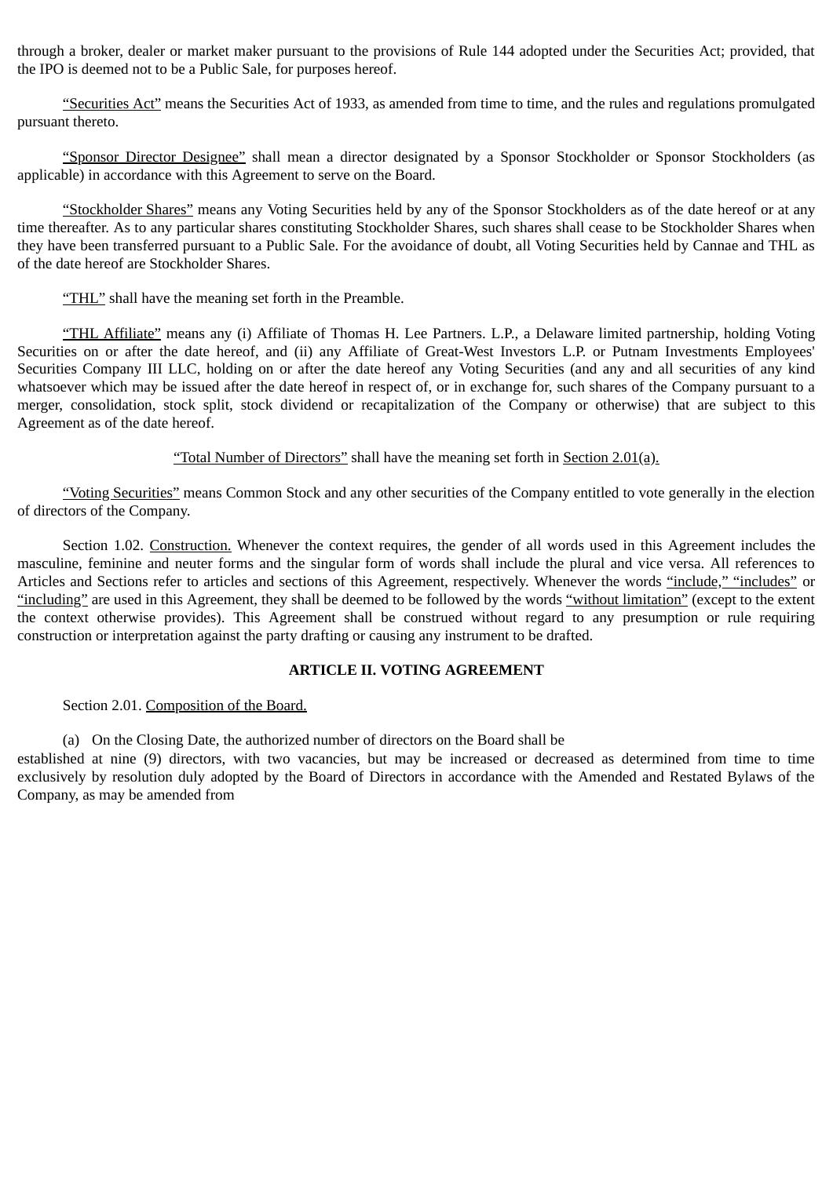through a broker, dealer or market maker pursuant to the provisions of Rule 144 adopted under the Securities Act; provided, that the IPO is deemed not to be a Public Sale, for purposes hereof.

"Securities Act" means the Securities Act of 1933, as amended from time to time, and the rules and regulations promulgated pursuant thereto.

"Sponsor Director Designee" shall mean a director designated by a Sponsor Stockholder or Sponsor Stockholders (as applicable) in accordance with this Agreement to serve on the Board.

"Stockholder Shares" means any Voting Securities held by any of the Sponsor Stockholders as of the date hereof or at any time thereafter. As to any particular shares constituting Stockholder Shares, such shares shall cease to be Stockholder Shares when they have been transferred pursuant to a Public Sale. For the avoidance of doubt, all Voting Securities held by Cannae and THL as of the date hereof are Stockholder Shares.

"THL" shall have the meaning set forth in the Preamble.

"THL Affiliate" means any (i) Affiliate of Thomas H. Lee Partners. L.P., a Delaware limited partnership, holding Voting Securities on or after the date hereof, and (ii) any Affiliate of Great-West Investors L.P. or Putnam Investments Employees' Securities Company III LLC, holding on or after the date hereof any Voting Securities (and any and all securities of any kind whatsoever which may be issued after the date hereof in respect of, or in exchange for, such shares of the Company pursuant to a merger, consolidation, stock split, stock dividend or recapitalization of the Company or otherwise) that are subject to this Agreement as of the date hereof.

"Total Number of Directors" shall have the meaning set forth in Section 2.01(a).

"Voting Securities" means Common Stock and any other securities of the Company entitled to vote generally in the election of directors of the Company.

Section 1.02. Construction. Whenever the context requires, the gender of all words used in this Agreement includes the masculine, feminine and neuter forms and the singular form of words shall include the plural and vice versa. All references to Articles and Sections refer to articles and sections of this Agreement, respectively. Whenever the words "include," "includes" or "including" are used in this Agreement, they shall be deemed to be followed by the words "without limitation" (except to the extent the context otherwise provides). This Agreement shall be construed without regard to any presumption or rule requiring construction or interpretation against the party drafting or causing any instrument to be drafted.

# **ARTICLE II. VOTING AGREEMENT**

Section 2.01. Composition of the Board.

(a) On the Closing Date, the authorized number of directors on the Board shall be

established at nine (9) directors, with two vacancies, but may be increased or decreased as determined from time to time exclusively by resolution duly adopted by the Board of Directors in accordance with the Amended and Restated Bylaws of the Company, as may be amended from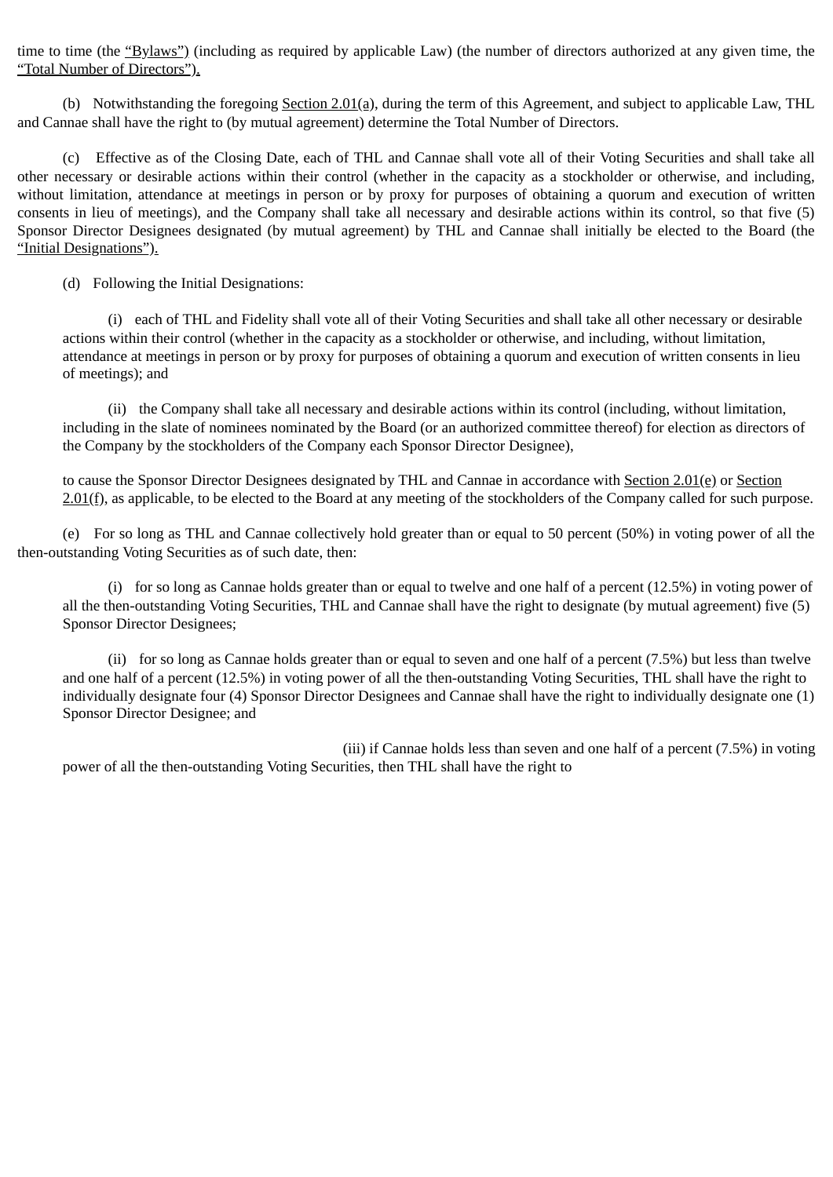time to time (the "Bylaws") (including as required by applicable Law) (the number of directors authorized at any given time, the "Total Number of Directors").

(b) Notwithstanding the foregoing Section 2.01(a), during the term of this Agreement, and subject to applicable Law, THL and Cannae shall have the right to (by mutual agreement) determine the Total Number of Directors.

(c) Effective as of the Closing Date, each of THL and Cannae shall vote all of their Voting Securities and shall take all other necessary or desirable actions within their control (whether in the capacity as a stockholder or otherwise, and including, without limitation, attendance at meetings in person or by proxy for purposes of obtaining a quorum and execution of written consents in lieu of meetings), and the Company shall take all necessary and desirable actions within its control, so that five (5) Sponsor Director Designees designated (by mutual agreement) by THL and Cannae shall initially be elected to the Board (the "Initial Designations").

(d) Following the Initial Designations:

(i) each of THL and Fidelity shall vote all of their Voting Securities and shall take all other necessary or desirable actions within their control (whether in the capacity as a stockholder or otherwise, and including, without limitation, attendance at meetings in person or by proxy for purposes of obtaining a quorum and execution of written consents in lieu of meetings); and

(ii) the Company shall take all necessary and desirable actions within its control (including, without limitation, including in the slate of nominees nominated by the Board (or an authorized committee thereof) for election as directors of the Company by the stockholders of the Company each Sponsor Director Designee),

to cause the Sponsor Director Designees designated by THL and Cannae in accordance with Section 2.01(e) or Section 2.01(f), as applicable, to be elected to the Board at any meeting of the stockholders of the Company called for such purpose.

(e) For so long as THL and Cannae collectively hold greater than or equal to 50 percent (50%) in voting power of all the then-outstanding Voting Securities as of such date, then:

(i) for so long as Cannae holds greater than or equal to twelve and one half of a percent (12.5%) in voting power of all the then-outstanding Voting Securities, THL and Cannae shall have the right to designate (by mutual agreement) five (5) Sponsor Director Designees;

(ii) for so long as Cannae holds greater than or equal to seven and one half of a percent (7.5%) but less than twelve and one half of a percent (12.5%) in voting power of all the then-outstanding Voting Securities, THL shall have the right to individually designate four (4) Sponsor Director Designees and Cannae shall have the right to individually designate one (1) Sponsor Director Designee; and

(iii) if Cannae holds less than seven and one half of a percent (7.5%) in voting power of all the then-outstanding Voting Securities, then THL shall have the right to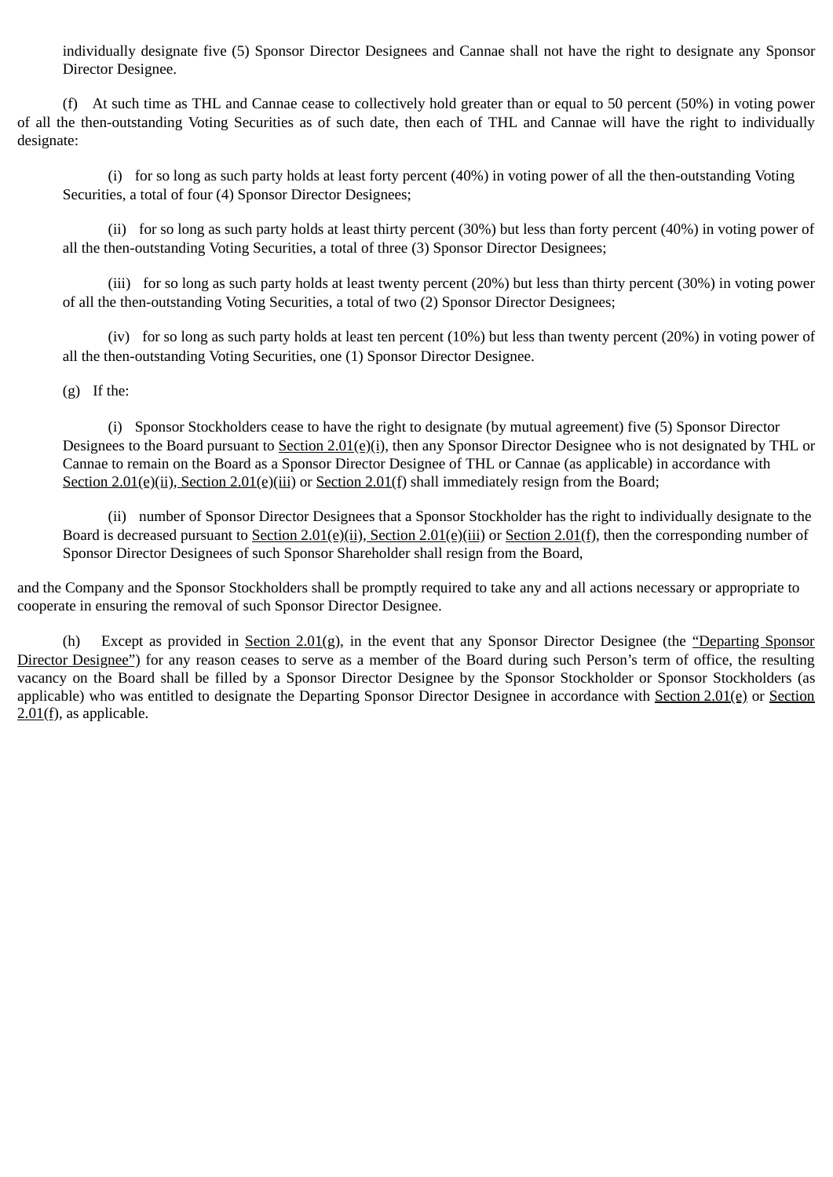individually designate five (5) Sponsor Director Designees and Cannae shall not have the right to designate any Sponsor Director Designee.

(f) At such time as THL and Cannae cease to collectively hold greater than or equal to 50 percent (50%) in voting power of all the then-outstanding Voting Securities as of such date, then each of THL and Cannae will have the right to individually designate:

(i) for so long as such party holds at least forty percent (40%) in voting power of all the then-outstanding Voting Securities, a total of four (4) Sponsor Director Designees;

(ii) for so long as such party holds at least thirty percent (30%) but less than forty percent (40%) in voting power of all the then-outstanding Voting Securities, a total of three (3) Sponsor Director Designees;

(iii) for so long as such party holds at least twenty percent (20%) but less than thirty percent (30%) in voting power of all the then-outstanding Voting Securities, a total of two (2) Sponsor Director Designees;

(iv) for so long as such party holds at least ten percent (10%) but less than twenty percent (20%) in voting power of all the then-outstanding Voting Securities, one (1) Sponsor Director Designee.

(g) If the:

(i) Sponsor Stockholders cease to have the right to designate (by mutual agreement) five (5) Sponsor Director Designees to the Board pursuant to Section 2.01(e)(i), then any Sponsor Director Designee who is not designated by THL or Cannae to remain on the Board as a Sponsor Director Designee of THL or Cannae (as applicable) in accordance with Section  $2.01(e)$ (ii), Section  $2.01(e)$ (iii) or Section  $2.01(f)$  shall immediately resign from the Board;

(ii) number of Sponsor Director Designees that a Sponsor Stockholder has the right to individually designate to the Board is decreased pursuant to Section 2.01(e)(ii), Section 2.01(e)(iii) or Section 2.01(f), then the corresponding number of Sponsor Director Designees of such Sponsor Shareholder shall resign from the Board,

and the Company and the Sponsor Stockholders shall be promptly required to take any and all actions necessary or appropriate to cooperate in ensuring the removal of such Sponsor Director Designee.

(h) Except as provided in Section 2.01(g), in the event that any Sponsor Director Designee (the "Departing Sponsor Director Designee") for any reason ceases to serve as a member of the Board during such Person's term of office, the resulting vacancy on the Board shall be filled by a Sponsor Director Designee by the Sponsor Stockholder or Sponsor Stockholders (as applicable) who was entitled to designate the Departing Sponsor Director Designee in accordance with Section 2.01(e) or Section  $2.01(f)$ , as applicable.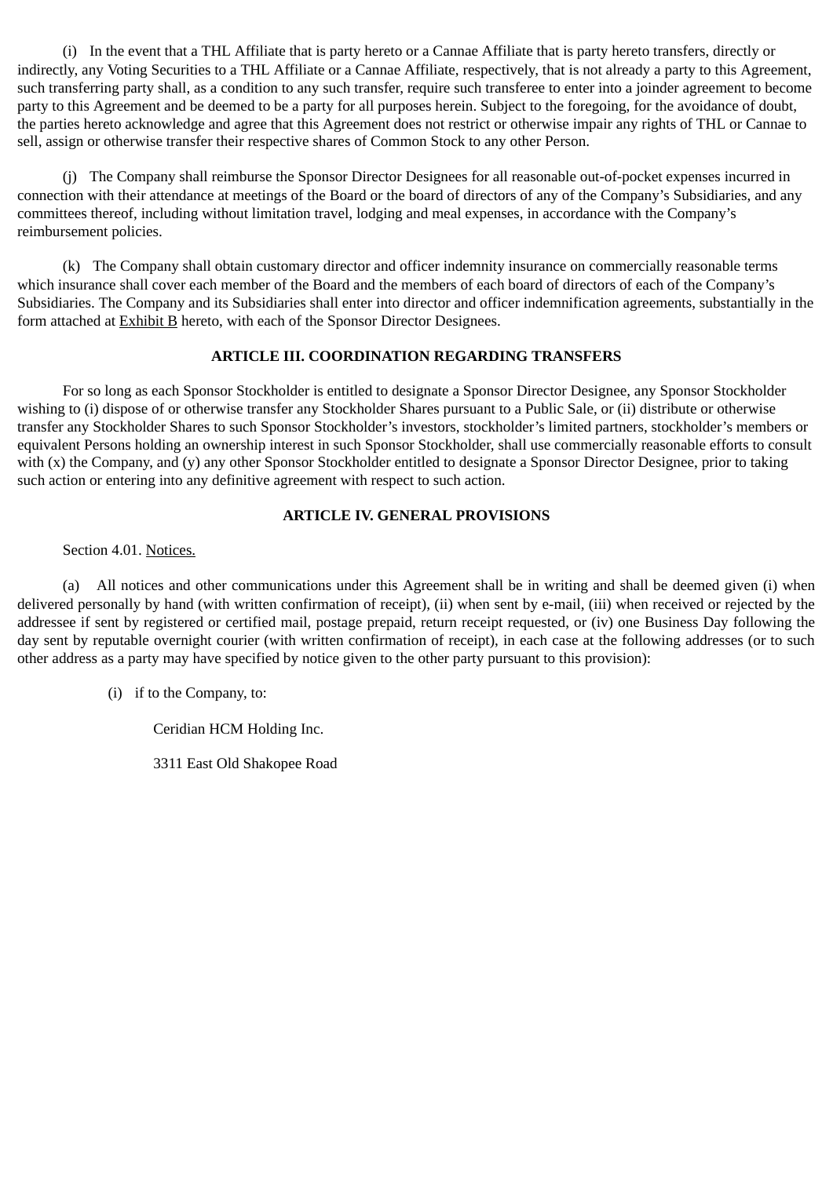(i) In the event that a THL Affiliate that is party hereto or a Cannae Affiliate that is party hereto transfers, directly or indirectly, any Voting Securities to a THL Affiliate or a Cannae Affiliate, respectively, that is not already a party to this Agreement, such transferring party shall, as a condition to any such transfer, require such transferee to enter into a joinder agreement to become party to this Agreement and be deemed to be a party for all purposes herein. Subject to the foregoing, for the avoidance of doubt, the parties hereto acknowledge and agree that this Agreement does not restrict or otherwise impair any rights of THL or Cannae to sell, assign or otherwise transfer their respective shares of Common Stock to any other Person.

(j) The Company shall reimburse the Sponsor Director Designees for all reasonable out-of-pocket expenses incurred in connection with their attendance at meetings of the Board or the board of directors of any of the Company's Subsidiaries, and any committees thereof, including without limitation travel, lodging and meal expenses, in accordance with the Company's reimbursement policies.

(k) The Company shall obtain customary director and officer indemnity insurance on commercially reasonable terms which insurance shall cover each member of the Board and the members of each board of directors of each of the Company's Subsidiaries. The Company and its Subsidiaries shall enter into director and officer indemnification agreements, substantially in the form attached at **Exhibit B** hereto, with each of the Sponsor Director Designees.

# **ARTICLE III. COORDINATION REGARDING TRANSFERS**

For so long as each Sponsor Stockholder is entitled to designate a Sponsor Director Designee, any Sponsor Stockholder wishing to (i) dispose of or otherwise transfer any Stockholder Shares pursuant to a Public Sale, or (ii) distribute or otherwise transfer any Stockholder Shares to such Sponsor Stockholder's investors, stockholder's limited partners, stockholder's members or equivalent Persons holding an ownership interest in such Sponsor Stockholder, shall use commercially reasonable efforts to consult with (x) the Company, and (y) any other Sponsor Stockholder entitled to designate a Sponsor Director Designee, prior to taking such action or entering into any definitive agreement with respect to such action.

# **ARTICLE IV. GENERAL PROVISIONS**

Section 4.01. Notices.

(a) All notices and other communications under this Agreement shall be in writing and shall be deemed given (i) when delivered personally by hand (with written confirmation of receipt), (ii) when sent by e-mail, (iii) when received or rejected by the addressee if sent by registered or certified mail, postage prepaid, return receipt requested, or (iv) one Business Day following the day sent by reputable overnight courier (with written confirmation of receipt), in each case at the following addresses (or to such other address as a party may have specified by notice given to the other party pursuant to this provision):

(i) if to the Company, to:

Ceridian HCM Holding Inc.

3311 East Old Shakopee Road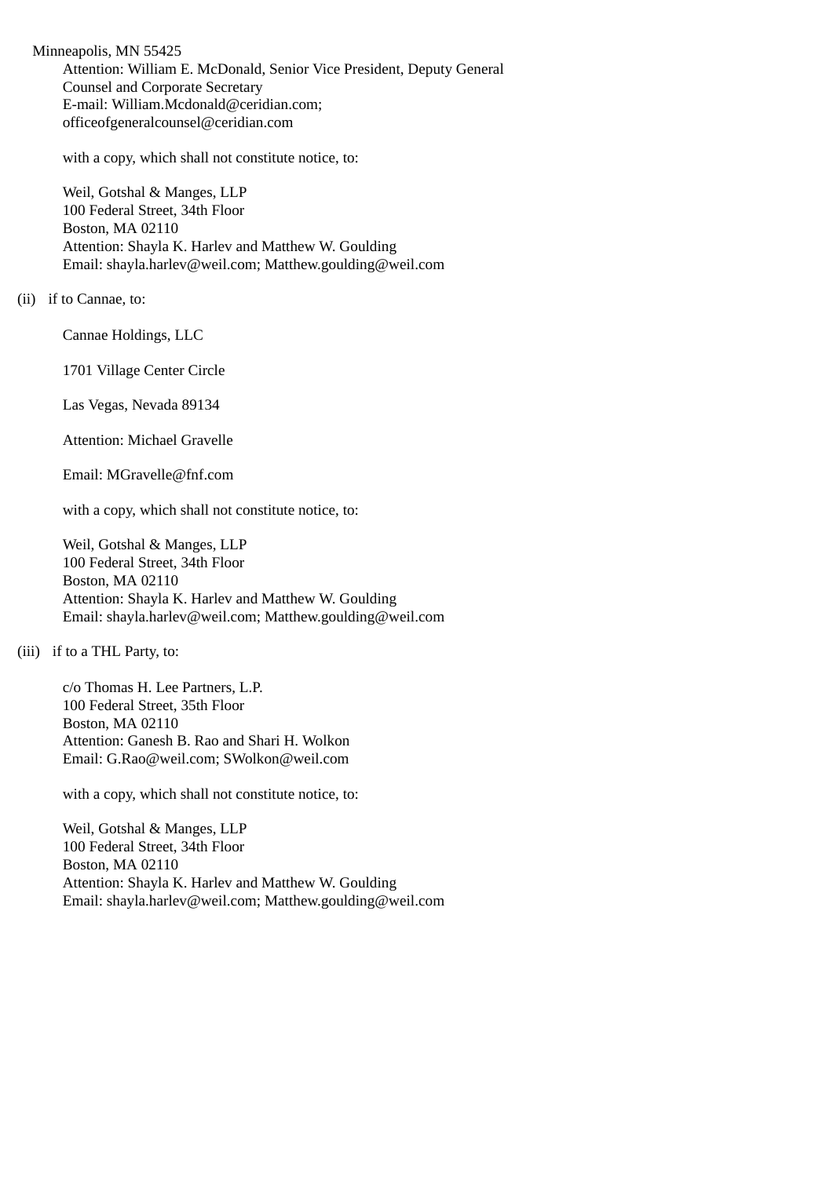Minneapolis, MN 55425 Attention: William E. McDonald, Senior Vice President, Deputy General Counsel and Corporate Secretary E-mail: William.Mcdonald@ceridian.com; officeofgeneralcounsel@ceridian.com

with a copy, which shall not constitute notice, to:

Weil, Gotshal & Manges, LLP 100 Federal Street, 34th Floor Boston, MA 02110 Attention: Shayla K. Harlev and Matthew W. Goulding Email: shayla.harlev@weil.com; Matthew.goulding@weil.com

(ii) if to Cannae, to:

Cannae Holdings, LLC

1701 Village Center Circle

Las Vegas, Nevada 89134

Attention: Michael Gravelle

Email: MGravelle@fnf.com

with a copy, which shall not constitute notice, to:

Weil, Gotshal & Manges, LLP 100 Federal Street, 34th Floor Boston, MA 02110 Attention: Shayla K. Harlev and Matthew W. Goulding Email: shayla.harlev@weil.com; Matthew.goulding@weil.com

(iii) if to a THL Party, to:

c/o Thomas H. Lee Partners, L.P. 100 Federal Street, 35th Floor Boston, MA 02110 Attention: Ganesh B. Rao and Shari H. Wolkon Email: G.Rao@weil.com; SWolkon@weil.com

with a copy, which shall not constitute notice, to:

Weil, Gotshal & Manges, LLP 100 Federal Street, 34th Floor Boston, MA 02110 Attention: Shayla K. Harlev and Matthew W. Goulding Email: shayla.harlev@weil.com; Matthew.goulding@weil.com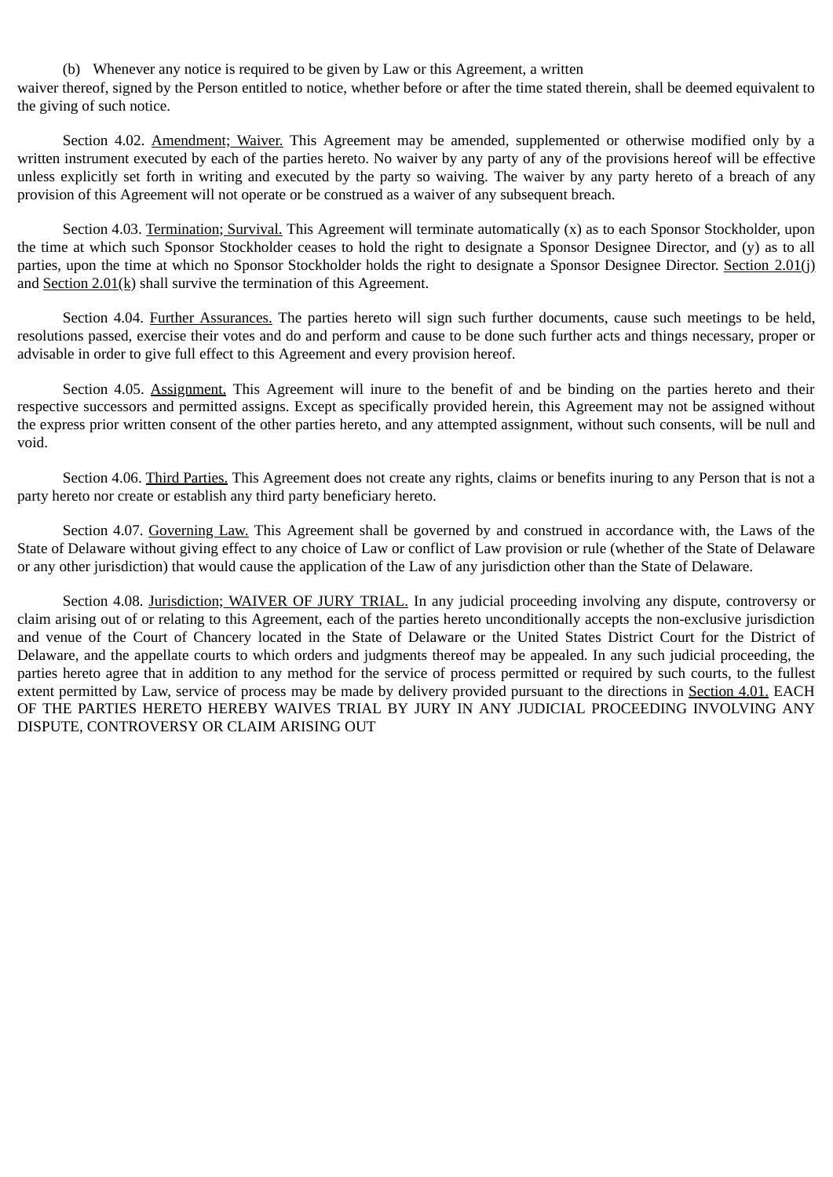(b) Whenever any notice is required to be given by Law or this Agreement, a written waiver thereof, signed by the Person entitled to notice, whether before or after the time stated therein, shall be deemed equivalent to the giving of such notice.

Section 4.02. Amendment; Waiver. This Agreement may be amended, supplemented or otherwise modified only by a written instrument executed by each of the parties hereto. No waiver by any party of any of the provisions hereof will be effective unless explicitly set forth in writing and executed by the party so waiving. The waiver by any party hereto of a breach of any provision of this Agreement will not operate or be construed as a waiver of any subsequent breach.

Section 4.03. Termination; Survival. This Agreement will terminate automatically (x) as to each Sponsor Stockholder, upon the time at which such Sponsor Stockholder ceases to hold the right to designate a Sponsor Designee Director, and (y) as to all parties, upon the time at which no Sponsor Stockholder holds the right to designate a Sponsor Designee Director. Section 2.01(j) and  $Section 2.01(k)$  shall survive the termination of this Agreement.

Section 4.04. Further Assurances. The parties hereto will sign such further documents, cause such meetings to be held, resolutions passed, exercise their votes and do and perform and cause to be done such further acts and things necessary, proper or advisable in order to give full effect to this Agreement and every provision hereof.

Section 4.05. Assignment. This Agreement will inure to the benefit of and be binding on the parties hereto and their respective successors and permitted assigns. Except as specifically provided herein, this Agreement may not be assigned without the express prior written consent of the other parties hereto, and any attempted assignment, without such consents, will be null and void.

Section 4.06. Third Parties. This Agreement does not create any rights, claims or benefits inuring to any Person that is not a party hereto nor create or establish any third party beneficiary hereto.

Section 4.07. Governing Law. This Agreement shall be governed by and construed in accordance with, the Laws of the State of Delaware without giving effect to any choice of Law or conflict of Law provision or rule (whether of the State of Delaware or any other jurisdiction) that would cause the application of the Law of any jurisdiction other than the State of Delaware.

Section 4.08. Jurisdiction; WAIVER OF JURY TRIAL. In any judicial proceeding involving any dispute, controversy or claim arising out of or relating to this Agreement, each of the parties hereto unconditionally accepts the non-exclusive jurisdiction and venue of the Court of Chancery located in the State of Delaware or the United States District Court for the District of Delaware, and the appellate courts to which orders and judgments thereof may be appealed. In any such judicial proceeding, the parties hereto agree that in addition to any method for the service of process permitted or required by such courts, to the fullest extent permitted by Law, service of process may be made by delivery provided pursuant to the directions in Section 4.01. EACH OF THE PARTIES HERETO HEREBY WAIVES TRIAL BY JURY IN ANY JUDICIAL PROCEEDING INVOLVING ANY DISPUTE, CONTROVERSY OR CLAIM ARISING OUT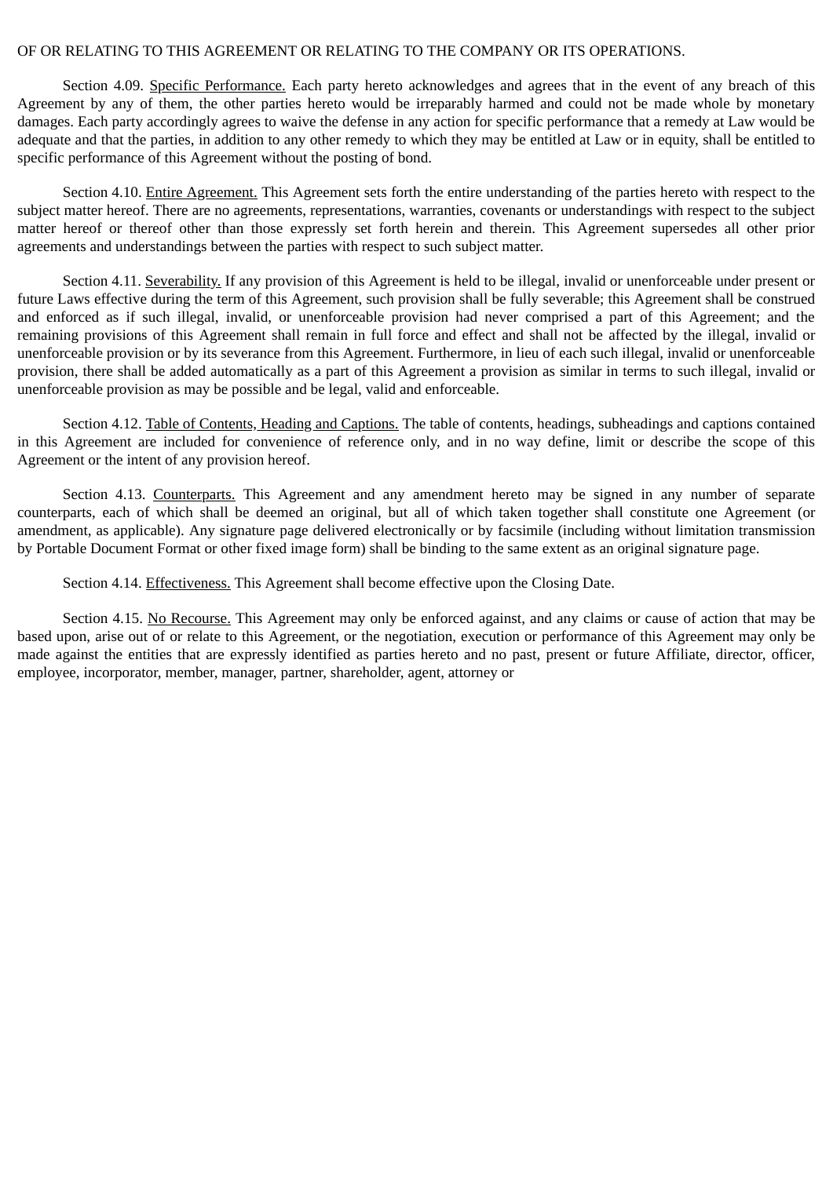# OF OR RELATING TO THIS AGREEMENT OR RELATING TO THE COMPANY OR ITS OPERATIONS.

Section 4.09. Specific Performance. Each party hereto acknowledges and agrees that in the event of any breach of this Agreement by any of them, the other parties hereto would be irreparably harmed and could not be made whole by monetary damages. Each party accordingly agrees to waive the defense in any action for specific performance that a remedy at Law would be adequate and that the parties, in addition to any other remedy to which they may be entitled at Law or in equity, shall be entitled to specific performance of this Agreement without the posting of bond.

Section 4.10. Entire Agreement. This Agreement sets forth the entire understanding of the parties hereto with respect to the subject matter hereof. There are no agreements, representations, warranties, covenants or understandings with respect to the subject matter hereof or thereof other than those expressly set forth herein and therein. This Agreement supersedes all other prior agreements and understandings between the parties with respect to such subject matter.

Section 4.11. Severability. If any provision of this Agreement is held to be illegal, invalid or unenforceable under present or future Laws effective during the term of this Agreement, such provision shall be fully severable; this Agreement shall be construed and enforced as if such illegal, invalid, or unenforceable provision had never comprised a part of this Agreement; and the remaining provisions of this Agreement shall remain in full force and effect and shall not be affected by the illegal, invalid or unenforceable provision or by its severance from this Agreement. Furthermore, in lieu of each such illegal, invalid or unenforceable provision, there shall be added automatically as a part of this Agreement a provision as similar in terms to such illegal, invalid or unenforceable provision as may be possible and be legal, valid and enforceable.

Section 4.12. Table of Contents, Heading and Captions. The table of contents, headings, subheadings and captions contained in this Agreement are included for convenience of reference only, and in no way define, limit or describe the scope of this Agreement or the intent of any provision hereof.

Section 4.13. Counterparts. This Agreement and any amendment hereto may be signed in any number of separate counterparts, each of which shall be deemed an original, but all of which taken together shall constitute one Agreement (or amendment, as applicable). Any signature page delivered electronically or by facsimile (including without limitation transmission by Portable Document Format or other fixed image form) shall be binding to the same extent as an original signature page.

Section 4.14. Effectiveness. This Agreement shall become effective upon the Closing Date.

Section 4.15. No Recourse. This Agreement may only be enforced against, and any claims or cause of action that may be based upon, arise out of or relate to this Agreement, or the negotiation, execution or performance of this Agreement may only be made against the entities that are expressly identified as parties hereto and no past, present or future Affiliate, director, officer, employee, incorporator, member, manager, partner, shareholder, agent, attorney or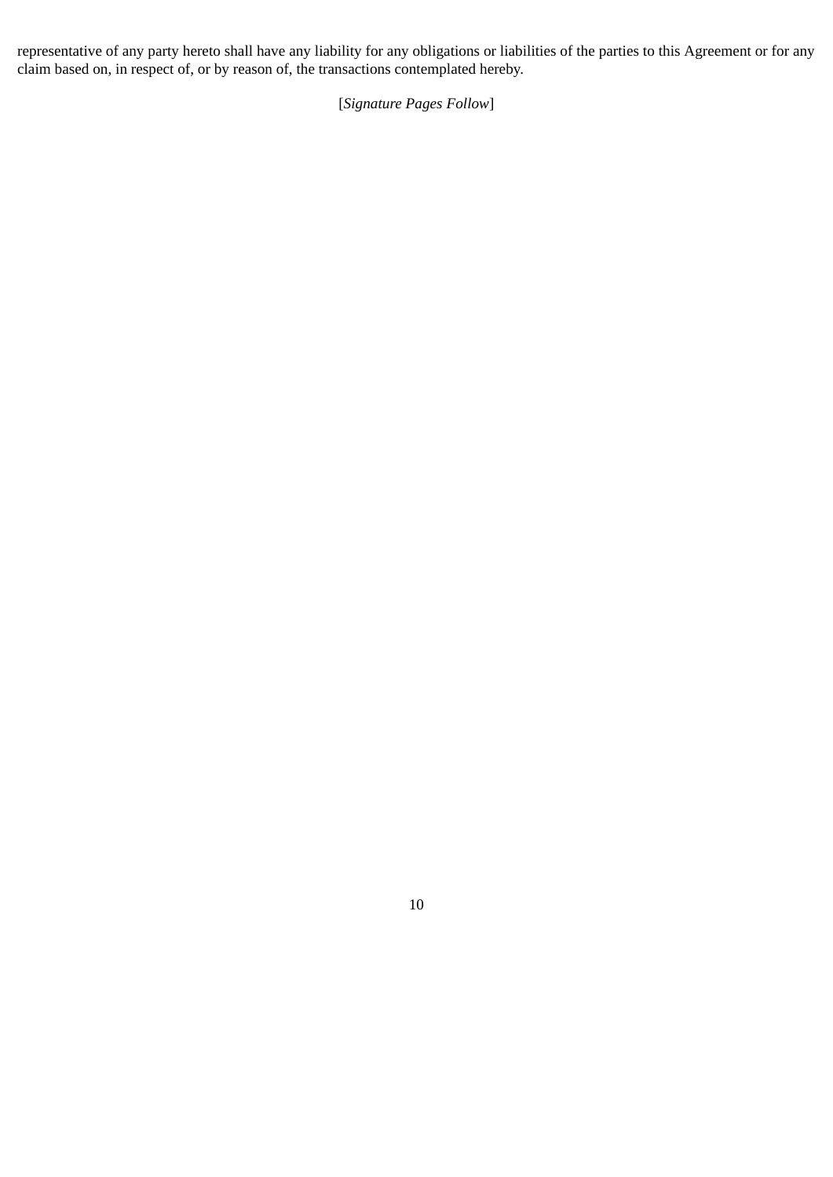representative of any party hereto shall have any liability for any obligations or liabilities of the parties to this Agreement or for any claim based on, in respect of, or by reason of, the transactions contemplated hereby.

[*Signature Pages Follow*]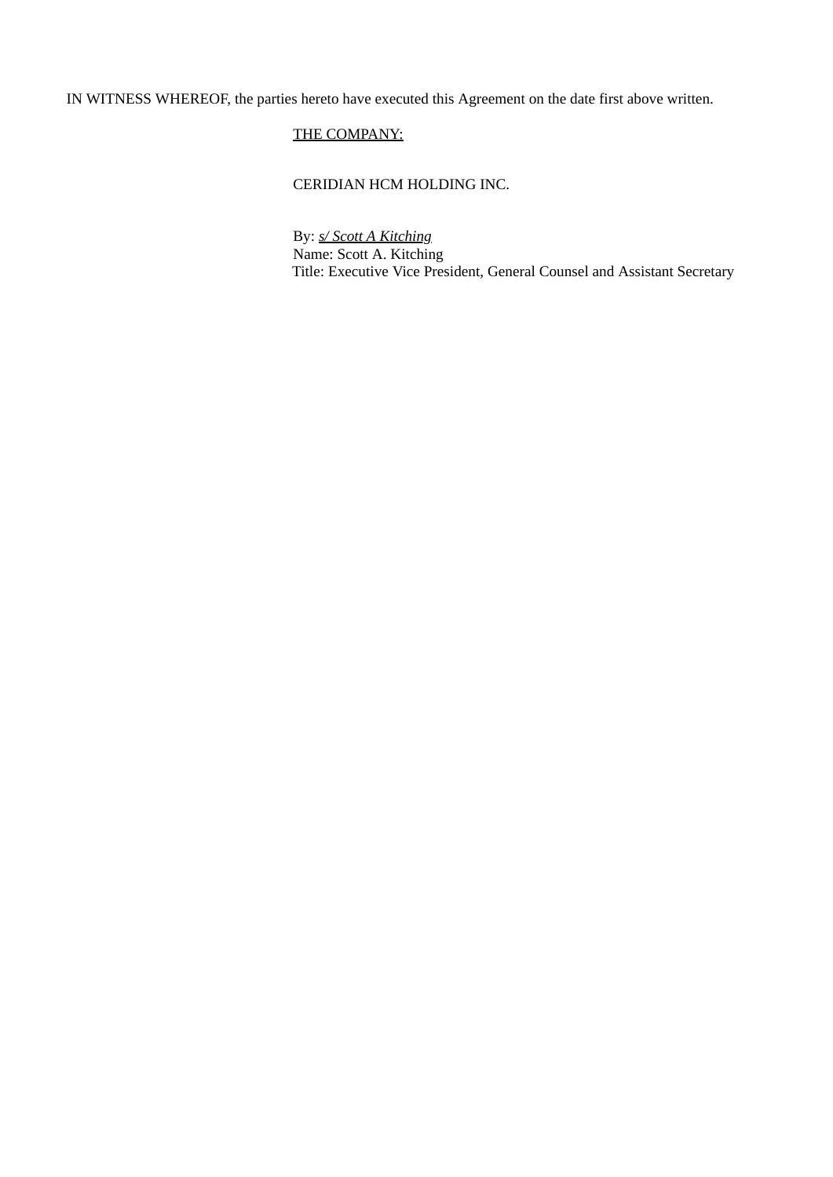IN WITNESS WHEREOF, the parties hereto have executed this Agreement on the date first above written.

# THE COMPANY:

# CERIDIAN HCM HOLDING INC.

By: *s/ Scott A Kitching* Name: Scott A. Kitching Title: Executive Vice President, General Counsel and Assistant Secretary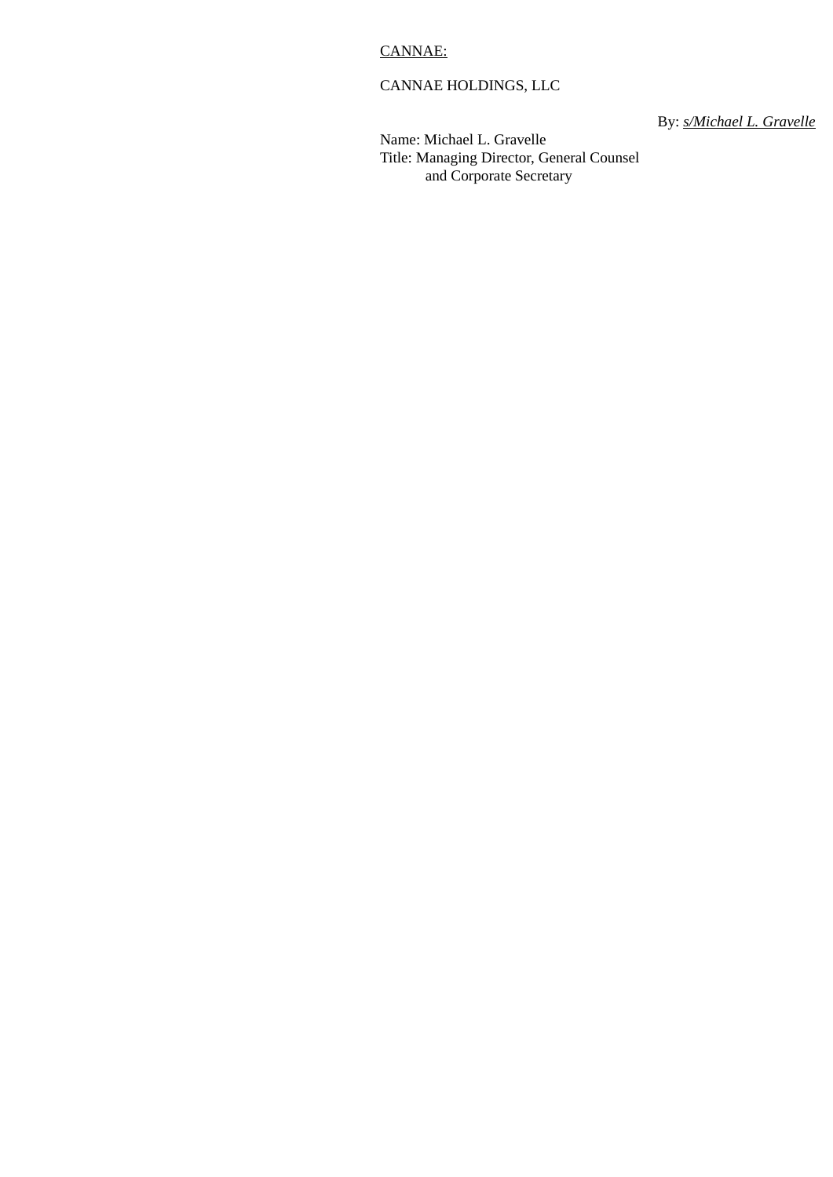# CANNAE:

# CANNAE HOLDINGS, LLC

By: *s/Michael L. Gravelle*

Name: Michael L. Gravelle Title: Managing Director, General Counsel and Corporate Secretary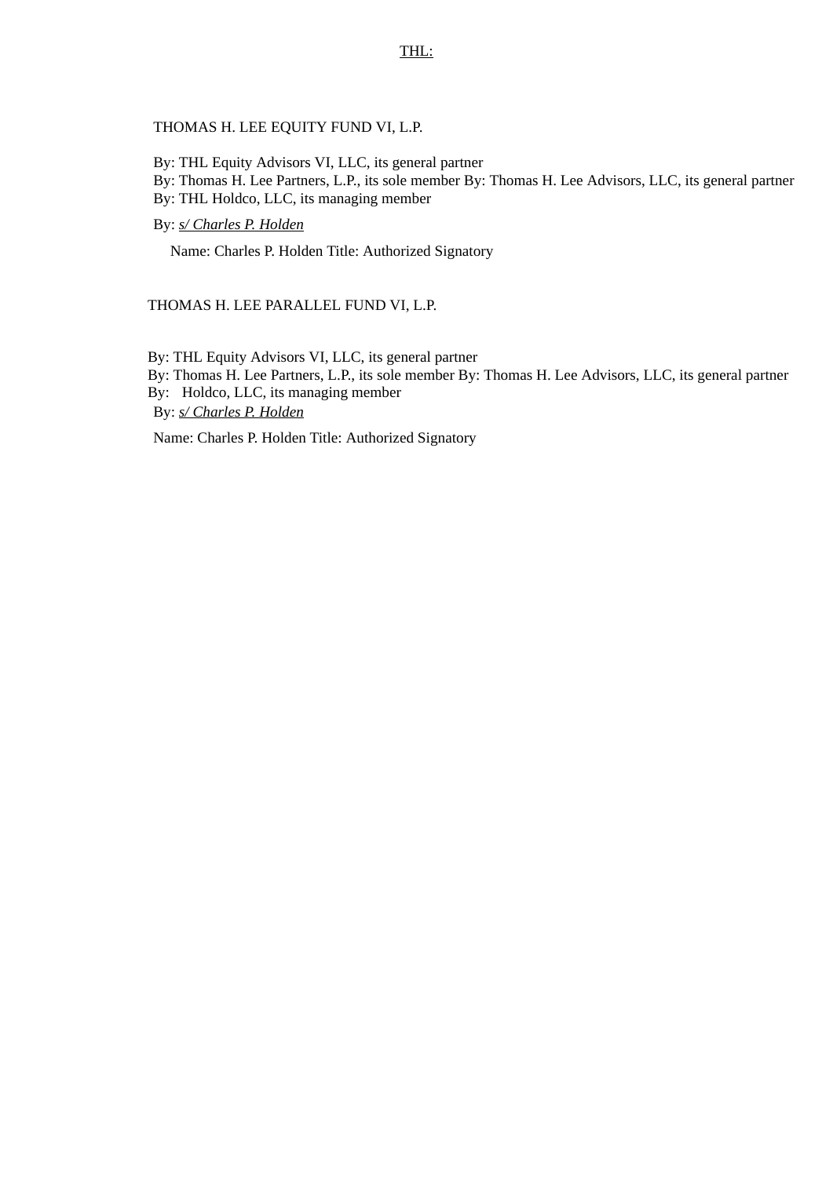# THL:

# THOMAS H. LEE EQUITY FUND VI, L.P.

By: THL Equity Advisors VI, LLC, its general partner By: Thomas H. Lee Partners, L.P., its sole member By: Thomas H. Lee Advisors, LLC, its general partner By: THL Holdco, LLC, its managing member

# By: *s/ Charles P. Holden*

Name: Charles P. Holden Title: Authorized Signatory

THOMAS H. LEE PARALLEL FUND VI, L.P.

By: THL Equity Advisors VI, LLC, its general partner By: Thomas H. Lee Partners, L.P., its sole member By: Thomas H. Lee Advisors, LLC, its general partner By: Holdco, LLC, its managing member By: *s/ Charles P. Holden*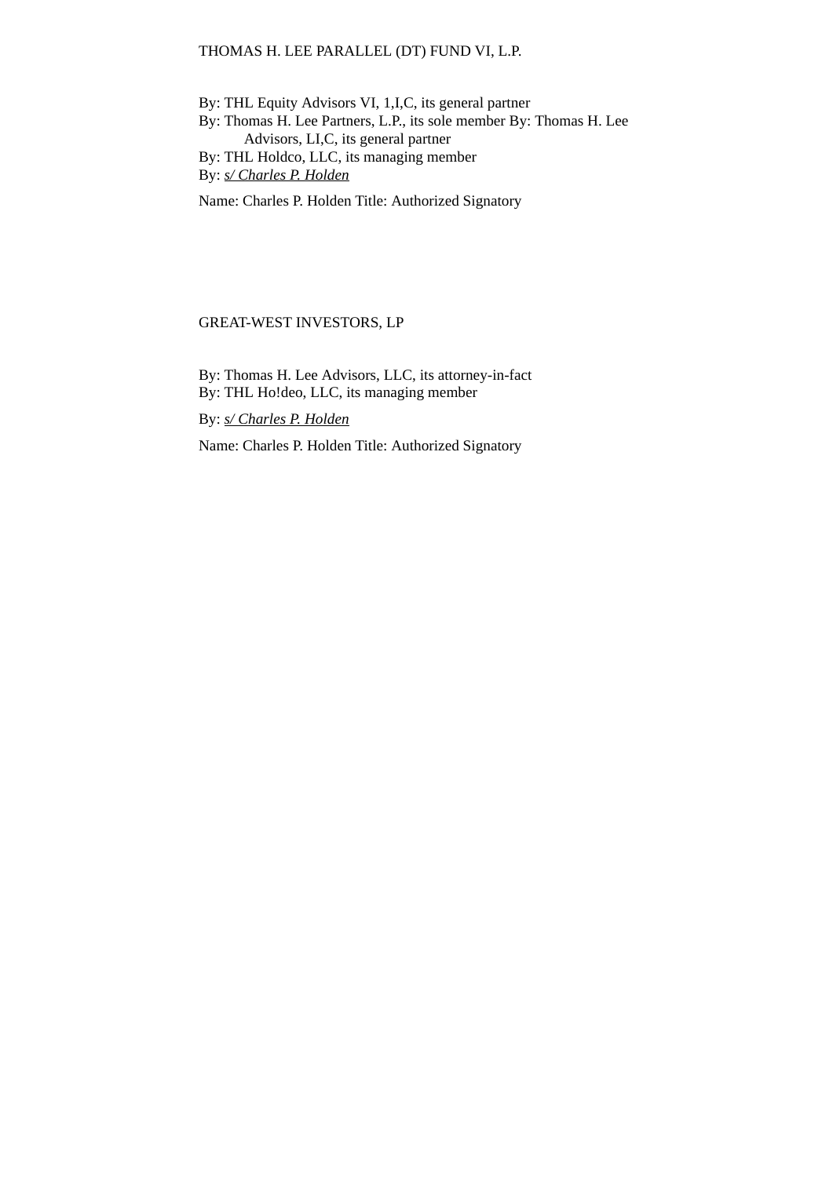# THOMAS H. LEE PARALLEL (DT) FUND VI, L.P.

By: THL Equity Advisors VI, 1,I,C, its general partner By: Thomas H. Lee Partners, L.P., its sole member By: Thomas H. Lee Advisors, LI,C, its general partner By: THL Holdco, LLC, its managing member By: *s/ Charles P. Holden*

Name: Charles P. Holden Title: Authorized Signatory

# GREAT-WEST INVESTORS, LP

By: Thomas H. Lee Advisors, LLC, its attorney-in-fact By: THL Ho!deo, LLC, its managing member

By: *s/ Charles P. Holden*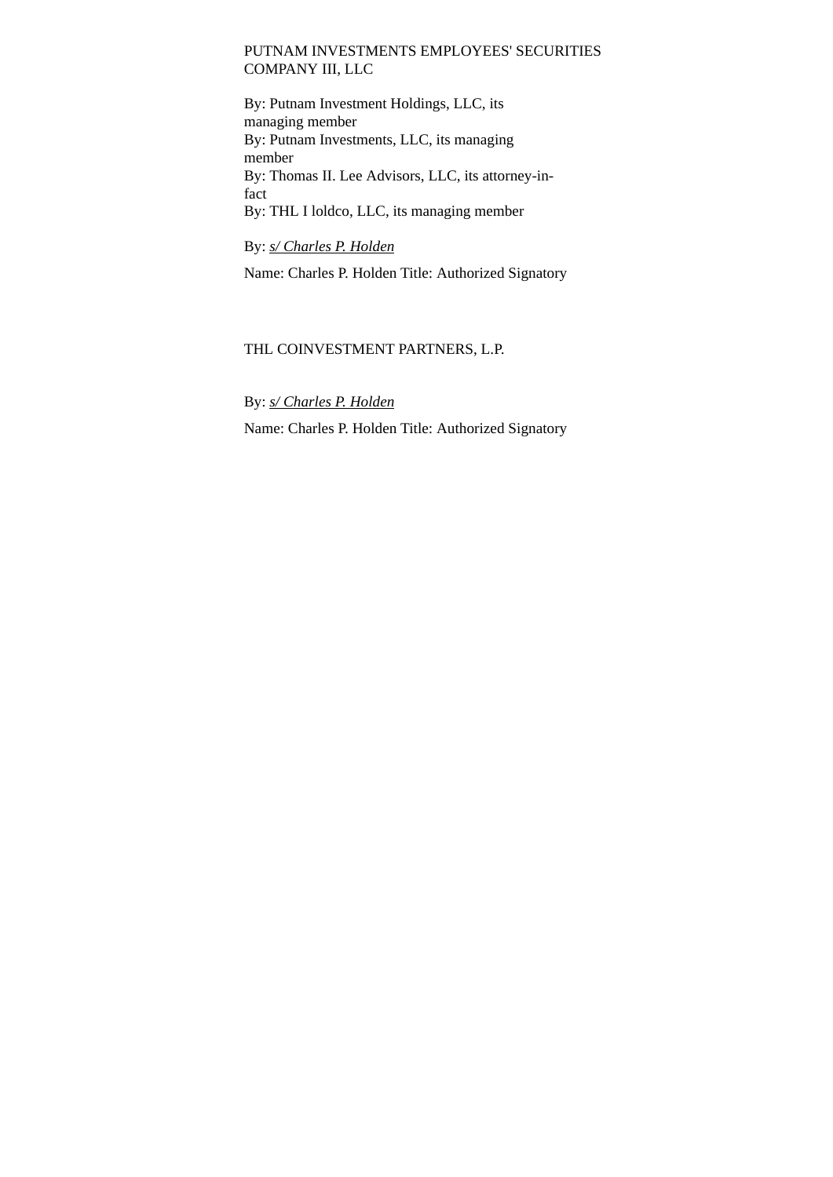# PUTNAM INVESTMENTS EMPLOYEES' SECURITIES COMPANY III, LLC

By: Putnam Investment Holdings, LLC, its managing member By: Putnam Investments, LLC, its managing member By: Thomas II. Lee Advisors, LLC, its attorney-infact By: THL I loldco, LLC, its managing member

By: *s/ Charles P. Holden*

Name: Charles P. Holden Title: Authorized Signatory

# THL COINVESTMENT PARTNERS, L.P.

By: *s/ Charles P. Holden*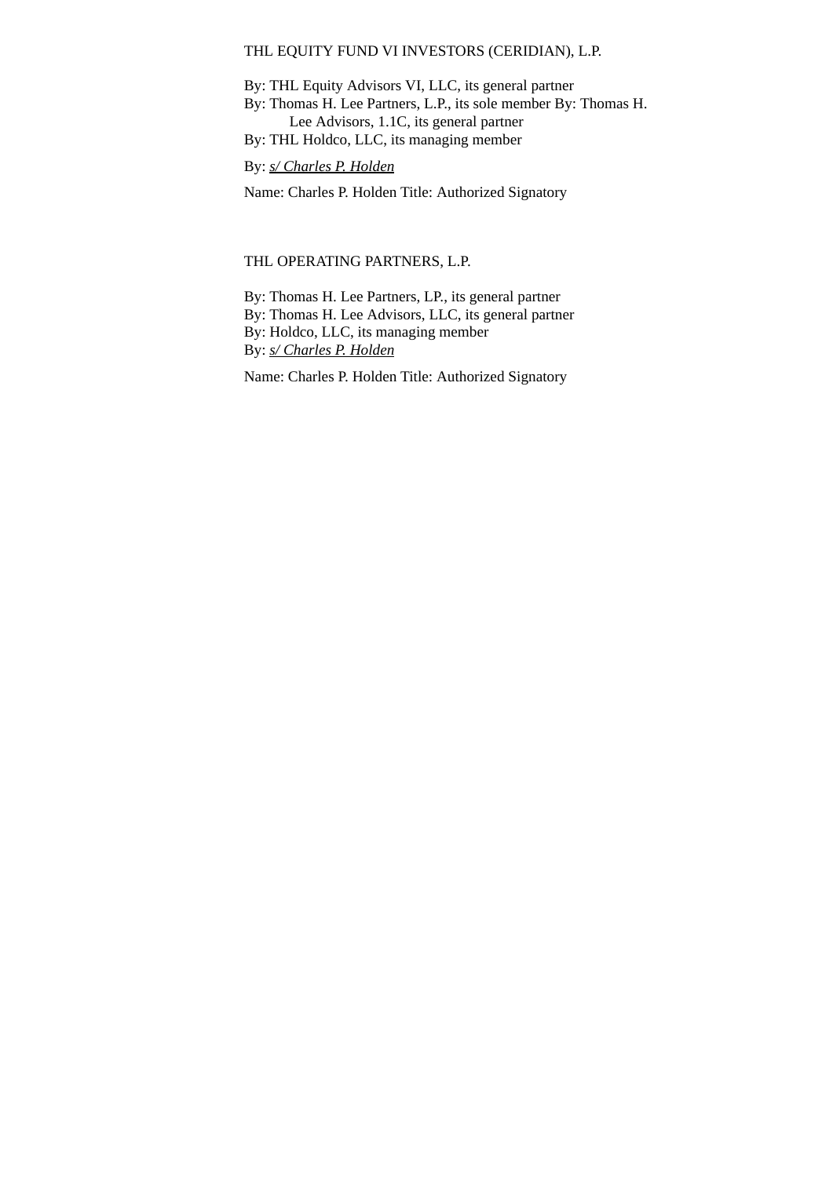# THL EQUITY FUND VI INVESTORS (CERIDIAN), L.P.

By: THL Equity Advisors VI, LLC, its general partner By: Thomas H. Lee Partners, L.P., its sole member By: Thomas H. Lee Advisors, 1.1C, its general partner By: THL Holdco, LLC, its managing member

By: *s/ Charles P. Holden*

Name: Charles P. Holden Title: Authorized Signatory

# THL OPERATING PARTNERS, L.P.

By: Thomas H. Lee Partners, LP., its general partner By: Thomas H. Lee Advisors, LLC, its general partner By: Holdco, LLC, its managing member By: *s/ Charles P. Holden*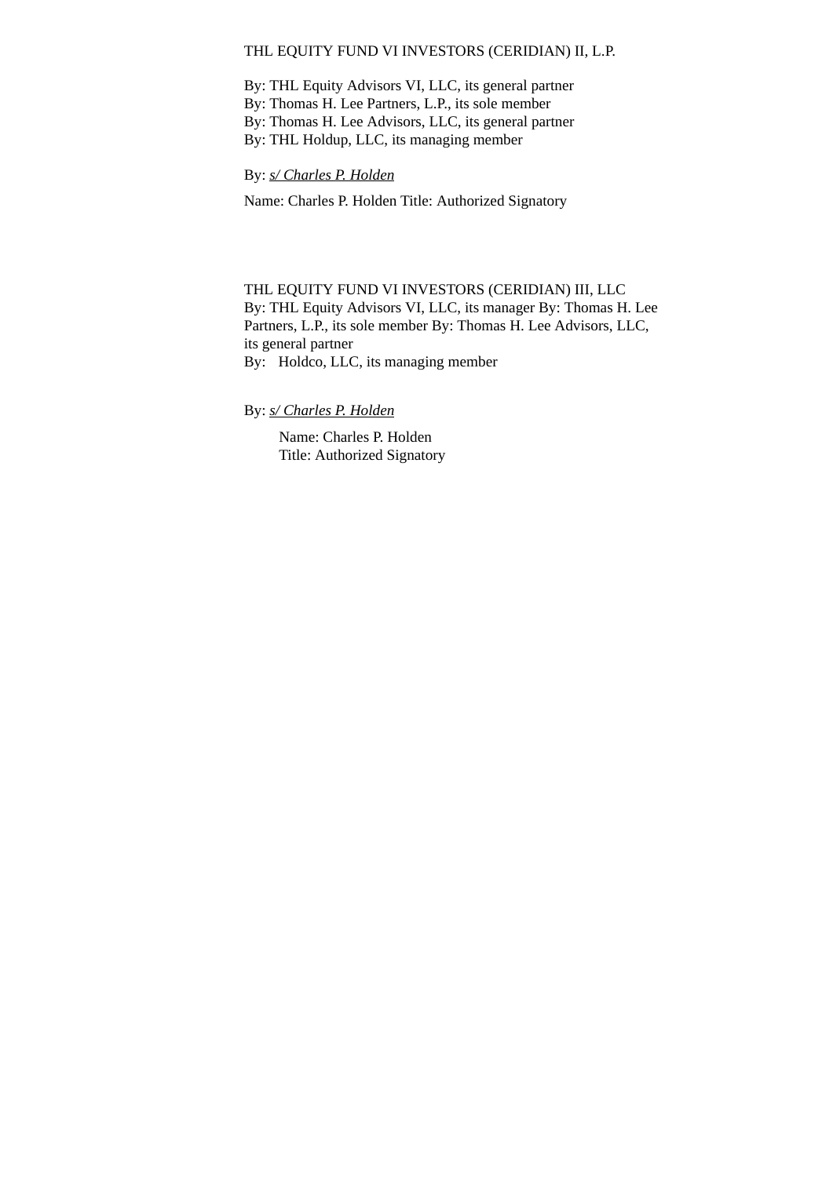# THL EQUITY FUND VI INVESTORS (CERIDIAN) II, L.P.

By: THL Equity Advisors VI, LLC, its general partner By: Thomas H. Lee Partners, L.P., its sole member By: Thomas H. Lee Advisors, LLC, its general partner By: THL Holdup, LLC, its managing member

By: *s/ Charles P. Holden*

Name: Charles P. Holden Title: Authorized Signatory

THL EQUITY FUND VI INVESTORS (CERIDIAN) III, LLC By: THL Equity Advisors VI, LLC, its manager By: Thomas H. Lee Partners, L.P., its sole member By: Thomas H. Lee Advisors, LLC, its general partner By: Holdco, LLC, its managing member

By: *s/ Charles P. Holden*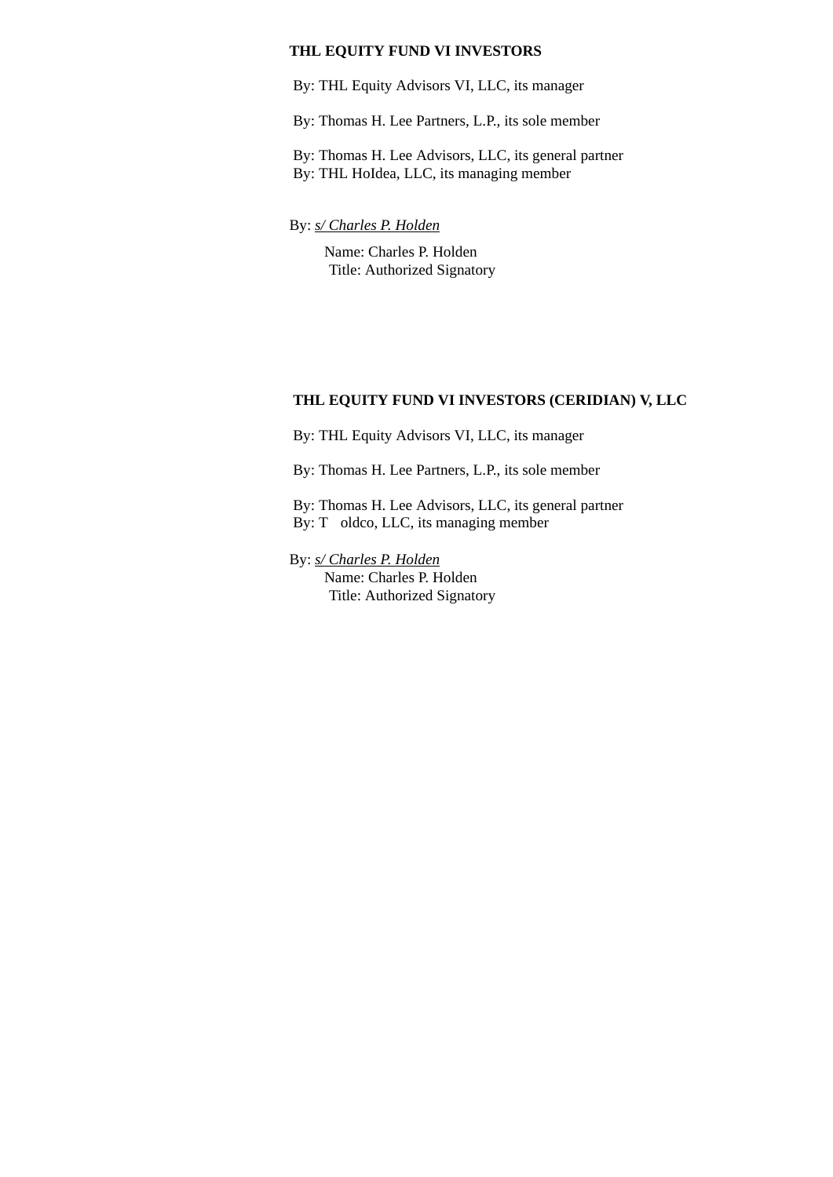# **THL EQUITY FUND VI INVESTORS**

By: THL Equity Advisors VI, LLC, its manager

By: Thomas H. Lee Partners, L.P., its sole member

By: Thomas H. Lee Advisors, LLC, its general partner By: THL HoIdea, LLC, its managing member

By: *s/ Charles P. Holden*

Name: Charles P. Holden Title: Authorized Signatory

# **THL EQUITY FUND VI INVESTORS (CERIDIAN) V, LLC**

By: THL Equity Advisors VI, LLC, its manager

By: Thomas H. Lee Partners, L.P., its sole member

By: Thomas H. Lee Advisors, LLC, its general partner By: T oldco, LLC, its managing member

By: *s/ Charles P. Holden* Name: Charles P. Holden Title: Authorized Signatory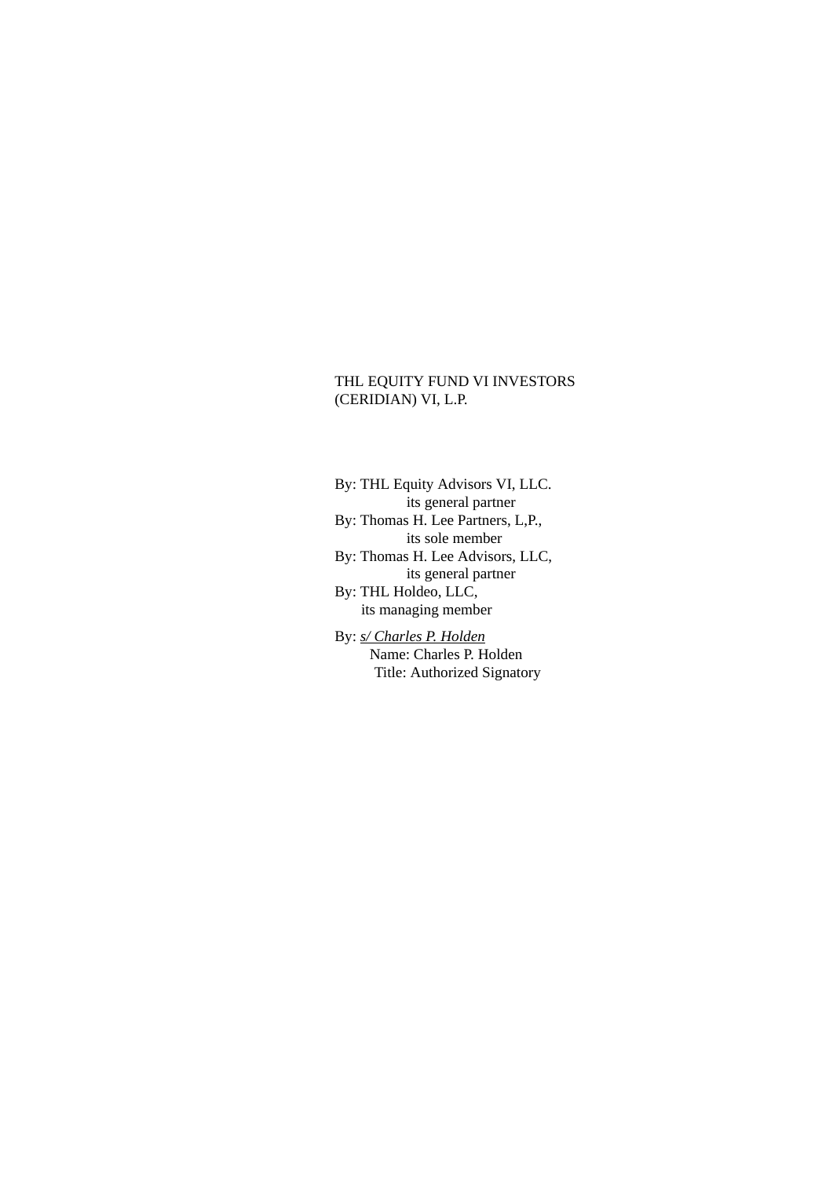# THL EQUITY FUND VI INVESTORS (CERIDIAN) VI, L.P.

- By: THL Equity Advisors VI, LLC. its general partner By: Thomas H. Lee Partners, L,P., its sole member By: Thomas H. Lee Advisors, LLC, its general partner By: THL Holdeo, LLC, its managing member
- By: *s/ Charles P. Holden* Name: Charles P. Holden Title: Authorized Signatory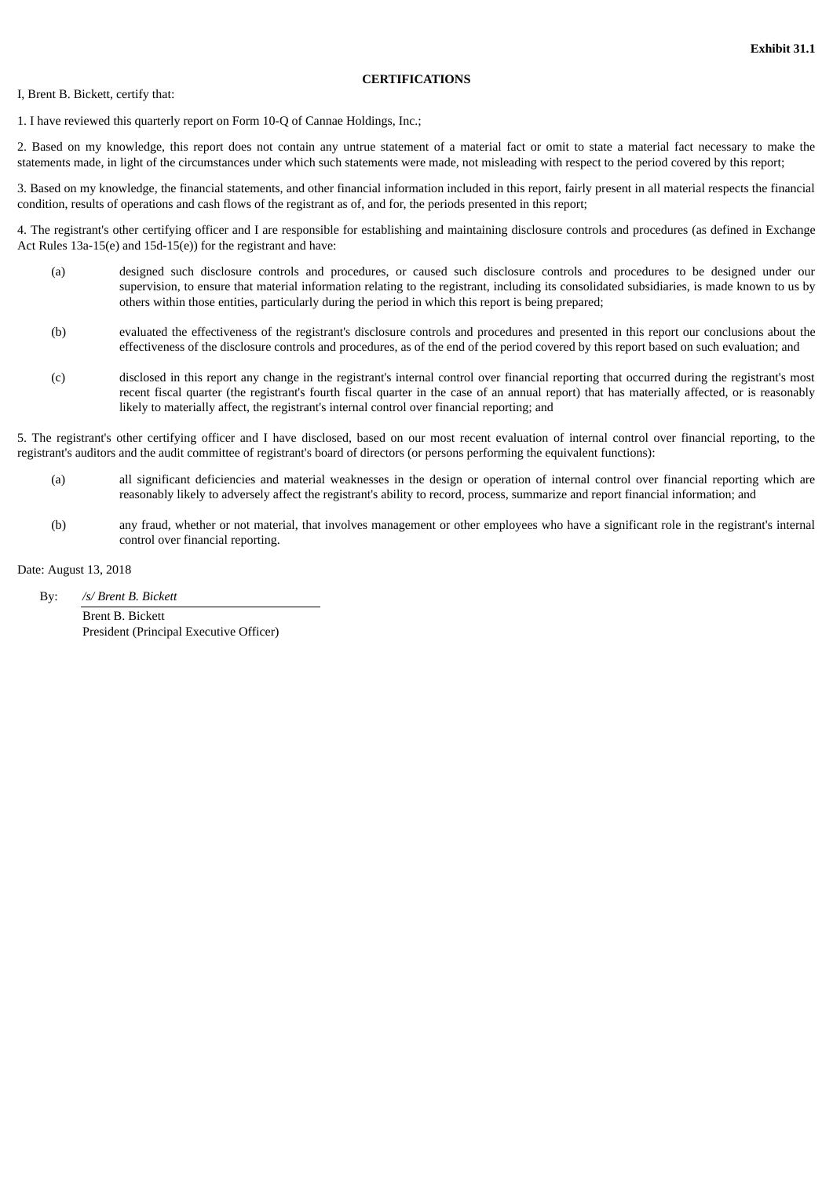#### **CERTIFICATIONS**

<span id="page-59-0"></span>I, Brent B. Bickett, certify that:

1. I have reviewed this quarterly report on Form 10-Q of Cannae Holdings, Inc.;

2. Based on my knowledge, this report does not contain any untrue statement of a material fact or omit to state a material fact necessary to make the statements made, in light of the circumstances under which such statements were made, not misleading with respect to the period covered by this report;

3. Based on my knowledge, the financial statements, and other financial information included in this report, fairly present in all material respects the financial condition, results of operations and cash flows of the registrant as of, and for, the periods presented in this report;

4. The registrant's other certifying officer and I are responsible for establishing and maintaining disclosure controls and procedures (as defined in Exchange Act Rules 13a-15(e) and 15d-15(e)) for the registrant and have:

- (a) designed such disclosure controls and procedures, or caused such disclosure controls and procedures to be designed under our supervision, to ensure that material information relating to the registrant, including its consolidated subsidiaries, is made known to us by others within those entities, particularly during the period in which this report is being prepared;
- (b) evaluated the effectiveness of the registrant's disclosure controls and procedures and presented in this report our conclusions about the effectiveness of the disclosure controls and procedures, as of the end of the period covered by this report based on such evaluation; and
- (c) disclosed in this report any change in the registrant's internal control over financial reporting that occurred during the registrant's most recent fiscal quarter (the registrant's fourth fiscal quarter in the case of an annual report) that has materially affected, or is reasonably likely to materially affect, the registrant's internal control over financial reporting; and

5. The registrant's other certifying officer and I have disclosed, based on our most recent evaluation of internal control over financial reporting, to the registrant's auditors and the audit committee of registrant's board of directors (or persons performing the equivalent functions):

- (a) all significant deficiencies and material weaknesses in the design or operation of internal control over financial reporting which are reasonably likely to adversely affect the registrant's ability to record, process, summarize and report financial information; and
- (b) any fraud, whether or not material, that involves management or other employees who have a significant role in the registrant's internal control over financial reporting.

Date: August 13, 2018

By: */s/ Brent B. Bickett*

Brent B. Bickett President (Principal Executive Officer)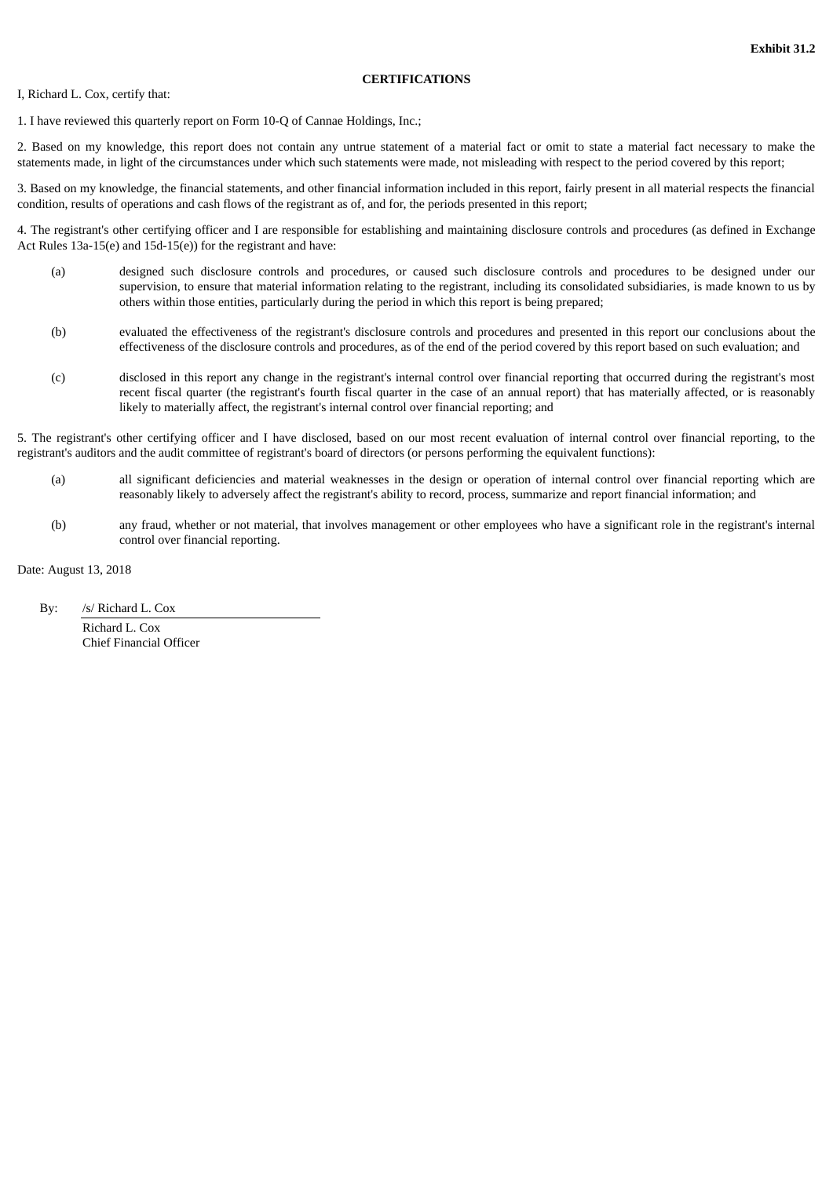### **CERTIFICATIONS**

<span id="page-60-0"></span>I, Richard L. Cox, certify that:

1. I have reviewed this quarterly report on Form 10-Q of Cannae Holdings, Inc.;

2. Based on my knowledge, this report does not contain any untrue statement of a material fact or omit to state a material fact necessary to make the statements made, in light of the circumstances under which such statements were made, not misleading with respect to the period covered by this report;

3. Based on my knowledge, the financial statements, and other financial information included in this report, fairly present in all material respects the financial condition, results of operations and cash flows of the registrant as of, and for, the periods presented in this report;

4. The registrant's other certifying officer and I are responsible for establishing and maintaining disclosure controls and procedures (as defined in Exchange Act Rules 13a-15(e) and 15d-15(e)) for the registrant and have:

- (a) designed such disclosure controls and procedures, or caused such disclosure controls and procedures to be designed under our supervision, to ensure that material information relating to the registrant, including its consolidated subsidiaries, is made known to us by others within those entities, particularly during the period in which this report is being prepared;
- (b) evaluated the effectiveness of the registrant's disclosure controls and procedures and presented in this report our conclusions about the effectiveness of the disclosure controls and procedures, as of the end of the period covered by this report based on such evaluation; and
- (c) disclosed in this report any change in the registrant's internal control over financial reporting that occurred during the registrant's most recent fiscal quarter (the registrant's fourth fiscal quarter in the case of an annual report) that has materially affected, or is reasonably likely to materially affect, the registrant's internal control over financial reporting; and

5. The registrant's other certifying officer and I have disclosed, based on our most recent evaluation of internal control over financial reporting, to the registrant's auditors and the audit committee of registrant's board of directors (or persons performing the equivalent functions):

- (a) all significant deficiencies and material weaknesses in the design or operation of internal control over financial reporting which are reasonably likely to adversely affect the registrant's ability to record, process, summarize and report financial information; and
- (b) any fraud, whether or not material, that involves management or other employees who have a significant role in the registrant's internal control over financial reporting.

Date: August 13, 2018

By: /s/ Richard L. Cox

Richard L. Cox Chief Financial Officer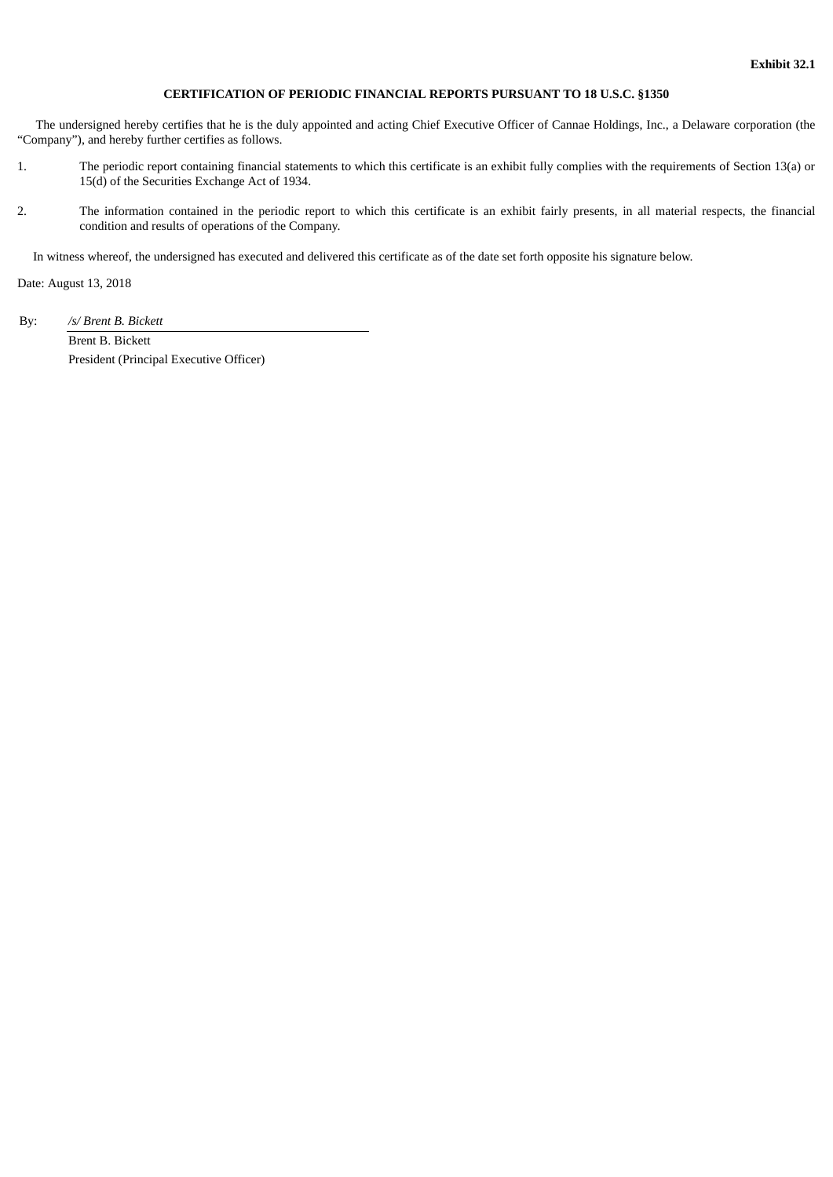# **CERTIFICATION OF PERIODIC FINANCIAL REPORTS PURSUANT TO 18 U.S.C. §1350**

<span id="page-61-0"></span>The undersigned hereby certifies that he is the duly appointed and acting Chief Executive Officer of Cannae Holdings, Inc., a Delaware corporation (the "Company"), and hereby further certifies as follows.

- 1. The periodic report containing financial statements to which this certificate is an exhibit fully complies with the requirements of Section 13(a) or 15(d) of the Securities Exchange Act of 1934.
- 2. The information contained in the periodic report to which this certificate is an exhibit fairly presents, in all material respects, the financial condition and results of operations of the Company.

In witness whereof, the undersigned has executed and delivered this certificate as of the date set forth opposite his signature below.

Date: August 13, 2018

By: */s/ Brent B. Bickett*

Brent B. Bickett President (Principal Executive Officer)